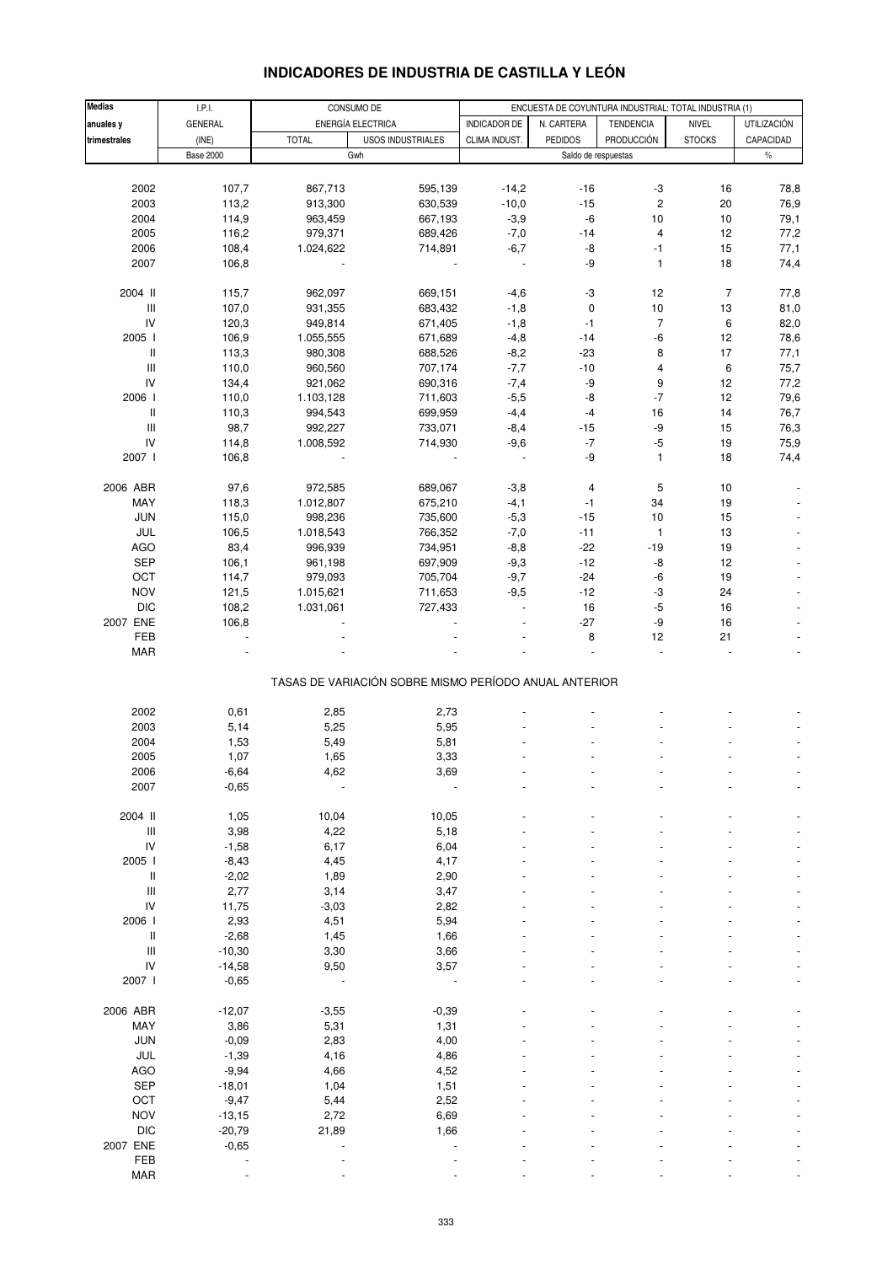| <b>Medias</b>                      |                  |              |                                                       |                     |                     |                                                       |                |                    |
|------------------------------------|------------------|--------------|-------------------------------------------------------|---------------------|---------------------|-------------------------------------------------------|----------------|--------------------|
|                                    | I.P.I.           |              | CONSUMO DE                                            |                     |                     | ENCUESTA DE COYUNTURA INDUSTRIAL: TOTAL INDUSTRIA (1) |                |                    |
| anuales y                          | GENERAL          |              | ENERGÍA ELECTRICA                                     | <b>INDICADOR DE</b> | N. CARTERA          | <b>TENDENCIA</b>                                      | <b>NIVEL</b>   | <b>UTILIZACIÓN</b> |
| trimestrales                       | (INE)            | <b>TOTAL</b> | <b>USOS INDUSTRIALES</b>                              | CLIMA INDUST.       | <b>PEDIDOS</b>      | <b>PRODUCCIÓN</b>                                     | <b>STOCKS</b>  | CAPACIDAD          |
|                                    | <b>Base 2000</b> |              | Gwh                                                   |                     | Saldo de respuestas |                                                       |                | $\%$               |
|                                    |                  |              |                                                       |                     |                     |                                                       |                |                    |
| 2002                               | 107,7            | 867,713      | 595,139                                               | $-14,2$             | $-16$               | $-3$                                                  | 16             | 78,8               |
| 2003                               | 113,2            | 913,300      | 630,539                                               | $-10,0$             | $-15$               | $\overline{c}$                                        | 20             | 76,9               |
| 2004                               | 114,9            | 963,459      | 667,193                                               | $-3,9$              | $-6$                | 10                                                    | 10             | 79,1               |
| 2005                               | 116,2            | 979,371      | 689,426                                               | $-7,0$              | $-14$               | $\overline{\mathbf{4}}$                               | 12             | 77,2               |
|                                    |                  |              |                                                       |                     |                     |                                                       |                |                    |
| 2006                               | 108,4            | 1.024,622    | 714,891                                               | $-6,7$              | -8                  | $-1$                                                  | 15             | 77,1               |
| 2007                               | 106,8            |              |                                                       |                     | -9                  | $\mathbf{1}$                                          | 18             | 74,4               |
|                                    |                  |              |                                                       |                     |                     |                                                       |                |                    |
| 2004 II                            | 115,7            | 962,097      | 669,151                                               | $-4,6$              | $-3$                | 12                                                    | $\overline{7}$ | 77,8               |
| $\ensuremath{\mathsf{III}}\xspace$ | 107,0            | 931,355      | 683,432                                               | $-1,8$              | $\pmb{0}$           | 10                                                    | 13             | 81,0               |
| IV                                 | 120,3            | 949,814      | 671,405                                               | $-1,8$              | $-1$                | $\overline{7}$                                        | 6              | 82,0               |
| 2005 l                             | 106,9            | 1.055,555    | 671,689                                               | $-4,8$              | $-14$               | $-6$                                                  | 12             | 78,6               |
| $\, \parallel$                     | 113,3            | 980,308      | 688,526                                               | $-8,2$              | $-23$               | 8                                                     | 17             | 77,1               |
| $\mathbf{III}$                     | 110,0            | 960,560      | 707,174                                               | $-7,7$              | $-10$               | 4                                                     | 6              | 75,7               |
|                                    |                  |              |                                                       |                     |                     |                                                       |                |                    |
| IV                                 | 134,4            | 921,062      | 690,316                                               | $-7,4$              | -9                  | 9                                                     | 12             | 77,2               |
| 2006 l                             | 110,0            | 1.103,128    | 711,603                                               | $-5,5$              | -8                  | $\mathbf{-7}$                                         | 12             | 79,6               |
| $\, \parallel$                     | 110,3            | 994,543      | 699,959                                               | $-4,4$              | $-4$                | 16                                                    | 14             | 76,7               |
| Ш                                  | 98,7             | 992,227      | 733,071                                               | $-8,4$              | $-15$               | -9                                                    | 15             | 76,3               |
| IV                                 | 114,8            | 1.008,592    | 714,930                                               | $-9,6$              | $\textnormal{-}7$   | $-5$                                                  | 19             | 75,9               |
| 2007 l                             | 106,8            |              |                                                       | $\sim$              | -9                  | $\mathbf{1}$                                          | 18             | 74,4               |
|                                    |                  |              |                                                       |                     |                     |                                                       |                |                    |
| 2006 ABR                           | 97,6             | 972,585      | 689,067                                               | $-3,8$              | 4                   | 5                                                     | 10             |                    |
|                                    |                  |              |                                                       |                     |                     |                                                       |                |                    |
| MAY                                | 118,3            | 1.012,807    | 675,210                                               | $-4,1$              | $-1$                | 34                                                    | 19             |                    |
| <b>JUN</b>                         | 115,0            | 998,236      | 735,600                                               | $-5,3$              | $-15$               | 10                                                    | 15             |                    |
| JUL                                | 106,5            | 1.018,543    | 766,352                                               | $-7,0$              | $-11$               | $\mathbf{1}$                                          | 13             |                    |
| <b>AGO</b>                         | 83,4             | 996,939      | 734,951                                               | $-8,8$              | $-22$               | $-19$                                                 | 19             |                    |
| <b>SEP</b>                         | 106,1            | 961,198      | 697,909                                               | $-9,3$              | $-12$               | -8                                                    | 12             |                    |
| OCT                                | 114,7            | 979,093      | 705,704                                               | $-9,7$              | $-24$               | $-6$                                                  | 19             |                    |
| <b>NOV</b>                         | 121,5            | 1.015,621    | 711,653                                               | $-9,5$              | $-12$               | $-3$                                                  | 24             |                    |
| <b>DIC</b>                         | 108,2            | 1.031,061    | 727,433                                               |                     | $16\,$              | $-5$                                                  | 16             |                    |
|                                    |                  |              |                                                       |                     |                     |                                                       |                |                    |
| 2007 ENE                           | 106,8            |              |                                                       |                     | $-27$               | -9                                                    | 16             |                    |
| FEB                                |                  |              |                                                       |                     | 8                   | 12                                                    | 21             |                    |
| <b>MAR</b>                         |                  |              |                                                       |                     |                     |                                                       |                |                    |
|                                    |                  |              | TASAS DE VARIACIÓN SOBRE MISMO PERÍODO ANUAL ANTERIOR |                     |                     |                                                       |                |                    |
|                                    |                  |              |                                                       |                     |                     |                                                       |                |                    |
| 2002                               | 0,61             | 2,85         | 2,73                                                  |                     |                     |                                                       |                |                    |
| 2003                               |                  |              | 5,95                                                  |                     |                     |                                                       |                |                    |
|                                    | 5,14             | 5,25         |                                                       |                     |                     |                                                       |                |                    |
| 2004                               | 1,53             | 5,49         | 5,81                                                  |                     |                     |                                                       |                |                    |
| 2005                               | 1,07             | 1,65         | 3,33                                                  |                     |                     |                                                       |                |                    |
| 2006                               | $-6,64$          | 4,62         | 3,69                                                  |                     |                     |                                                       |                |                    |
| 2007                               | $-0,65$          | ÷,           |                                                       |                     |                     |                                                       |                |                    |
|                                    |                  |              |                                                       |                     |                     |                                                       |                |                    |
| 2004 II                            | 1,05             | 10,04        | 10,05                                                 |                     |                     |                                                       |                |                    |
| $\ensuremath{\mathsf{III}}\xspace$ | 3,98             | 4,22         | 5,18                                                  |                     |                     |                                                       |                |                    |
| IV                                 | $-1,58$          | 6,17         | 6,04                                                  |                     |                     |                                                       |                |                    |
| 2005                               | $-8,43$          | 4,45         | 4,17                                                  |                     |                     |                                                       |                |                    |
| Ш                                  | $-2,02$          | 1,89         | 2,90                                                  |                     |                     |                                                       |                |                    |
| Ш                                  |                  |              |                                                       |                     |                     |                                                       |                |                    |
|                                    | 2,77             | 3,14         | 3,47                                                  |                     |                     |                                                       |                |                    |
| IV                                 | 11,75            | $-3,03$      | 2,82                                                  |                     |                     |                                                       |                |                    |
| 2006 l                             | 2,93             | 4,51         | 5,94                                                  |                     |                     |                                                       |                |                    |
| $\mathop{  }$                      | $-2,68$          | 1,45         | 1,66                                                  |                     |                     |                                                       |                |                    |
| $\mathop{\rm III}\nolimits$        | $-10,30$         | 3,30         | 3,66                                                  |                     |                     |                                                       |                |                    |
| ${\sf IV}$                         | $-14,58$         | 9,50         | 3,57                                                  |                     |                     |                                                       |                |                    |
| 2007 l                             | $-0,65$          |              | ÷                                                     |                     |                     |                                                       |                |                    |
|                                    |                  |              |                                                       |                     |                     |                                                       |                |                    |
| 2006 ABR                           | $-12,07$         | $-3,55$      | $-0,39$                                               |                     |                     |                                                       |                |                    |
| MAY                                |                  |              |                                                       |                     |                     |                                                       |                |                    |
|                                    | 3,86             | 5,31         | 1,31                                                  |                     |                     |                                                       |                |                    |
| <b>JUN</b>                         | $-0,09$          | 2,83         | 4,00                                                  |                     |                     |                                                       |                |                    |
| JUL                                | $-1,39$          | 4,16         | 4,86                                                  |                     |                     |                                                       |                |                    |
| <b>AGO</b>                         | $-9,94$          | 4,66         | 4,52                                                  |                     |                     |                                                       |                |                    |
| <b>SEP</b>                         | $-18,01$         | 1,04         | 1,51                                                  |                     |                     |                                                       |                |                    |
| OCT                                | $-9,47$          | 5,44         | 2,52                                                  |                     |                     |                                                       |                |                    |
| <b>NOV</b>                         | $-13,15$         | 2,72         | 6,69                                                  |                     |                     |                                                       |                |                    |
| <b>DIC</b>                         | $-20,79$         | 21,89        | 1,66                                                  |                     |                     |                                                       |                |                    |
| 2007 ENE                           |                  |              |                                                       |                     |                     |                                                       |                |                    |
|                                    | $-0,65$          |              |                                                       |                     |                     |                                                       |                |                    |
| FEB                                |                  |              |                                                       |                     |                     |                                                       |                |                    |
| <b>MAR</b>                         |                  |              |                                                       |                     |                     |                                                       |                |                    |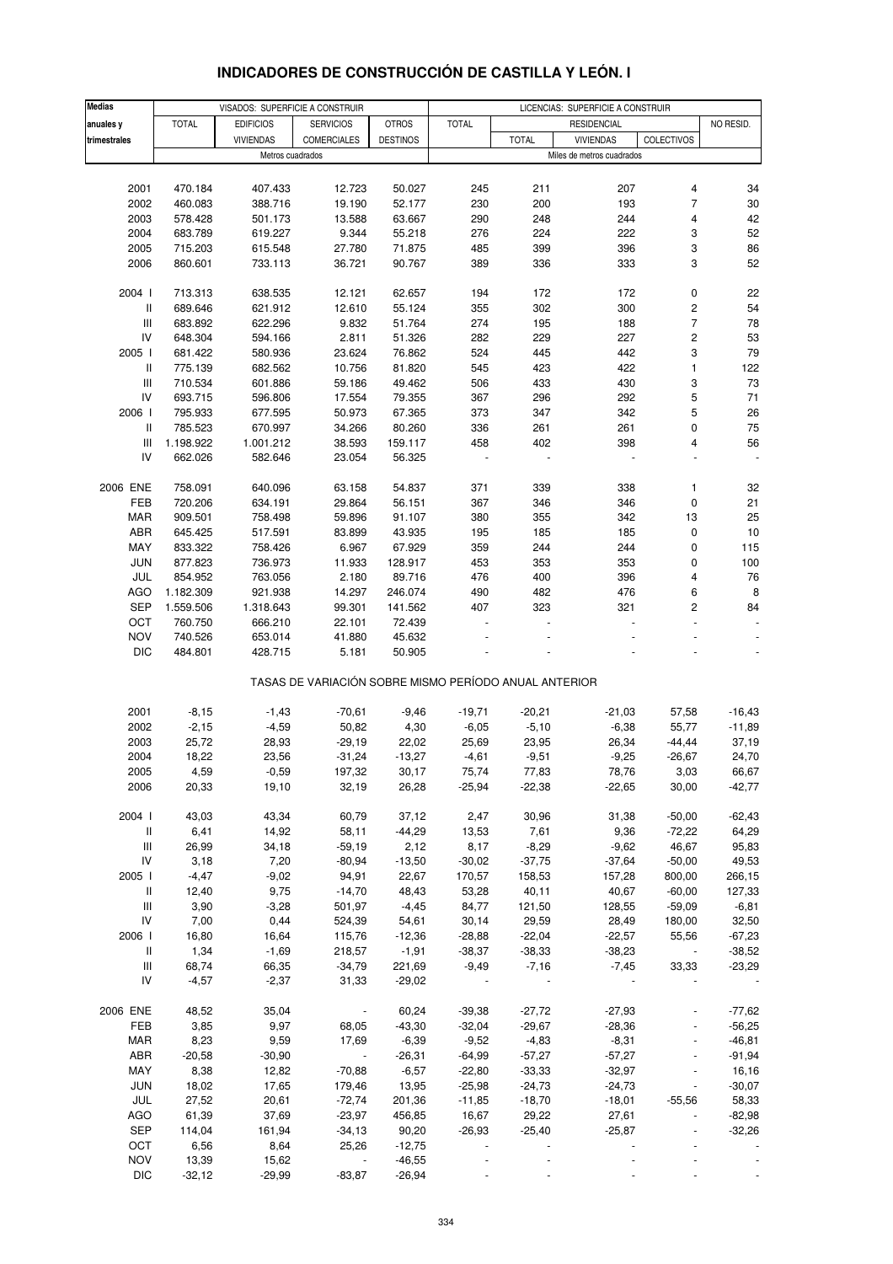| <b>INDICADORES DE CONSTRUCCION DE CASTILLA Y LEON. I</b> |  |
|----------------------------------------------------------|--|
|                                                          |  |

| <b>Medias</b>                      |              | VISADOS: SUPERFICIE A CONSTRUIR |                                                       |                 | LICENCIAS: SUPERFICIE A CONSTRUIR |                 |                           |            |           |
|------------------------------------|--------------|---------------------------------|-------------------------------------------------------|-----------------|-----------------------------------|-----------------|---------------------------|------------|-----------|
| anuales y                          | <b>TOTAL</b> | <b>EDIFICIOS</b>                | <b>SERVICIOS</b>                                      | <b>OTROS</b>    | <b>TOTAL</b>                      |                 | <b>RESIDENCIAL</b>        |            | NO RESID. |
| trimestrales                       |              | <b>VIVIENDAS</b>                | <b>COMERCIALES</b>                                    | <b>DESTINOS</b> |                                   | <b>TOTAL</b>    | <b>VIVIENDAS</b>          | COLECTIVOS |           |
|                                    |              | Metros cuadrados                |                                                       |                 |                                   |                 | Miles de metros cuadrados |            |           |
|                                    |              |                                 |                                                       |                 |                                   |                 |                           |            |           |
| 2001                               | 470.184      | 407.433                         | 12.723                                                | 50.027          | 245                               | 211             | 207                       | 4          | 34        |
|                                    |              |                                 |                                                       |                 |                                   |                 |                           | 7          |           |
| 2002                               | 460.083      | 388.716                         | 19.190                                                | 52.177          | 230                               | 200             | 193                       |            | 30        |
| 2003                               | 578.428      | 501.173                         | 13.588                                                | 63.667          | 290                               | 248             | 244                       | 4          | 42        |
| 2004                               | 683.789      | 619.227                         | 9.344                                                 | 55.218          | 276                               | 224             | 222                       | 3          | 52        |
| 2005                               | 715.203      | 615.548                         | 27.780                                                | 71.875          | 485                               | 399             | 396                       | 3          | 86        |
| 2006                               | 860.601      | 733.113                         | 36.721                                                | 90.767          | 389                               | 336             | 333                       | 3          | 52        |
| 2004 l                             | 713.313      | 638.535                         | 12.121                                                | 62.657          | 194                               | 172             | 172                       | 0          | 22        |
| $\mathbf{II}$                      | 689.646      | 621.912                         | 12.610                                                | 55.124          | 355                               | 302             | 300                       | 2          | 54        |
| $\ensuremath{\mathsf{III}}\xspace$ | 683.892      | 622.296                         | 9.832                                                 | 51.764          | 274                               | 195             | 188                       | 7          | 78        |
| IV                                 | 648.304      | 594.166                         | 2.811                                                 | 51.326          | 282                               | 229             | 227                       | 2          | 53        |
| 2005 l                             | 681.422      | 580.936                         | 23.624                                                | 76.862          | 524                               | 445             | 442                       | 3          | 79        |
| Ш                                  | 775.139      | 682.562                         | 10.756                                                | 81.820          | 545                               | 423             | 422                       | 1          | 122       |
| Ш                                  | 710.534      | 601.886                         | 59.186                                                | 49.462          | 506                               | 433             | 430                       | 3          | 73        |
| IV                                 | 693.715      | 596.806                         | 17.554                                                | 79.355          | 367                               | 296             | 292                       | 5          | 71        |
| 2006                               | 795.933      | 677.595                         | 50.973                                                | 67.365          | 373                               | 347             | 342                       | 5          | 26        |
| Ш                                  | 785.523      | 670.997                         | 34.266                                                | 80.260          | 336                               | 261             | 261                       | 0          | 75        |
| Ш                                  | 1.198.922    | 1.001.212                       | 38.593                                                | 159.117         | 458                               | 402             | 398                       | 4          | 56        |
| IV                                 | 662.026      | 582.646                         | 23.054                                                | 56.325          |                                   |                 |                           |            |           |
|                                    |              |                                 |                                                       |                 |                                   |                 |                           |            |           |
| 2006 ENE                           | 758.091      | 640.096                         | 63.158                                                | 54.837          | 371                               | 339             | 338                       | 1          | 32        |
| FEB                                | 720.206      | 634.191                         | 29.864                                                | 56.151          | 367                               | 346             | 346                       | 0          | 21        |
| <b>MAR</b>                         | 909.501      | 758.498                         | 59.896                                                | 91.107          | 380                               | 355             | 342                       | 13         | 25        |
| ABR                                | 645.425      | 517.591                         | 83.899                                                | 43.935          | 195                               | 185             | 185                       | 0          | 10        |
| MAY                                | 833.322      | 758.426                         | 6.967                                                 | 67.929          | 359                               | 244             | 244                       | 0          | 115       |
| <b>JUN</b>                         | 877.823      | 736.973                         | 11.933                                                | 128.917         | 453                               | 353             | 353                       | 0          | 100       |
| JUL                                | 854.952      | 763.056                         | 2.180                                                 | 89.716          | 476                               | 400             | 396                       | 4          | 76        |
| AGO                                | 1.182.309    | 921.938                         | 14.297                                                | 246.074         | 490                               | 482             | 476                       | 6          | 8         |
| <b>SEP</b>                         | 1.559.506    | 1.318.643                       | 99.301                                                | 141.562         | 407                               | 323             | 321                       | 2          | 84        |
| OCT                                | 760.750      | 666.210                         | 22.101                                                | 72.439          |                                   |                 |                           |            |           |
| <b>NOV</b>                         | 740.526      | 653.014                         | 41.880                                                | 45.632          |                                   |                 |                           |            |           |
| <b>DIC</b>                         | 484.801      | 428.715                         | 5.181                                                 | 50.905          |                                   |                 |                           |            |           |
|                                    |              |                                 | TASAS DE VARIACIÓN SOBRE MISMO PERÍODO ANUAL ANTERIOR |                 |                                   |                 |                           |            |           |
|                                    |              |                                 |                                                       |                 |                                   |                 |                           |            |           |
| 2001                               | $-8,15$      | $-1,43$                         | $-70,61$                                              | $-9,46$         | $-19,71$                          | $-20,21$        | $-21,03$                  | 57,58      | $-16,43$  |
| 2002                               | $-2,15$      | $-4,59$                         | 50,82                                                 | 4,30            | $-6,05$                           | $-5,10$         | $-6,38$                   | 55,77      | $-11,89$  |
| 2003                               | 25,72        | 28,93                           | $-29,19$                                              | 22,02           | 25,69                             | 23,95           | 26,34                     | $-44, 44$  | 37,19     |
| 2004                               | 18,22        | 23,56                           | $-31,24$                                              | $-13,27$        | $-4,61$                           | $-9,51$         | $-9,25$                   | $-26,67$   | 24,70     |
| 2005                               | 4,59         | $-0,59$                         | 197,32                                                | 30,17           | 75,74                             | 77,83           | 78,76                     | 3,03       | 66,67     |
| 2006                               | 20,33        | 19,10                           | 32,19                                                 | 26,28           | $-25,94$                          | $-22,38$        | $-22,65$                  | 30,00      | $-42,77$  |
| 2004 l                             | 43,03        | 43,34                           | 60,79                                                 | 37,12           | 2,47                              | 30,96           | 31,38                     | $-50,00$   | $-62,43$  |
| $\mathbf{II}$                      | 6,41         | 14,92                           | 58,11                                                 | $-44,29$        | 13,53                             | 7,61            | 9,36                      | $-72,22$   | 64,29     |
| Ш                                  | 26,99        | 34,18                           | $-59,19$                                              | 2,12            | 8,17                              | $-8,29$         | $-9,62$                   | 46,67      | 95,83     |
| IV                                 | 3,18         | 7,20                            | $-80,94$                                              | $-13,50$        | $-30,02$                          | $-37,75$        | $-37,64$                  | $-50,00$   | 49,53     |
| 2005                               | $-4,47$      | $-9,02$                         | 94,91                                                 | 22,67           | 170,57                            | 158,53          | 157,28                    | 800,00     | 266,15    |
|                                    |              |                                 |                                                       |                 |                                   |                 |                           |            |           |
| Ш                                  | 12,40        | 9,75                            | $-14,70$                                              | 48,43           | 53,28                             | 40,11<br>121,50 | 40,67                     | $-60,00$   | 127,33    |
| $\ensuremath{\mathsf{III}}\xspace$ | 3,90         | $-3,28$                         | 501,97                                                | $-4,45$         | 84,77                             |                 | 128,55                    | $-59,09$   | $-6,81$   |
| IV                                 | 7,00         | 0,44                            | 524,39                                                | 54,61           | 30,14                             | 29,59           | 28,49                     | 180,00     | 32,50     |
| 2006                               | 16,80        | 16,64                           | 115,76                                                | $-12,36$        | $-28,88$                          | $-22,04$        | $-22,57$                  | 55,56      | $-67,23$  |
| Ш                                  | 1,34         | $-1,69$                         | 218,57                                                | $-1,91$         | $-38,37$                          | $-38,33$        | $-38,23$                  |            | $-38,52$  |
| $\ensuremath{\mathsf{III}}\xspace$ | 68,74        | 66,35                           | $-34,79$                                              | 221,69          | $-9,49$                           | $-7,16$         | $-7,45$                   | 33,33      | $-23,29$  |
| IV                                 | $-4,57$      | $-2,37$                         | 31,33                                                 | $-29,02$        |                                   |                 |                           |            |           |
| 2006 ENE                           | 48,52        | 35,04                           | $\overline{\phantom{a}}$                              | 60,24           | $-39,38$                          | $-27,72$        | $-27,93$                  |            | $-77,62$  |
| FEB                                | 3,85         | 9,97                            | 68,05                                                 | $-43,30$        | $-32,04$                          | $-29,67$        | $-28,36$                  |            | $-56,25$  |
| <b>MAR</b>                         | 8,23         | 9,59                            | 17,69                                                 | $-6,39$         | $-9,52$                           | $-4,83$         | $-8,31$                   |            | $-46,81$  |
| ABR                                | $-20,58$     | $-30,90$                        | $\Box$                                                | $-26,31$        | $-64,99$                          | $-57,27$        | $-57,27$                  |            | $-91,94$  |
| MAY                                | 8,38         | 12,82                           | $-70,88$                                              | $-6,57$         | $-22,80$                          | $-33,33$        | $-32,97$                  |            | 16,16     |
|                                    |              |                                 |                                                       |                 |                                   |                 |                           |            |           |
| JUN                                | 18,02        | 17,65                           | 179,46                                                | 13,95           | $-25,98$                          | $-24,73$        | $-24,73$                  |            | $-30,07$  |
| JUL                                | 27,52        | 20,61                           | $-72,74$                                              | 201,36          | $-11,85$                          | $-18,70$        | $-18,01$                  | $-55,56$   | 58,33     |
| AGO                                | 61,39        | 37,69                           | $-23,97$                                              | 456,85          | 16,67                             | 29,22           | 27,61                     |            | $-82,98$  |
| <b>SEP</b>                         | 114,04       | 161,94                          | $-34,13$                                              | 90,20           | $-26,93$                          | $-25,40$        | $-25,87$                  |            | $-32,26$  |
| OCT                                | 6,56         | 8,64                            | 25,26                                                 | $-12,75$        |                                   |                 |                           |            |           |
| <b>NOV</b>                         | 13,39        | 15,62                           |                                                       | $-46,55$        |                                   |                 |                           |            |           |
| $DIC$                              | $-32,12$     | $-29,99$                        | $-83,87$                                              | $-26,94$        |                                   |                 |                           |            |           |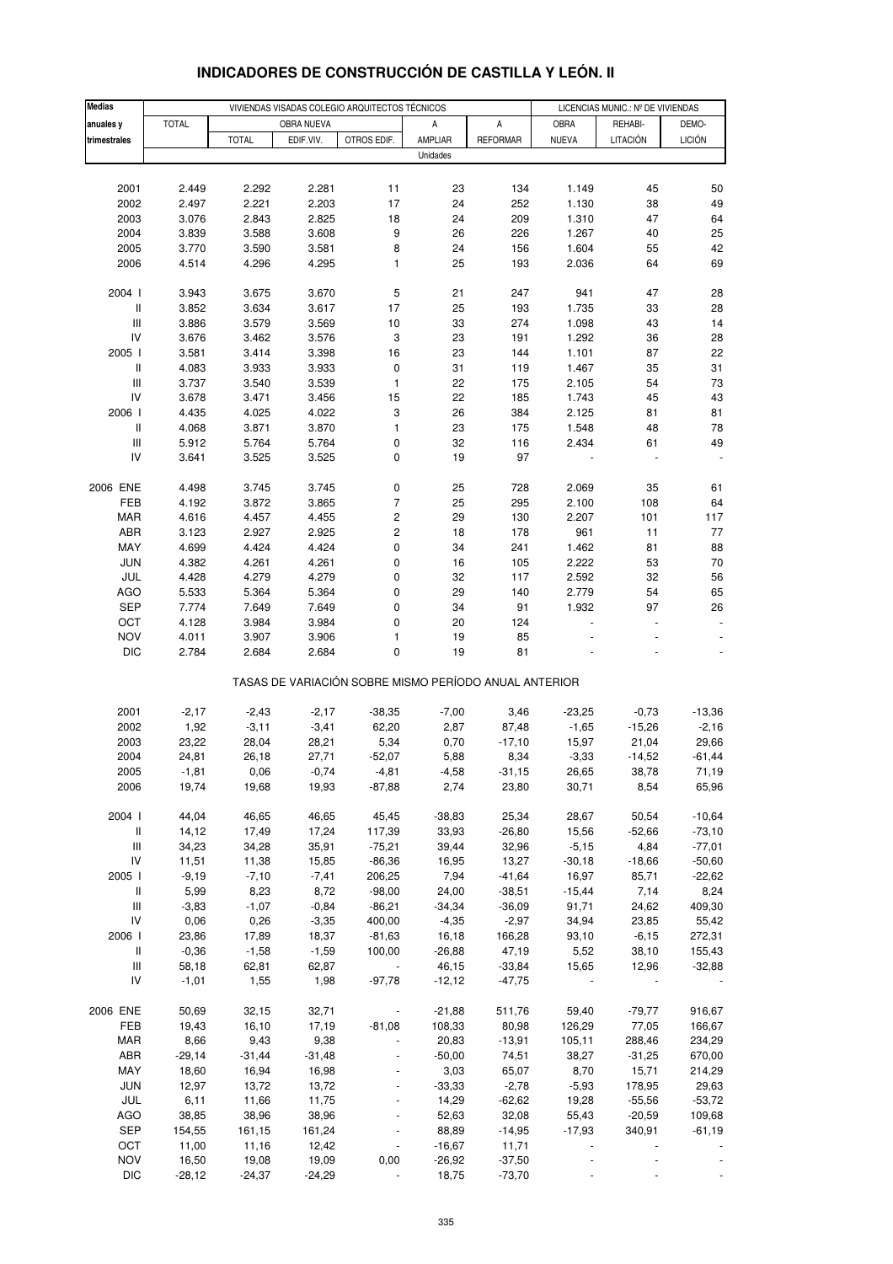| <b>Medias</b>                      | VIVIENDAS VISADAS COLEGIO ARQUITECTOS TÉCNICOS |              |            |                  |                                                       |                 | LICENCIAS MUNIC.: Nº DE VIVIENDAS |          |               |  |
|------------------------------------|------------------------------------------------|--------------|------------|------------------|-------------------------------------------------------|-----------------|-----------------------------------|----------|---------------|--|
| anuales y                          | <b>TOTAL</b>                                   |              | OBRA NUEVA |                  | Α                                                     | А               | OBRA                              | REHABI-  | DEMO-         |  |
| trimestrales                       |                                                | <b>TOTAL</b> | EDIF.VIV.  | OTROS EDIF.      | AMPLIAR                                               | <b>REFORMAR</b> | <b>NUEVA</b>                      | LITACIÓN | <b>LICIÓN</b> |  |
|                                    |                                                |              |            |                  | Unidades                                              |                 |                                   |          |               |  |
|                                    |                                                |              |            |                  |                                                       |                 |                                   |          |               |  |
| 2001                               | 2.449                                          | 2.292        | 2.281      | 11               | 23                                                    | 134             | 1.149                             | 45       | 50            |  |
| 2002                               | 2.497                                          | 2.221        | 2.203      | 17               | 24                                                    | 252             | 1.130                             | 38       | 49            |  |
| 2003                               | 3.076                                          | 2.843        | 2.825      | 18               | 24                                                    | 209             | 1.310                             | 47       | 64            |  |
| 2004                               | 3.839                                          | 3.588        | 3.608      | 9                | 26                                                    | 226             | 1.267                             | 40       | 25            |  |
| 2005                               | 3.770                                          | 3.590        | 3.581      | 8                | 24                                                    | 156             | 1.604                             | 55       | 42            |  |
| 2006                               | 4.514                                          | 4.296        | 4.295      | 1                | 25                                                    | 193             | 2.036                             | 64       | 69            |  |
|                                    |                                                |              |            |                  |                                                       |                 |                                   |          |               |  |
| 2004 l                             | 3.943                                          | 3.675        | 3.670      | 5                | 21                                                    | 247             | 941                               | 47       | 28            |  |
| $\mathbf{II}$                      | 3.852                                          | 3.634        | 3.617      | 17               | 25                                                    | 193             | 1.735                             | 33       | 28            |  |
| $\ensuremath{\mathsf{III}}\xspace$ | 3.886                                          | 3.579        | 3.569      | $10$             | 33                                                    | 274             | 1.098                             | 43       | 14            |  |
| IV                                 | 3.676                                          | 3.462        | 3.576      | 3                | 23                                                    | 191             | 1.292                             | 36       | 28            |  |
| 2005 l                             | 3.581                                          | 3.414        | 3.398      | 16               | 23                                                    | 144             | 1.101                             | 87       | 22            |  |
| $\, \parallel$                     | 4.083                                          | 3.933        | 3.933      | $\pmb{0}$        | 31                                                    | 119             | 1.467                             | 35       | 31            |  |
| $\ensuremath{\mathsf{III}}\xspace$ | 3.737                                          | 3.540        | 3.539      | $\mathbf{1}$     | 22                                                    | 175             | 2.105                             | 54       | 73            |  |
| IV                                 | 3.678                                          | 3.471        | 3.456      | 15               | 22                                                    | 185             | 1.743                             | 45       | 43            |  |
| 2006                               | 4.435                                          | 4.025        | 4.022      | 3                | 26                                                    | 384             | 2.125                             | 81       | 81            |  |
| $\, \parallel$                     | 4.068                                          | 3.871        | 3.870      | 1                | 23                                                    | 175             | 1.548                             | 48       | 78            |  |
| $\ensuremath{\mathsf{III}}\xspace$ | 5.912                                          | 5.764        | 5.764      | $\mathbf 0$      | 32                                                    | 116             | 2.434                             | 61       | 49            |  |
| IV                                 | 3.641                                          | 3.525        | 3.525      | 0                | 19                                                    | 97              |                                   |          |               |  |
|                                    |                                                |              |            |                  |                                                       |                 |                                   |          |               |  |
| 2006 ENE                           | 4.498                                          | 3.745        | 3.745      | 0                | 25                                                    | 728             | 2.069                             | 35       | 61            |  |
| FEB                                | 4.192                                          | 3.872        | 3.865      | $\overline{7}$   | 25                                                    | 295             | 2.100                             | 108      | 64            |  |
| <b>MAR</b>                         | 4.616                                          | 4.457        | 4.455      | $\boldsymbol{2}$ | 29                                                    | 130             | 2.207                             | 101      | 117           |  |
| ABR                                | 3.123                                          | 2.927        | 2.925      | $\mathbf 2$      | 18                                                    | 178             | 961                               | 11       | $77 \,$       |  |
| MAY                                | 4.699                                          | 4.424        | 4.424      | 0                | 34                                                    | 241             | 1.462                             | 81       | 88            |  |
| <b>JUN</b>                         | 4.382                                          | 4.261        | 4.261      | 0                | 16                                                    | 105             | 2.222                             | 53       | 70            |  |
| JUL                                | 4.428                                          | 4.279        | 4.279      | 0                | 32                                                    | 117             | 2.592                             | 32       | 56            |  |
| <b>AGO</b>                         | 5.533                                          | 5.364        | 5.364      | $\mathbf 0$      | 29                                                    | 140             | 2.779                             | 54       | 65            |  |
| <b>SEP</b>                         | 7.774                                          | 7.649        | 7.649      | 0                | 34                                                    | 91              | 1.932                             | 97       | 26            |  |
| OCT                                | 4.128                                          | 3.984        | 3.984      | $\mathbf 0$      | 20                                                    | 124             | $\overline{a}$                    |          |               |  |
| <b>NOV</b>                         | 4.011                                          | 3.907        | 3.906      | 1                | 19                                                    | 85              |                                   |          |               |  |
| <b>DIC</b>                         | 2.784                                          | 2.684        | 2.684      | $\pmb{0}$        | 19                                                    | 81              |                                   |          |               |  |
|                                    |                                                |              |            |                  |                                                       |                 |                                   |          |               |  |
|                                    |                                                |              |            |                  | TASAS DE VARIACIÓN SOBRE MISMO PERÍODO ANUAL ANTERIOR |                 |                                   |          |               |  |
|                                    |                                                |              |            |                  |                                                       |                 |                                   |          |               |  |
| 2001                               | $-2,17$                                        | $-2,43$      | $-2,17$    | $-38,35$         | $-7,00$                                               | 3,46            | $-23,25$                          | $-0,73$  | $-13,36$      |  |
| 2002                               | 1,92                                           | $-3,11$      | $-3,41$    | 62,20            | 2,87                                                  | 87,48           | $-1,65$                           | $-15,26$ | $-2,16$       |  |
| 2003                               | 23,22                                          | 28,04        | 28,21      | 5,34             | 0,70                                                  | $-17,10$        | 15,97                             | 21,04    | 29,66         |  |
| 2004                               | 24,81                                          | 26,18        | 27,71      | $-52,07$         | 5,88                                                  | 8,34            | $-3,33$                           | $-14,52$ | $-61,44$      |  |
| 2005                               | $-1,81$                                        | 0,06         | $-0,74$    | -4,81            | -4,58                                                 | -31,15          | 26,65                             | 38,78    | 71,19         |  |
| 2006                               | 19,74                                          | 19,68        | 19,93      | $-87,88$         | 2,74                                                  | 23,80           | 30,71                             | 8,54     | 65,96         |  |
|                                    |                                                |              |            |                  |                                                       |                 |                                   |          |               |  |
| 2004 l                             | 44,04                                          | 46,65        | 46,65      | 45,45            | $-38,83$                                              | 25,34           | 28,67                             | 50,54    | $-10,64$      |  |
| $\, \parallel$                     | 14,12                                          | 17,49        | 17,24      | 117,39           | 33,93                                                 | $-26,80$        | 15,56                             | $-52,66$ | $-73,10$      |  |
| $\ensuremath{\mathsf{III}}\xspace$ | 34,23                                          | 34,28        | 35,91      | $-75,21$         | 39,44                                                 | 32,96           | $-5,15$                           | 4,84     | $-77,01$      |  |
| IV                                 | 11,51                                          | 11,38        | 15,85      | $-86,36$         | 16,95                                                 | 13,27           | $-30,18$                          | $-18,66$ | $-50,60$      |  |
| 2005                               | $-9,19$                                        | $-7,10$      | $-7,41$    | 206,25           | 7,94                                                  | $-41,64$        | 16,97                             | 85,71    | $-22,62$      |  |
| $\, \parallel$                     | 5,99                                           | 8,23         | 8,72       | $-98,00$         | 24,00                                                 | $-38,51$        | $-15,44$                          | 7,14     | 8,24          |  |
| $\ensuremath{\mathsf{III}}\xspace$ | $-3,83$                                        | $-1,07$      | $-0,84$    | $-86,21$         | $-34,34$                                              | $-36,09$        | 91,71                             | 24,62    | 409,30        |  |
| IV                                 | 0,06                                           | 0,26         | $-3,35$    | 400,00           | $-4,35$                                               | $-2,97$         | 34,94                             | 23,85    | 55,42         |  |
| 2006                               | 23,86                                          | 17,89        | 18,37      | $-81,63$         | 16,18                                                 | 166,28          | 93,10                             | $-6, 15$ | 272,31        |  |
| Ш                                  | $-0,36$                                        | $-1,58$      | $-1,59$    | 100,00           | $-26,88$                                              | 47,19           | 5,52                              | 38,10    | 155,43        |  |
| $\ensuremath{\mathsf{III}}\xspace$ | 58,18                                          | 62,81        | 62,87      |                  | 46,15                                                 | $-33,84$        | 15,65                             | 12,96    | $-32,88$      |  |
| IV                                 | $-1,01$                                        | 1,55         | 1,98       | $-97,78$         | $-12,12$                                              | $-47,75$        |                                   |          |               |  |
|                                    |                                                |              |            |                  |                                                       |                 |                                   |          |               |  |
| 2006 ENE                           | 50,69                                          | 32,15        | 32,71      |                  | $-21,88$                                              | 511,76          | 59,40                             | $-79,77$ | 916,67        |  |
| FEB                                | 19,43                                          | 16,10        | 17,19      | $-81,08$         | 108,33                                                | 80,98           | 126,29                            | 77,05    | 166,67        |  |
| <b>MAR</b>                         | 8,66                                           | 9,43         | 9,38       |                  | 20,83                                                 | $-13,91$        | 105,11                            | 288,46   | 234,29        |  |
| ABR                                | $-29,14$                                       | $-31,44$     | $-31,48$   |                  | $-50,00$                                              | 74,51           | 38,27                             | $-31,25$ | 670,00        |  |
| MAY                                | 18,60                                          | 16,94        | 16,98      |                  | 3,03                                                  | 65,07           | 8,70                              | 15,71    | 214,29        |  |
| <b>JUN</b>                         | 12,97                                          | 13,72        | 13,72      |                  | $-33,33$                                              | $-2,78$         | $-5,93$                           | 178,95   | 29,63         |  |
| JUL                                | 6,11                                           | 11,66        | 11,75      |                  | 14,29                                                 | $-62,62$        | 19,28                             | $-55,56$ | $-53,72$      |  |
| AGO                                | 38,85                                          | 38,96        | 38,96      |                  | 52,63                                                 | 32,08           | 55,43                             | $-20,59$ | 109,68        |  |
| <b>SEP</b>                         | 154,55                                         | 161,15       | 161,24     |                  | 88,89                                                 | $-14,95$        | $-17,93$                          | 340,91   | $-61,19$      |  |
| OCT                                | 11,00                                          | 11,16        | 12,42      | ÷                | $-16,67$                                              | 11,71           |                                   |          |               |  |
| <b>NOV</b>                         | 16,50                                          | 19,08        | 19,09      | 0,00             | $-26,92$                                              | $-37,50$        |                                   |          |               |  |
| <b>DIC</b>                         | $-28,12$                                       | $-24,37$     | $-24,29$   |                  | 18,75                                                 | $-73,70$        |                                   |          |               |  |

## **INDICADORES DE CONSTRUCCIÓN DE CASTILLA Y LEÓN. II**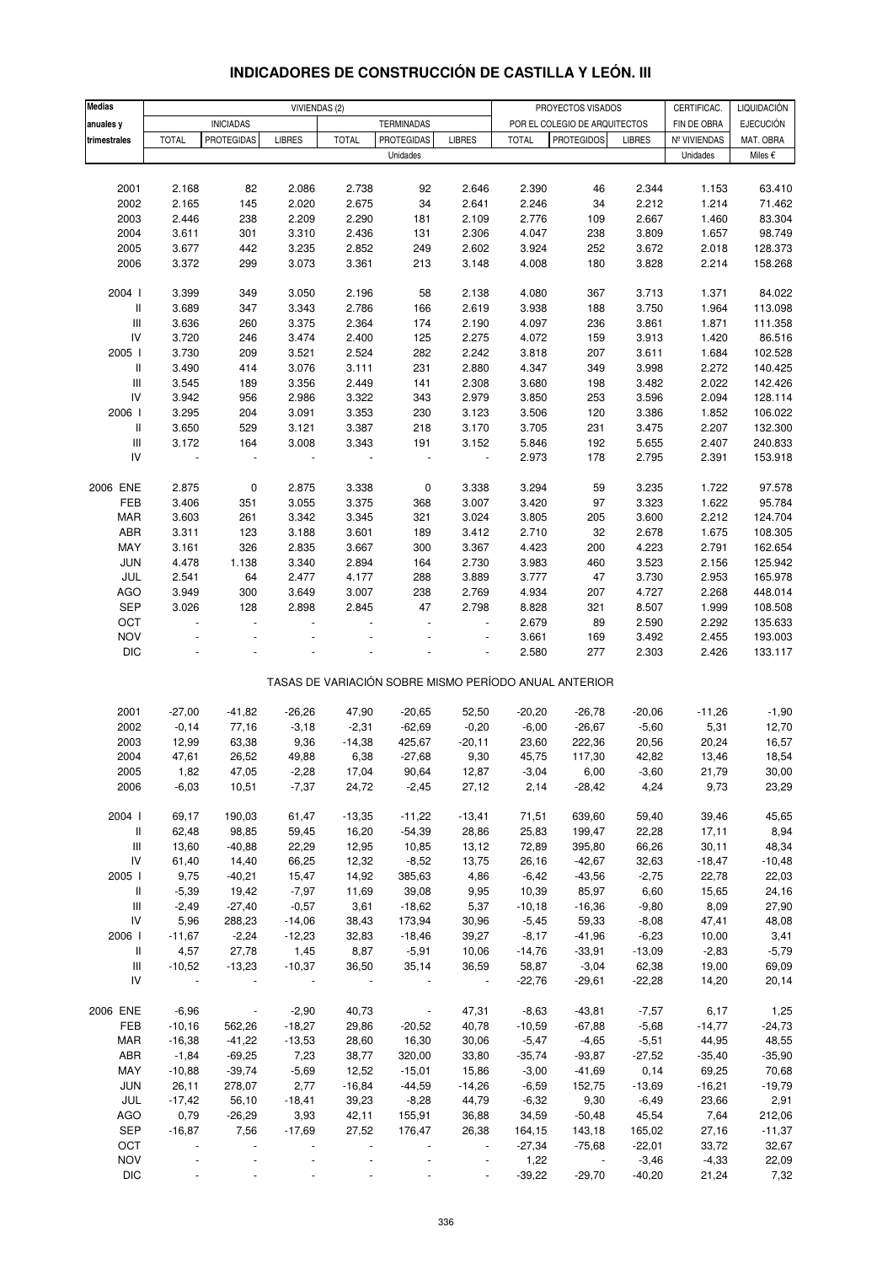| <b>Medias</b>                      |              |                          |                | VIVIENDAS (2) |                   |                |              | PROYECTOS VISADOS                                     |               | CERTIFICAC.  | LIQUIDACIÓN      |
|------------------------------------|--------------|--------------------------|----------------|---------------|-------------------|----------------|--------------|-------------------------------------------------------|---------------|--------------|------------------|
| anuales y                          |              | <b>INICIADAS</b>         |                |               | <b>TERMINADAS</b> |                |              | POR EL COLEGIO DE ARQUITECTOS                         |               | FIN DE OBRA  | <b>EJECUCIÓN</b> |
| trimestrales                       | <b>TOTAL</b> | <b>PROTEGIDAS</b>        | <b>LIBRES</b>  | <b>TOTAL</b>  | <b>PROTEGIDAS</b> | <b>LIBRES</b>  | <b>TOTAL</b> | <b>PROTEGIDOS</b>                                     | <b>LIBRES</b> | Nº VIVIENDAS | MAT. OBRA        |
|                                    |              |                          |                |               | Unidades          |                |              |                                                       |               | Unidades     | Miles €          |
|                                    |              |                          |                |               |                   |                |              |                                                       |               |              |                  |
| 2001                               | 2.168        | 82                       | 2.086          | 2.738         | 92                | 2.646          | 2.390        | 46                                                    | 2.344         | 1.153        | 63.410           |
| 2002                               | 2.165        | 145                      | 2.020          | 2.675         | 34                | 2.641          | 2.246        | 34                                                    | 2.212         | 1.214        | 71.462           |
| 2003                               | 2.446        | 238                      | 2.209          | 2.290         | 181               | 2.109          | 2.776        | 109                                                   | 2.667         | 1.460        | 83.304           |
| 2004                               | 3.611        | 301                      | 3.310          | 2.436         | 131               | 2.306          | 4.047        | 238                                                   | 3.809         | 1.657        | 98.749           |
| 2005                               | 3.677        | 442                      | 3.235          | 2.852         | 249               | 2.602          | 3.924        | 252                                                   | 3.672         | 2.018        | 128.373          |
| 2006                               | 3.372        | 299                      | 3.073          | 3.361         | 213               | 3.148          | 4.008        | 180                                                   | 3.828         | 2.214        | 158.268          |
|                                    |              |                          |                |               |                   |                |              |                                                       |               |              |                  |
| 2004 l                             | 3.399        | 349                      | 3.050          | 2.196         | 58                | 2.138          | 4.080        | 367                                                   | 3.713         | 1.371        | 84.022           |
| $\,$ $\,$ $\,$                     | 3.689        | 347                      | 3.343          | 2.786         | 166               | 2.619          | 3.938        | 188                                                   | 3.750         | 1.964        | 113.098          |
| $\ensuremath{\mathsf{III}}\xspace$ | 3.636        | 260                      | 3.375          | 2.364         | 174               | 2.190          | 4.097        | 236                                                   | 3.861         | 1.871        | 111.358          |
| IV                                 | 3.720        | 246                      | 3.474          | 2.400         | 125               | 2.275          | 4.072        | 159                                                   | 3.913         | 1.420        | 86.516           |
| 2005 l                             | 3.730        | 209                      | 3.521          | 2.524         | 282               | 2.242          | 3.818        | 207                                                   | 3.611         | 1.684        | 102.528          |
| II                                 | 3.490        | 414                      | 3.076          | 3.111         | 231               | 2.880          | 4.347        | 349                                                   | 3.998         | 2.272        | 140.425          |
| $\ensuremath{\mathsf{III}}\xspace$ | 3.545        | 189                      | 3.356          | 2.449         | 141               | 2.308          | 3.680        | 198                                                   | 3.482         | 2.022        | 142.426          |
| ${\sf IV}$                         | 3.942        | 956                      | 2.986          | 3.322         | 343               | 2.979          | 3.850        | 253                                                   | 3.596         | 2.094        | 128.114          |
| 2006                               | 3.295        | 204                      | 3.091          | 3.353         | 230               | 3.123          | 3.506        | 120                                                   | 3.386         | 1.852        | 106.022          |
| $\,$ $\,$ $\,$                     | 3.650        | 529                      | 3.121          | 3.387         | 218               | 3.170          | 3.705        | 231                                                   | 3.475         | 2.207        | 132.300          |
| $\ensuremath{\mathsf{III}}\xspace$ | 3.172        | 164                      | 3.008          | 3.343         | 191               | 3.152          | 5.846        | 192                                                   | 5.655         | 2.407        | 240.833          |
| IV                                 | ÷            | $\overline{\phantom{a}}$ | $\overline{a}$ |               | $\blacksquare$    | $\blacksquare$ | 2.973        | 178                                                   | 2.795         | 2.391        | 153.918          |
|                                    |              |                          |                |               |                   |                |              |                                                       |               |              |                  |
| 2006 ENE                           | 2.875        | $\pmb{0}$                | 2.875          | 3.338         | $\pmb{0}$         | 3.338          | 3.294        | 59                                                    | 3.235         | 1.722        | 97.578           |
| FEB                                | 3.406        | 351                      | 3.055          |               |                   | 3.007          | 3.420        |                                                       | 3.323         |              | 95.784           |
|                                    |              |                          |                | 3.375         | 368               |                |              | 97                                                    |               | 1.622        |                  |
| MAR                                | 3.603        | 261                      | 3.342          | 3.345         | 321               | 3.024          | 3.805        | 205                                                   | 3.600         | 2.212        | 124.704          |
| ABR                                | 3.311        | 123                      | 3.188          | 3.601         | 189               | 3.412          | 2.710        | 32                                                    | 2.678         | 1.675        | 108.305          |
| MAY                                | 3.161        | 326                      | 2.835          | 3.667         | 300               | 3.367          | 4.423        | 200                                                   | 4.223         | 2.791        | 162.654          |
| JUN                                | 4.478        | 1.138                    | 3.340          | 2.894         | 164               | 2.730          | 3.983        | 460                                                   | 3.523         | 2.156        | 125.942          |
| JUL                                | 2.541        | 64                       | 2.477          | 4.177         | 288               | 3.889          | 3.777        | 47                                                    | 3.730         | 2.953        | 165.978          |
| <b>AGO</b>                         | 3.949        | 300                      | 3.649          | 3.007         | 238               | 2.769          | 4.934        | 207                                                   | 4.727         | 2.268        | 448.014          |
| SEP                                | 3.026        | 128                      | 2.898          | 2.845         | 47                | 2.798          | 8.828        | 321                                                   | 8.507         | 1.999        | 108.508          |
| OCT                                |              | $\overline{a}$           |                |               |                   |                | 2.679        | 89                                                    | 2.590         | 2.292        | 135.633          |
| <b>NOV</b>                         |              |                          |                |               |                   |                | 3.661        | 169                                                   | 3.492         | 2.455        | 193.003          |
| <b>DIC</b>                         |              |                          |                |               |                   |                | 2.580        | 277                                                   | 2.303         | 2.426        | 133.117          |
|                                    |              |                          |                |               |                   |                |              | TASAS DE VARIACIÓN SOBRE MISMO PERÍODO ANUAL ANTERIOR |               |              |                  |
|                                    |              |                          |                |               |                   |                |              |                                                       |               |              |                  |
| 2001                               | $-27,00$     | $-41,82$                 | $-26,26$       | 47,90         | $-20,65$          | 52,50          | $-20,20$     | $-26,78$                                              | $-20,06$      | $-11,26$     | $-1,90$          |
| 2002                               | $-0,14$      | 77,16                    | $-3,18$        | $-2,31$       | $-62,69$          | $-0,20$        | $-6,00$      | $-26,67$                                              | $-5,60$       | 5,31         | 12,70            |
| 2003                               | 12,99        | 63,38                    | 9,36           | $-14,38$      | 425,67            | $-20,11$       | 23,60        | 222,36                                                | 20,56         | 20,24        | 16,57            |
| 2004                               | 47,61        | 26,52                    | 49,88          | 6,38          | $-27,68$          | 9,30           | 45,75        | 117,30                                                | 42,82         | 13,46        | 18,54            |
| 2005                               | 1,82         | 47,05                    | $-2,28$        | 17,04         | 90,64             | 12,87          | $-3,04$      | 6,00                                                  | $-3,60$       | 21,79        | 30,00            |
| 2006                               | $-6,03$      | 10,51                    | $-7,37$        | 24,72         | $-2,45$           | 27,12          | 2,14         | $-28,42$                                              | 4,24          | 9,73         | 23,29            |
|                                    |              |                          |                |               |                   |                |              |                                                       |               |              |                  |
| 2004 l                             | 69,17        | 190,03                   | 61,47          | $-13,35$      | $-11,22$          | $-13,41$       | 71,51        | 639,60                                                | 59,40         | 39,46        | 45,65            |
| Ш                                  | 62,48        | 98,85                    | 59,45          | 16,20         | $-54,39$          | 28,86          | 25,83        | 199,47                                                | 22,28         | 17,11        | 8,94             |
| $\ensuremath{\mathsf{III}}\xspace$ | 13,60        | $-40,88$                 | 22,29          | 12,95         | 10,85             | 13,12          | 72,89        | 395,80                                                | 66,26         | 30,11        | 48,34            |
| IV                                 | 61,40        | 14,40                    | 66,25          | 12,32         | $-8,52$           | 13,75          | 26,16        | $-42,67$                                              | 32,63         | $-18,47$     | $-10,48$         |
| 2005                               | 9,75         | $-40,21$                 | 15,47          | 14,92         | 385,63            | 4,86           | $-6,42$      | $-43,56$                                              | $-2,75$       | 22,78        | 22,03            |
| $\, \parallel$                     | $-5,39$      | 19,42                    | $-7,97$        | 11,69         | 39,08             | 9,95           | 10,39        | 85,97                                                 | 6,60          | 15,65        | 24,16            |
| Ш                                  | $-2,49$      | $-27,40$                 | $-0,57$        | 3,61          | $-18,62$          | 5,37           | $-10,18$     | $-16,36$                                              | $-9,80$       | 8,09         | 27,90            |
| ${\sf IV}$                         | 5,96         | 288,23                   | $-14,06$       | 38,43         | 173,94            | 30,96          | $-5,45$      | 59,33                                                 | $-8,08$       |              |                  |
|                                    |              |                          |                |               |                   |                |              |                                                       |               | 47,41        | 48,08            |
| 2006                               | $-11,67$     | $-2,24$                  | $-12,23$       | 32,83         | $-18,46$          | 39,27          | $-8,17$      | $-41,96$                                              | $-6,23$       | 10,00        | 3,41             |
| Ш                                  | 4,57         | 27,78                    | 1,45           | 8,87          | $-5,91$           | 10,06          | $-14,76$     | $-33,91$                                              | $-13,09$      | $-2,83$      | $-5,79$          |
| Ш                                  | $-10,52$     | $-13,23$                 | $-10,37$       | 36,50         | 35,14             | 36,59          | 58,87        | $-3,04$                                               | 62,38         | 19,00        | 69,09            |
| IV                                 | $\sim$       |                          |                |               |                   | $\sim$ $-$     | $-22,76$     | $-29,61$                                              | $-22,28$      | 14,20        | 20,14            |
| 2006 ENE                           | $-6,96$      | $\blacksquare$           | $-2,90$        | 40,73         | $\blacksquare$    | 47,31          | $-8,63$      | $-43,81$                                              | $-7,57$       | 6,17         | 1,25             |
| FEB                                | $-10,16$     | 562,26                   | $-18,27$       | 29,86         | $-20,52$          | 40,78          | $-10,59$     | $-67,88$                                              | $-5,68$       | $-14,77$     | $-24,73$         |
| MAR                                | $-16,38$     | $-41,22$                 | $-13,53$       | 28,60         | 16,30             | 30,06          | $-5,47$      | $-4,65$                                               | $-5,51$       | 44,95        | 48,55            |
| ABR                                | $-1,84$      | $-69,25$                 | 7,23           | 38,77         | 320,00            | 33,80          | $-35,74$     | $-93,87$                                              | $-27,52$      | $-35,40$     | $-35,90$         |
| MAY                                | $-10,88$     | $-39,74$                 | $-5,69$        | 12,52         | $-15,01$          | 15,86          | $-3,00$      | $-41,69$                                              | 0,14          | 69,25        | 70,68            |
| <b>JUN</b>                         | 26,11        | 278,07                   | 2,77           | $-16,84$      | $-44,59$          | $-14,26$       | $-6,59$      | 152,75                                                | $-13,69$      | $-16,21$     | $-19,79$         |
| JUL                                | $-17,42$     | 56,10                    | $-18,41$       | 39,23         | $-8,28$           | 44,79          | $-6,32$      | 9,30                                                  | $-6,49$       | 23,66        | 2,91             |
| AGO                                | 0,79         | $-26,29$                 | 3,93           | 42,11         | 155,91            | 36,88          | 34,59        | $-50,48$                                              | 45,54         | 7,64         | 212,06           |
|                                    |              |                          |                |               |                   |                |              |                                                       |               |              |                  |
| SEP                                | $-16,87$     | 7,56                     | $-17,69$       | 27,52         | 176,47            | 26,38          | 164,15       | 143,18                                                | 165,02        | 27,16        | $-11,37$         |
| OCT<br><b>NOV</b>                  |              |                          |                |               |                   |                | $-27,34$     | $-75,68$                                              | $-22,01$      | 33,72        | 32,67            |
|                                    |              |                          |                |               |                   |                | 1,22         |                                                       | $-3,46$       | $-4,33$      | 22,09            |

# **INDICADORES DE CONSTRUCCIÓN DE CASTILLA Y LEÓN. III**

DIC - - - - - - -39,22 -29,70 -40,20 21,24 7,32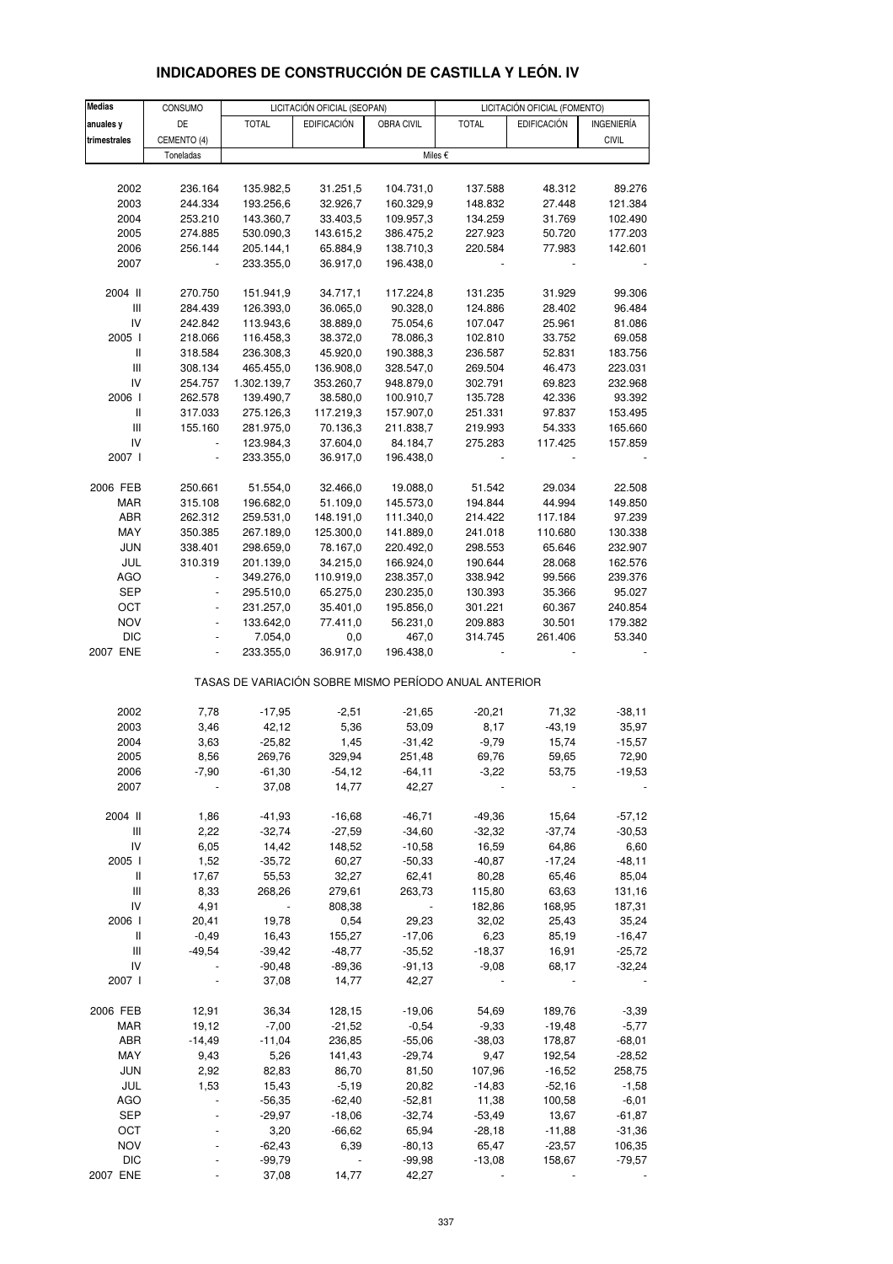| <b>Medias</b>                      | CONSUMO            |                          | LICITACIÓN OFICIAL (SEOPAN) |                        |                                                       | LICITACIÓN OFICIAL (FOMENTO) |                    |
|------------------------------------|--------------------|--------------------------|-----------------------------|------------------------|-------------------------------------------------------|------------------------------|--------------------|
| anuales y                          | DE                 | <b>TOTAL</b>             | <b>EDIFICACIÓN</b>          | OBRA CIVIL             | <b>TOTAL</b>                                          | <b>EDIFICACIÓN</b>           | INGENIERÍA         |
| trimestrales                       | CEMENTO (4)        |                          |                             |                        |                                                       |                              | <b>CIVIL</b>       |
|                                    | Toneladas          |                          |                             |                        | Miles €                                               |                              |                    |
|                                    |                    |                          |                             |                        |                                                       |                              |                    |
| 2002                               | 236.164            | 135.982,5                | 31.251,5                    | 104.731,0              | 137.588                                               | 48.312                       | 89.276             |
| 2003                               | 244.334            | 193.256,6                | 32.926,7                    | 160.329,9              | 148.832                                               | 27.448                       | 121.384            |
| 2004                               | 253.210            | 143.360,7                | 33.403,5                    | 109.957,3              | 134.259                                               | 31.769                       | 102.490            |
| 2005<br>2006                       | 274.885<br>256.144 | 530.090,3<br>205.144,1   | 143.615,2<br>65.884,9       | 386.475,2<br>138.710,3 | 227.923<br>220.584                                    | 50.720<br>77.983             | 177.203<br>142.601 |
| 2007                               |                    | 233.355,0                | 36.917,0                    | 196.438,0              |                                                       |                              |                    |
|                                    |                    |                          |                             |                        |                                                       |                              |                    |
| 2004 II                            | 270.750            | 151.941,9                | 34.717,1                    | 117.224,8              | 131.235                                               | 31.929                       | 99.306             |
| Ш                                  | 284.439            | 126.393,0                | 36.065,0                    | 90.328,0               | 124.886                                               | 28.402                       | 96.484             |
| IV                                 | 242.842            | 113.943,6                | 38.889,0                    | 75.054,6               | 107.047                                               | 25.961                       | 81.086             |
| 2005 l                             | 218.066            | 116.458,3                | 38.372,0                    | 78.086,3               | 102.810                                               | 33.752                       | 69.058             |
| Ш                                  | 318.584            | 236.308,3                | 45.920,0                    | 190.388,3              | 236.587                                               | 52.831                       | 183.756            |
| III                                | 308.134            | 465.455,0                | 136.908,0                   | 328.547,0              | 269.504                                               | 46.473                       | 223.031            |
| IV<br>2006                         | 254.757<br>262.578 | 1.302.139,7<br>139.490,7 | 353.260,7<br>38.580,0       | 948.879,0<br>100.910,7 | 302.791<br>135.728                                    | 69.823<br>42.336             | 232.968<br>93.392  |
| Ш                                  | 317.033            | 275.126,3                | 117.219,3                   | 157.907,0              | 251.331                                               | 97.837                       | 153.495            |
| $\ensuremath{\mathsf{III}}\xspace$ | 155.160            | 281.975,0                | 70.136,3                    | 211.838,7              | 219.993                                               | 54.333                       | 165.660            |
| IV                                 |                    | 123.984,3                | 37.604,0                    | 84.184,7               | 275.283                                               | 117.425                      | 157.859            |
| 2007 l                             |                    | 233.355,0                | 36.917,0                    | 196.438,0              |                                                       |                              |                    |
|                                    |                    |                          |                             |                        |                                                       |                              |                    |
| 2006 FEB                           | 250.661            | 51.554,0                 | 32.466,0                    | 19.088,0               | 51.542                                                | 29.034                       | 22.508             |
| MAR                                | 315.108            | 196.682,0                | 51.109,0                    | 145.573,0              | 194.844                                               | 44.994                       | 149.850            |
| ABR                                | 262.312            | 259.531,0                | 148.191,0                   | 111.340,0              | 214.422                                               | 117.184                      | 97.239             |
| MAY<br><b>JUN</b>                  | 350.385            | 267.189,0                | 125.300,0                   | 141.889,0              | 241.018                                               | 110.680                      | 130.338            |
| JUL                                | 338.401<br>310.319 | 298.659,0<br>201.139,0   | 78.167,0<br>34.215,0        | 220.492,0<br>166.924,0 | 298.553<br>190.644                                    | 65.646<br>28.068             | 232.907<br>162.576 |
| <b>AGO</b>                         |                    | 349.276,0                | 110.919,0                   | 238.357,0              | 338.942                                               | 99.566                       | 239.376            |
| SEP                                | $\blacksquare$     | 295.510,0                | 65.275,0                    | 230.235,0              | 130.393                                               | 35.366                       | 95.027             |
| OCT                                |                    | 231.257,0                | 35.401,0                    | 195.856,0              | 301.221                                               | 60.367                       | 240.854            |
| <b>NOV</b>                         | ÷,                 | 133.642,0                | 77.411,0                    | 56.231,0               | 209.883                                               | 30.501                       | 179.382            |
| <b>DIC</b>                         |                    | 7.054,0                  | $_{0,0}$                    | 467,0                  | 314.745                                               | 261.406                      | 53.340             |
| 2007 ENE                           |                    | 233.355,0                | 36.917,0                    | 196.438,0              |                                                       |                              |                    |
|                                    |                    |                          |                             |                        | TASAS DE VARIACIÓN SOBRE MISMO PERÍODO ANUAL ANTERIOR |                              |                    |
|                                    |                    |                          |                             |                        |                                                       |                              |                    |
| 2002                               | 7,78               | $-17,95$                 | $-2,51$                     | $-21,65$               | $-20,21$                                              | 71,32                        | $-38,11$           |
| 2003                               | 3,46               | 42,12                    | 5,36                        | 53,09                  | 8,17                                                  | $-43,19$                     | 35,97              |
| 2004                               | 3,63               | $-25,82$                 | 1,45                        | $-31,42$               | $-9,79$                                               | 15,74                        | $-15,57$           |
| 2005<br>2006                       | 8,56<br>$-7,90$    | 269,76<br>$-61,30$       | 329,94<br>$-54,12$          | 251,48<br>$-64, 11$    | 69,76<br>$-3,22$                                      | 59,65<br>53,75               | 72,90<br>$-19,53$  |
| 2007                               |                    | 37,08                    | 14,77                       | 42,27                  |                                                       |                              |                    |
|                                    |                    |                          |                             |                        |                                                       |                              |                    |
| 2004 II                            | 1,86               | $-41,93$                 | $-16,68$                    | $-46,71$               | $-49,36$                                              | 15,64                        | $-57,12$           |
| $\ensuremath{\mathsf{III}}\xspace$ | 2,22               | $-32,74$                 | $-27,59$                    | $-34,60$               | $-32,32$                                              | $-37,74$                     | $-30,53$           |
| IV                                 | 6,05               | 14,42                    | 148,52                      | $-10,58$               | 16,59                                                 | 64,86                        | 6,60               |
| 2005 l                             | 1,52               | $-35,72$                 | 60,27                       | $-50,33$               | $-40,87$                                              | $-17,24$                     | $-48,11$           |
| Ш                                  | 17,67              | 55,53                    | 32,27                       | 62,41                  | 80,28                                                 | 65,46                        | 85,04              |
| Ш<br>IV                            | 8,33<br>4,91       | 268,26                   | 279,61<br>808,38            | 263,73                 | 115,80<br>182,86                                      | 63,63<br>168,95              | 131,16<br>187,31   |
| 2006                               | 20,41              | 19,78                    | 0,54                        | 29,23                  | 32,02                                                 | 25,43                        | 35,24              |
| Ш                                  | $-0,49$            | 16,43                    | 155,27                      | $-17,06$               | 6,23                                                  | 85,19                        | $-16,47$           |
| Ш                                  | $-49,54$           | $-39,42$                 | $-48,77$                    | $-35,52$               | $-18,37$                                              | 16,91                        | $-25,72$           |
| IV                                 |                    | $-90,48$                 | $-89,36$                    | $-91, 13$              | $-9,08$                                               | 68,17                        | $-32,24$           |
| 2007 l                             |                    | 37,08                    | 14,77                       | 42,27                  |                                                       |                              |                    |
| 2006 FEB                           | 12,91              | 36,34                    | 128,15                      | $-19,06$               | 54,69                                                 | 189,76                       | $-3,39$            |
| MAR                                | 19,12              | $-7,00$                  | $-21,52$                    | $-0,54$                | $-9,33$                                               | $-19,48$                     | $-5,77$            |
| ABR                                | $-14,49$           | $-11,04$                 | 236,85                      | $-55,06$               | $-38,03$                                              | 178,87                       | $-68,01$           |
| MAY                                | 9,43               | 5,26                     | 141,43                      | $-29,74$               | 9,47                                                  | 192,54                       | $-28,52$           |
| <b>JUN</b>                         | 2,92               | 82,83                    | 86,70                       | 81,50                  | 107,96                                                | $-16,52$                     | 258,75             |
| JUL<br><b>AGO</b>                  | 1,53               | 15,43<br>$-56,35$        | $-5,19$<br>$-62,40$         | 20,82<br>$-52,81$      | $-14,83$<br>11,38                                     | $-52,16$<br>100,58           | $-1,58$<br>$-6,01$ |
| <b>SEP</b>                         |                    | $-29,97$                 | $-18,06$                    | $-32,74$               | $-53,49$                                              | 13,67                        | $-61,87$           |
| OCT                                |                    | 3,20                     | $-66,62$                    | 65,94                  | $-28,18$                                              | $-11,88$                     | $-31,36$           |

## **INDICADORES DE CONSTRUCCIÓN DE CASTILLA Y LEÓN. IV**

NOV - -62,43 6,39 -80,13 65,47 -23,57 106,35 DIC - -99,79 - -99,98 -13,08 158,67 -79,57 2007 ENE - 37,08 14,77 42,27 - - -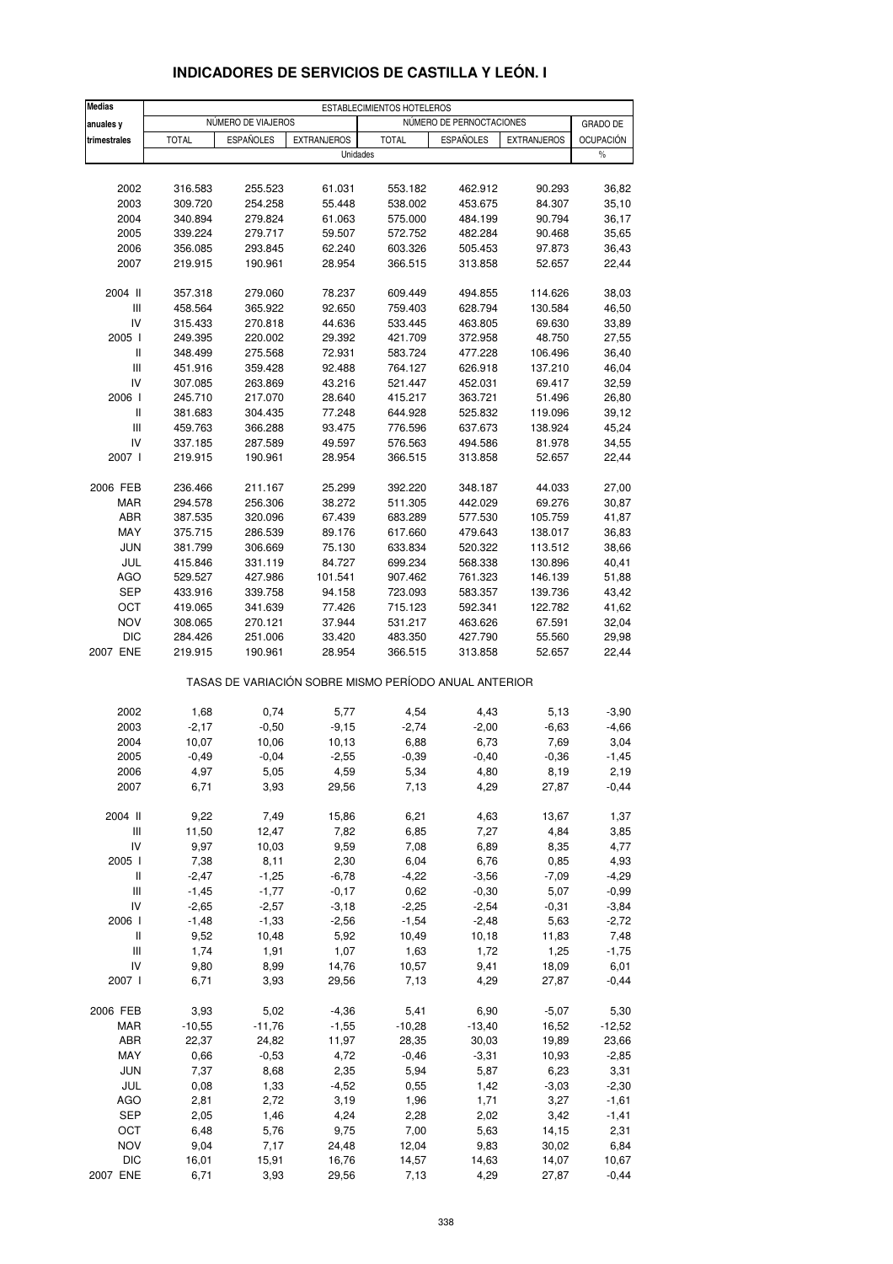| <b>Medias</b>                           | ESTABLECIMIENTOS HOTELEROS |                    |                                                       |                    |                          |                    |                  |
|-----------------------------------------|----------------------------|--------------------|-------------------------------------------------------|--------------------|--------------------------|--------------------|------------------|
| anuales y                               |                            | NÚMERO DE VIAJEROS |                                                       |                    | NÚMERO DE PERNOCTACIONES |                    | <b>GRADO DE</b>  |
| trimestrales                            | <b>TOTAL</b>               | <b>ESPAÑOLES</b>   | <b>EXTRANJEROS</b>                                    | <b>TOTAL</b>       | <b>ESPAÑOLES</b>         | <b>EXTRANJEROS</b> | <b>OCUPACIÓN</b> |
|                                         |                            |                    | Unidades                                              |                    |                          |                    | $\%$             |
|                                         |                            |                    |                                                       |                    |                          |                    |                  |
| 2002                                    | 316.583                    | 255.523            | 61.031                                                | 553.182            | 462.912                  | 90.293             | 36,82            |
| 2003                                    | 309.720                    | 254.258            | 55.448                                                | 538.002            | 453.675                  | 84.307             | 35,10            |
| 2004                                    | 340.894                    | 279.824            | 61.063                                                | 575.000            | 484.199                  | 90.794             | 36,17            |
| 2005                                    | 339.224                    | 279.717            | 59.507                                                | 572.752            | 482.284                  | 90.468             | 35,65            |
| 2006                                    | 356.085                    | 293.845            | 62.240                                                | 603.326            | 505.453                  | 97.873             | 36,43            |
| 2007                                    | 219.915                    | 190.961            | 28.954                                                | 366.515            | 313.858                  | 52.657             | 22,44            |
| 2004 II                                 | 357.318                    | 279.060            | 78.237                                                | 609.449            | 494.855                  | 114.626            | 38,03            |
| $\ensuremath{\mathsf{III}}\xspace$      | 458.564                    | 365.922            | 92.650                                                | 759.403            | 628.794                  | 130.584            | 46,50            |
| IV                                      | 315.433                    | 270.818            | 44.636                                                | 533.445            | 463.805                  | 69.630             | 33,89            |
| 2005 l                                  | 249.395                    | 220.002            | 29.392                                                | 421.709            | 372.958                  | 48.750             | 27,55            |
| $\,$ $\,$ $\,$ $\,$                     | 348.499                    | 275.568            | 72.931                                                | 583.724            | 477.228                  | 106.496            | 36,40            |
| Ш                                       | 451.916                    | 359.428            | 92.488                                                | 764.127            | 626.918                  | 137.210            | 46,04            |
| IV<br>2006                              | 307.085<br>245.710         | 263.869            | 43.216                                                | 521.447            | 452.031                  | 69.417             | 32,59            |
|                                         |                            | 217.070            | 28.640                                                | 415.217            | 363.721                  | 51.496             | 26,80            |
| Ш<br>$\ensuremath{\mathsf{III}}\xspace$ | 381.683                    | 304.435            | 77.248<br>93.475                                      | 644.928<br>776.596 | 525.832                  | 119.096<br>138.924 | 39,12<br>45,24   |
| IV                                      | 459.763                    | 366.288            |                                                       |                    | 637.673                  |                    |                  |
|                                         | 337.185                    | 287.589            | 49.597                                                | 576.563            | 494.586                  | 81.978             | 34,55            |
| 2007 l                                  | 219.915                    | 190.961            | 28.954                                                | 366.515            | 313.858                  | 52.657             | 22,44            |
| 2006 FEB                                | 236.466                    | 211.167            | 25.299                                                | 392.220            | 348.187                  | 44.033             | 27,00            |
| MAR                                     | 294.578                    | 256.306            | 38.272                                                | 511.305            | 442.029                  | 69.276             | 30,87            |
| ABR                                     | 387.535                    | 320.096            | 67.439                                                | 683.289            | 577.530                  | 105.759            | 41,87            |
| MAY                                     | 375.715                    | 286.539            | 89.176                                                | 617.660            | 479.643                  | 138.017            | 36,83            |
| <b>JUN</b>                              | 381.799                    | 306.669            | 75.130                                                | 633.834            | 520.322                  | 113.512            | 38,66            |
| JUL                                     | 415.846                    | 331.119            | 84.727                                                | 699.234            | 568.338                  | 130.896            | 40,41            |
| <b>AGO</b>                              | 529.527                    | 427.986            | 101.541                                               | 907.462            | 761.323                  | 146.139            | 51,88            |
| <b>SEP</b>                              | 433.916                    | 339.758            | 94.158                                                | 723.093            | 583.357                  | 139.736            | 43,42            |
| OCT                                     | 419.065                    | 341.639            | 77.426                                                | 715.123            | 592.341                  | 122.782            | 41,62            |
| <b>NOV</b>                              | 308.065                    | 270.121            | 37.944                                                | 531.217            | 463.626                  | 67.591             | 32,04            |
| <b>DIC</b>                              | 284.426                    | 251.006            | 33.420                                                | 483.350            | 427.790                  | 55.560             | 29,98            |
| 2007 ENE                                | 219.915                    | 190.961            | 28.954                                                | 366.515            | 313.858                  | 52.657             | 22,44            |
|                                         |                            |                    | TASAS DE VARIACIÓN SOBRE MISMO PERÍODO ANUAL ANTERIOR |                    |                          |                    |                  |
| 2002                                    | 1,68                       | 0,74               | 5,77                                                  | 4,54               | 4,43                     | 5,13               | $-3,90$          |
| 2003                                    | $-2,17$                    | $-0,50$            | $-9,15$                                               | $-2,74$            | $-2,00$                  | $-6,63$            | $-4,66$          |
| 2004                                    | 10,07                      | 10,06              | 10,13                                                 | 6,88               | 6,73                     | 7,69               | 3,04             |
| 2005                                    | $-0,49$                    | $-0,04$            | $-2,55$                                               | $-0.39$            | $-0,40$                  | $-0,36$            | $-1,45$          |
| 2006                                    | 4,97                       | 5,05               | 4,59                                                  | 5,34               | 4,80                     | 8,19               | 2,19             |
| 2007                                    | 6,71                       | 3,93               | 29,56                                                 | 7,13               | 4,29                     | 27,87              | $-0,44$          |
| 2004 II                                 | 9,22                       | 7,49               | 15,86                                                 | 6,21               | 4,63                     | 13,67              | 1,37             |
| Ш                                       | 11,50                      | 12,47              | 7,82                                                  | 6,85               | 7,27                     | 4,84               | 3,85             |
| IV                                      | 9,97                       | 10,03              | 9,59                                                  | 7,08               | 6,89                     | 8,35               | 4,77             |
| 2005 l                                  | 7,38                       | 8,11               | 2,30                                                  | 6,04               | 6,76                     | 0,85               | 4,93             |
| $\, \parallel$                          | $-2,47$                    | $-1,25$            | $-6,78$                                               | $-4,22$            | $-3,56$                  | $-7,09$            | $-4,29$          |
| $\ensuremath{\mathsf{III}}\xspace$      | $-1,45$                    | $-1,77$            | $-0,17$                                               | 0,62               | $-0,30$                  | 5,07               | $-0,99$          |
| IV                                      | $-2,65$                    | $-2,57$            | $-3,18$                                               | $-2,25$            | $-2,54$                  | $-0,31$            | $-3,84$          |
| 2006                                    | $-1,48$                    | $-1,33$            | $-2,56$                                               | $-1,54$            | $-2,48$                  | 5,63               | $-2,72$          |
| Ш                                       | 9,52                       | 10,48              | 5,92                                                  | 10,49              | 10,18                    | 11,83              | 7,48             |
| Ш                                       | 1,74                       | 1,91               | 1,07                                                  | 1,63               | 1,72                     | 1,25               | $-1,75$          |
| IV                                      | 9,80                       | 8,99               | 14,76                                                 | 10,57              | 9,41                     | 18,09              | 6,01             |
| 2007 l                                  | 6,71                       | 3,93               | 29,56                                                 | 7,13               | 4,29                     | 27,87              | $-0,44$          |
| 2006 FEB                                | 3,93                       | 5,02               | $-4,36$                                               | 5,41               | 6,90                     | $-5,07$            | 5,30             |
| MAR                                     | $-10,55$                   | $-11,76$           | $-1,55$                                               | $-10,28$           | $-13,40$                 | 16,52              | $-12,52$         |
| ABR                                     | 22,37                      | 24,82              | 11,97                                                 | 28,35              | 30,03                    | 19,89              | 23,66            |
| MAY                                     | 0,66                       | $-0,53$            | 4,72                                                  | $-0,46$            | $-3,31$                  | 10,93              | $-2,85$          |
| <b>JUN</b>                              | 7,37                       | 8,68               | 2,35                                                  | 5,94               | 5,87                     | 6,23               | 3,31             |
| JUL                                     | 0,08                       | 1,33               | $-4,52$                                               | 0,55               | 1,42                     | $-3,03$            | $-2,30$          |
| <b>AGO</b>                              | 2,81                       | 2,72               | 3,19                                                  | 1,96               | 1,71                     | 3,27               | $-1,61$          |
| SEP                                     | 2,05                       | 1,46               | 4,24                                                  | 2,28               | 2,02                     | 3,42               | $-1,41$          |
| OCT                                     | 6,48                       | 5,76               | 9,75                                                  | 7,00               | 5,63                     | 14,15              | 2,31             |
| <b>NOV</b>                              | 9,04                       | 7,17               | 24,48                                                 | 12,04              | 9,83                     | 30,02              | 6,84             |
| <b>DIC</b>                              | 16,01                      | 15,91              | 16,76                                                 | 14,57              | 14,63                    | 14,07              | 10,67            |
| 2007 ENE                                | 6,71                       | 3,93               | 29,56                                                 | 7,13               | 4,29                     | 27,87              | $-0,44$          |

#### **INDICADORES DE SERVICIOS DE CASTILLA Y LEÓN. I**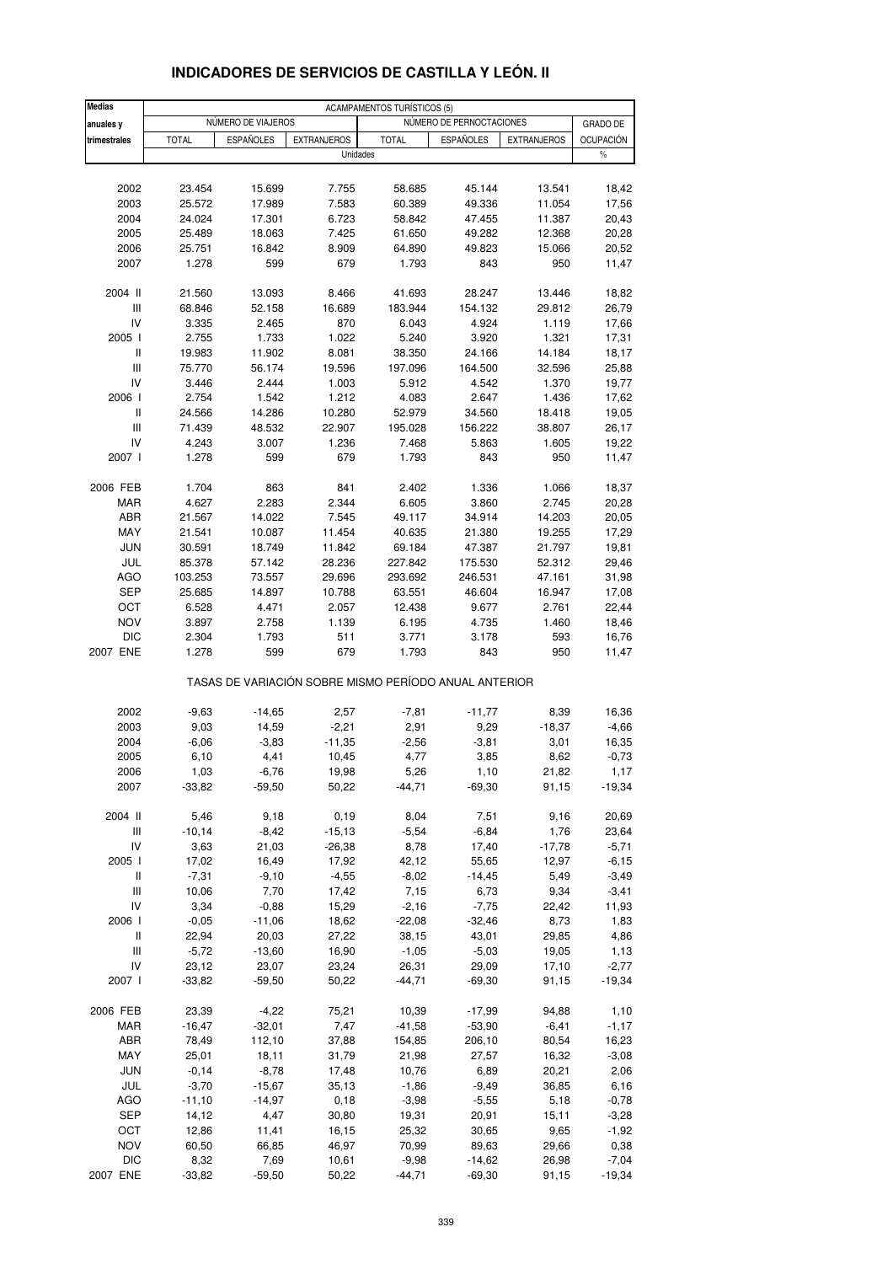| <b>Medias</b>                      | <b>ACAMPAMENTOS TURÍSTICOS (5)</b> |                    |                    |                 |                                                       |                    |                  |  |
|------------------------------------|------------------------------------|--------------------|--------------------|-----------------|-------------------------------------------------------|--------------------|------------------|--|
| anuales y                          |                                    | NÚMERO DE VIAJEROS |                    |                 | NÚMERO DE PERNOCTACIONES                              |                    | <b>GRADO DE</b>  |  |
| trimestrales                       | <b>TOTAL</b>                       | <b>ESPAÑOLES</b>   | <b>EXTRANJEROS</b> | <b>TOTAL</b>    | <b>ESPAÑOLES</b>                                      | <b>EXTRANJEROS</b> | <b>OCUPACIÓN</b> |  |
|                                    |                                    |                    | Unidades           |                 |                                                       |                    | $\%$             |  |
|                                    |                                    |                    |                    |                 |                                                       |                    |                  |  |
| 2002                               | 23.454                             | 15.699             | 7.755              | 58.685          | 45.144                                                | 13.541             | 18,42            |  |
| 2003                               | 25.572                             | 17.989             | 7.583              | 60.389          | 49.336                                                | 11.054             | 17,56            |  |
| 2004                               | 24.024                             | 17.301             | 6.723              | 58.842          | 47.455                                                | 11.387             | 20,43            |  |
| 2005                               | 25.489                             | 18.063             | 7.425              | 61.650          | 49.282                                                | 12.368             | 20,28            |  |
| 2006<br>2007                       | 25.751<br>1.278                    | 16.842<br>599      | 8.909<br>679       | 64.890<br>1.793 | 49.823<br>843                                         | 15.066<br>950      | 20,52            |  |
|                                    |                                    |                    |                    |                 |                                                       |                    | 11,47            |  |
| 2004 II                            | 21.560                             | 13.093             | 8.466              | 41.693          | 28.247                                                | 13.446             | 18,82            |  |
| Ш                                  | 68.846                             | 52.158             | 16.689             | 183.944         | 154.132                                               | 29.812             | 26,79            |  |
| IV                                 | 3.335                              | 2.465              | 870                | 6.043           | 4.924                                                 | 1.119              | 17,66            |  |
| 2005 l                             | 2.755                              | 1.733              | 1.022              | 5.240           | 3.920                                                 | 1.321              | 17,31            |  |
| Ш                                  | 19.983                             | 11.902             | 8.081              | 38.350          | 24.166                                                | 14.184             | 18,17            |  |
| Ш                                  | 75.770                             | 56.174             | 19.596             | 197.096         | 164.500                                               | 32.596             | 25,88            |  |
| IV                                 | 3.446                              | 2.444              | 1.003              | 5.912           | 4.542                                                 | 1.370              | 19,77            |  |
| 2006                               | 2.754                              | 1.542              | 1.212              | 4.083           | 2.647                                                 | 1.436              | 17,62            |  |
| Ш                                  | 24.566                             | 14.286             | 10.280             | 52.979          | 34.560                                                | 18.418             | 19,05            |  |
| Ш                                  | 71.439                             | 48.532             | 22.907             | 195.028         | 156.222                                               | 38.807             | 26,17            |  |
| IV                                 | 4.243                              | 3.007              | 1.236              | 7.468           | 5.863                                                 | 1.605              | 19,22            |  |
| 2007 l                             | 1.278                              | 599                | 679                | 1.793           | 843                                                   | 950                | 11,47            |  |
| 2006 FEB                           | 1.704                              | 863                | 841                | 2.402           | 1.336                                                 | 1.066              | 18,37            |  |
| <b>MAR</b>                         | 4.627                              | 2.283              | 2.344              | 6.605           | 3.860                                                 | 2.745              | 20,28            |  |
| ABR                                | 21.567                             | 14.022             | 7.545              | 49.117          | 34.914                                                | 14.203             | 20,05            |  |
| MAY                                | 21.541                             | 10.087             | 11.454             | 40.635          | 21.380                                                | 19.255             | 17,29            |  |
| <b>JUN</b>                         | 30.591                             | 18.749             | 11.842             | 69.184          | 47.387                                                | 21.797             | 19,81            |  |
| JUL                                | 85.378                             | 57.142             | 28.236             | 227.842         | 175.530                                               | 52.312             | 29,46            |  |
| <b>AGO</b>                         | 103.253                            | 73.557             | 29.696             | 293.692         | 246.531                                               | 47.161             | 31,98            |  |
| <b>SEP</b>                         | 25.685                             | 14.897             | 10.788             | 63.551          | 46.604                                                | 16.947             | 17,08            |  |
| OCT                                | 6.528                              | 4.471              | 2.057              | 12.438          | 9.677                                                 | 2.761              | 22,44            |  |
| <b>NOV</b>                         | 3.897                              | 2.758              | 1.139              | 6.195           | 4.735                                                 | 1.460              | 18,46            |  |
| <b>DIC</b>                         | 2.304                              | 1.793              | 511                | 3.771           | 3.178                                                 | 593                | 16,76            |  |
| 2007 ENE                           | 1.278                              | 599                | 679                | 1.793           | 843                                                   | 950                | 11,47            |  |
|                                    |                                    |                    |                    |                 | TASAS DE VARIACIÓN SOBRE MISMO PERÍODO ANUAL ANTERIOR |                    |                  |  |
| 2002                               | $-9,63$                            | $-14,65$           | 2,57               | $-7,81$         | $-11,77$                                              | 8,39               | 16,36            |  |
| 2003                               | 9,03                               | 14,59              | $-2,21$            | 2,91            | 9,29                                                  | $-18,37$           | $-4,66$          |  |
| 2004                               | $-6,06$                            | $-3,83$            | $-11,35$           | $-2,56$         | $-3,81$                                               | 3,01               | 16,35            |  |
| 2005                               | 6,10                               | 4,41               | 10,45              | 4,77            | 3,85                                                  | 8,62               | $-0,73$          |  |
| 2006                               | 1,03                               | $-6,76$            | 19,98              | 5,26            | 1,10                                                  | 21,82              | 1,17             |  |
| 2007                               | $-33,82$                           | $-59,50$           | 50,22              | $-44,71$        | $-69,30$                                              | 91,15              | $-19,34$         |  |
| 2004 II                            | 5,46                               | 9,18               | 0, 19              | 8,04            | 7,51                                                  | 9,16               | 20,69            |  |
| $\ensuremath{\mathsf{III}}\xspace$ | $-10,14$                           | $-8,42$            | $-15, 13$          | $-5,54$         | $-6,84$                                               | 1,76               | 23,64            |  |
| IV                                 | 3,63                               | 21,03              | $-26,38$           | 8,78            | 17,40                                                 | $-17,78$           | $-5,71$          |  |
| 2005 l                             | 17,02                              | 16,49              | 17,92              | 42,12           | 55,65                                                 | 12,97              | $-6, 15$         |  |
| Ш                                  | $-7,31$                            | $-9,10$            | $-4,55$            | $-8,02$         | $-14,45$                                              | 5,49               | $-3,49$          |  |
| $\ensuremath{\mathsf{III}}\xspace$ | 10,06                              | 7,70               | 17,42              | 7,15            | 6,73                                                  | 9,34               | $-3,41$          |  |
| IV                                 | 3,34                               | $-0,88$            | 15,29              | $-2,16$         | $-7,75$                                               | 22,42              | 11,93            |  |
| 2006                               | $-0,05$                            | $-11,06$           | 18,62              | $-22,08$        | $-32,46$                                              | 8,73               | 1,83             |  |
| Ш                                  | 22,94                              | 20,03              | 27,22              | 38,15           | 43,01                                                 | 29,85              | 4,86             |  |
| Ш                                  | $-5,72$                            | $-13,60$           | 16,90              | $-1,05$         | $-5,03$                                               | 19,05              | 1,13             |  |
| IV                                 | 23,12                              | 23,07              | 23,24              | 26,31           | 29,09                                                 | 17,10              | $-2,77$          |  |
| 2007 l                             | $-33,82$                           | $-59,50$           | 50,22              | $-44,71$        | $-69,30$                                              | 91,15              | $-19,34$         |  |
| 2006 FEB                           | 23,39                              | $-4,22$            | 75,21              | 10,39           | $-17,99$                                              | 94,88              | 1,10             |  |
| MAR                                | $-16,47$                           | $-32,01$           | 7,47               | $-41,58$        | $-53,90$                                              | $-6,41$            | $-1,17$          |  |
| ABR                                | 78,49                              | 112,10             | 37,88              | 154,85          | 206,10                                                | 80,54              | 16,23            |  |
| MAY                                | 25,01                              | 18,11              | 31,79              | 21,98           | 27,57                                                 | 16,32              | $-3,08$          |  |
| <b>JUN</b>                         | $-0,14$                            | $-8,78$            | 17,48              | 10,76           | 6,89                                                  | 20,21              | 2,06             |  |
| JUL                                | $-3,70$                            | $-15,67$           | 35, 13             | $-1,86$         | $-9,49$                                               | 36,85              | 6,16             |  |
| AGO                                | $-11,10$                           | $-14,97$           | 0, 18              | $-3,98$         | $-5,55$                                               | 5,18               | $-0,78$          |  |
| <b>SEP</b>                         | 14,12                              | 4,47               | 30,80              | 19,31           | 20,91                                                 | 15,11              | $-3,28$          |  |
| OCT                                | 12,86                              | 11,41              | 16,15              | 25,32           | 30,65                                                 | 9,65               | $-1,92$          |  |
| <b>NOV</b>                         | 60,50                              | 66,85              | 46,97              | 70,99           | 89,63                                                 | 29,66              | 0,38             |  |
| <b>DIC</b>                         | 8,32                               | 7,69               | 10,61              | $-9,98$         | -14,62                                                | 26,98              | $-7,04$          |  |
| 2007 ENE                           | $-33,82$                           | $-59,50$           | 50,22              | $-44,71$        | $-69,30$                                              | 91,15              | $-19,34$         |  |

### **INDICADORES DE SERVICIOS DE CASTILLA Y LEÓN. II**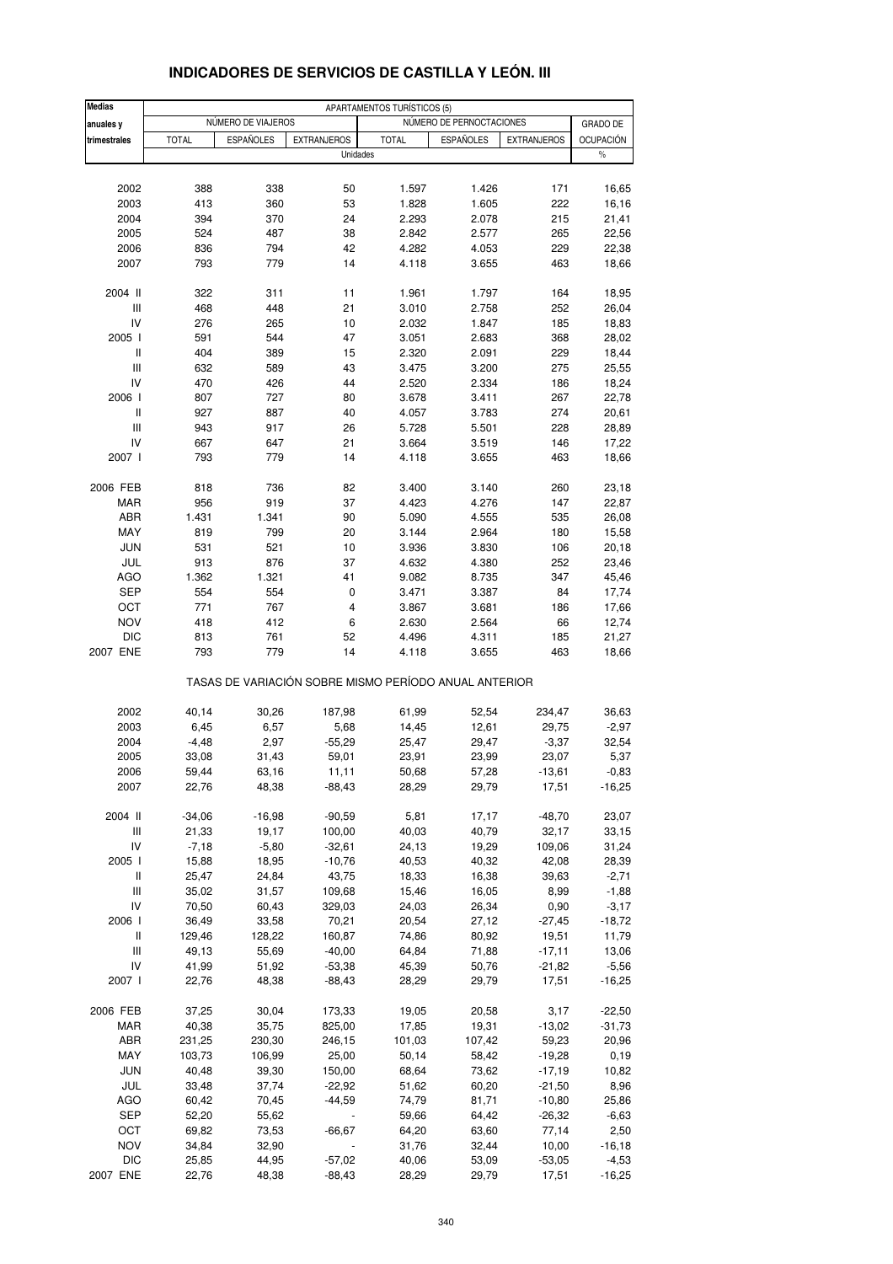| <b>Medias</b>                      | APARTAMENTOS TURÍSTICOS (5) |                    |                                                       |                |                          |                    |                      |
|------------------------------------|-----------------------------|--------------------|-------------------------------------------------------|----------------|--------------------------|--------------------|----------------------|
| anuales y                          |                             | NÚMERO DE VIAJEROS |                                                       |                | NÚMERO DE PERNOCTACIONES |                    | <b>GRADO DE</b>      |
| trimestrales                       | <b>TOTAL</b>                | <b>ESPAÑOLES</b>   | <b>EXTRANJEROS</b>                                    | <b>TOTAL</b>   | <b>ESPAÑOLES</b>         | <b>EXTRANJEROS</b> | <b>OCUPACIÓN</b>     |
|                                    |                             |                    | Unidades                                              |                |                          |                    | $\%$                 |
|                                    |                             |                    |                                                       |                |                          |                    |                      |
| 2002                               | 388                         | 338                | 50                                                    | 1.597          | 1.426                    | 171                | 16,65                |
| 2003                               | 413                         | 360                | 53                                                    | 1.828          | 1.605                    | 222                | 16,16                |
| 2004                               | 394                         | 370                | 24                                                    | 2.293          | 2.078                    | 215                | 21,41                |
| 2005                               | 524                         | 487                | 38                                                    | 2.842          | 2.577                    | 265                | 22,56                |
| 2006                               | 836                         | 794                | 42                                                    | 4.282          | 4.053                    | 229                | 22,38                |
| 2007                               | 793                         | 779                | 14                                                    | 4.118          | 3.655                    | 463                | 18,66                |
| 2004 II                            | 322                         | 311                | 11                                                    | 1.961          | 1.797                    | 164                | 18,95                |
| Ш                                  | 468                         | 448                | 21                                                    | 3.010          | 2.758                    | 252                | 26,04                |
| IV                                 | 276                         | 265                | 10                                                    | 2.032          | 1.847                    | 185                | 18,83                |
| 2005 l                             | 591                         | 544                | 47                                                    | 3.051          | 2.683                    | 368                | 28,02                |
| $\mathsf{I}$<br>Ш                  | 404                         | 389                | 15                                                    | 2.320          | 2.091                    | 229                | 18,44                |
| IV                                 | 632<br>470                  | 589<br>426         | 43<br>44                                              | 3.475<br>2.520 | 3.200<br>2.334           | 275<br>186         | 25,55<br>18,24       |
| 2006                               | 807                         | 727                | 80                                                    | 3.678          | 3.411                    | 267                | 22,78                |
| $\mathsf{I}$                       | 927                         | 887                | 40                                                    | 4.057          | 3.783                    | 274                | 20,61                |
| $\mathsf{III}$                     | 943                         | 917                | 26                                                    | 5.728          | 5.501                    | 228                | 28,89                |
| IV                                 | 667                         | 647                | 21                                                    | 3.664          | 3.519                    | 146                | 17,22                |
| 2007 l                             | 793                         | 779                | 14                                                    | 4.118          | 3.655                    | 463                | 18,66                |
| 2006 FEB                           | 818                         | 736                | 82                                                    | 3.400          | 3.140                    | 260                | 23,18                |
| <b>MAR</b>                         | 956                         | 919                | 37                                                    | 4.423          | 4.276                    | 147                | 22,87                |
| ABR                                | 1.431                       | 1.341              | 90                                                    | 5.090          | 4.555                    | 535                | 26,08                |
| MAY                                | 819                         | 799                | 20                                                    | 3.144          | 2.964                    | 180                | 15,58                |
| <b>JUN</b>                         | 531                         | 521                | 10                                                    | 3.936          | 3.830                    | 106                | 20,18                |
| JUL                                | 913                         | 876                | 37                                                    | 4.632          | 4.380                    | 252                | 23,46                |
| <b>AGO</b>                         | 1.362                       | 1.321              | 41                                                    | 9.082          | 8.735                    | 347                | 45,46                |
| <b>SEP</b>                         | 554                         | 554                | 0                                                     | 3.471          | 3.387                    | 84                 | 17,74                |
| ОСТ                                | 771                         | 767                | 4                                                     | 3.867          | 3.681                    | 186                | 17,66                |
| <b>NOV</b>                         | 418                         | 412                | 6                                                     | 2.630          | 2.564                    | 66                 | 12,74                |
| DIC<br>2007 ENE                    | 813<br>793                  | 761<br>779         | 52<br>14                                              | 4.496<br>4.118 | 4.311<br>3.655           | 185<br>463         | 21,27<br>18,66       |
|                                    |                             |                    | TASAS DE VARIACIÓN SOBRE MISMO PERÍODO ANUAL ANTERIOR |                |                          |                    |                      |
| 2002                               | 40,14                       | 30,26              | 187,98                                                | 61,99          | 52,54                    | 234,47             | 36,63                |
| 2003                               | 6,45                        | 6,57               | 5,68                                                  | 14,45          | 12,61                    | 29,75              | $-2,97$              |
| 2004                               | -4,48                       | 2,97               | $-55,29$                                              | 25,47          | 29,47                    | $-3,37$            | 32,54                |
| 2005                               | 33,08                       | 31,43              | 59,01                                                 | 23,91          | 23,99                    | 23,07              | 5,37                 |
| 2006                               | 59,44                       | 63,16              | 11,11                                                 | 50,68          | 57,28                    | -13,61             | $-0,83$              |
| 2007                               | 22,76                       | 48,38              | $-88,43$                                              | 28,29          | 29,79                    | 17,51              | $-16,25$             |
| 2004 II                            | $-34,06$                    | $-16,98$           | $-90,59$                                              | 5,81           | 17,17                    | $-48,70$           | 23,07                |
| $\ensuremath{\mathsf{III}}\xspace$ | 21,33                       | 19,17              | 100,00                                                | 40,03          | 40,79                    | 32,17              | 33,15                |
| IV                                 | $-7,18$                     | $-5,80$            | $-32,61$                                              | 24,13          | 19,29                    | 109,06             | 31,24                |
| 2005 l                             | 15,88                       | 18,95              | $-10,76$                                              | 40,53          | 40,32                    | 42,08              | 28,39                |
| Ш                                  | 25,47                       | 24,84              | 43,75                                                 | 18,33          | 16,38                    | 39,63              | $-2,71$              |
| $\ensuremath{\mathsf{III}}\xspace$ | 35,02                       | 31,57              | 109,68                                                | 15,46          | 16,05                    | 8,99               | $-1,88$              |
| IV                                 | 70,50                       | 60,43              | 329,03                                                | 24,03          | 26,34                    | 0,90               | $-3,17$              |
| 2006                               | 36,49                       | 33,58              | 70,21                                                 | 20,54          | 27,12                    | $-27,45$           | $-18,72$             |
| Ш                                  | 129,46                      | 128,22             | 160,87                                                | 74,86          | 80,92                    | 19,51              | 11,79                |
| $\ensuremath{\mathsf{III}}\xspace$ | 49,13                       | 55,69              | $-40,00$                                              | 64,84          | 71,88                    | $-17,11$           | 13,06                |
| IV<br>2007 l                       | 41,99<br>22,76              | 51,92<br>48,38     | $-53,38$<br>$-88,43$                                  | 45,39<br>28,29 | 50,76<br>29,79           | $-21,82$<br>17,51  | $-5,56$<br>$-16,25$  |
|                                    |                             |                    |                                                       |                |                          |                    |                      |
| 2006 FEB                           | 37,25                       | 30,04              | 173,33                                                | 19,05          | 20,58                    | 3,17               | $-22,50$             |
| MAR                                | 40,38                       | 35,75              | 825,00                                                | 17,85          | 19,31                    | $-13,02$           | $-31,73$             |
| ABR                                | 231,25                      | 230,30             | 246,15                                                | 101,03         | 107,42                   | 59,23              | 20,96                |
| MAY                                | 103,73                      | 106,99             | 25,00                                                 | 50,14          | 58,42                    | $-19,28$           | 0, 19                |
| <b>JUN</b>                         | 40,48                       | 39,30              | 150,00                                                | 68,64          | 73,62                    | $-17,19$           | 10,82                |
| JUL                                | 33,48                       | 37,74              | $-22,92$                                              | 51,62          | 60,20                    | $-21,50$           | 8,96                 |
| AGO                                | 60,42                       | 70,45              | $-44,59$                                              | 74,79          | 81,71                    | $-10,80$           | 25,86                |
| <b>SEP</b>                         | 52,20                       | 55,62              |                                                       | 59,66          | 64,42                    | $-26,32$           | $-6,63$              |
| OCT                                | 69,82                       | 73,53              | $-66,67$                                              | 64,20          | 63,60                    | 77,14              | 2,50                 |
| <b>NOV</b><br><b>DIC</b>           | 34,84<br>25,85              | 32,90<br>44,95     | $-57,02$                                              | 31,76<br>40,06 | 32,44<br>53,09           | 10,00<br>$-53,05$  | $-16, 18$<br>$-4,53$ |
| 2007 ENE                           | 22,76                       | 48,38              | $-88,43$                                              | 28,29          | 29,79                    | 17,51              | $-16,25$             |
|                                    |                             |                    |                                                       |                |                          |                    |                      |

## **INDICADORES DE SERVICIOS DE CASTILLA Y LEÓN. III**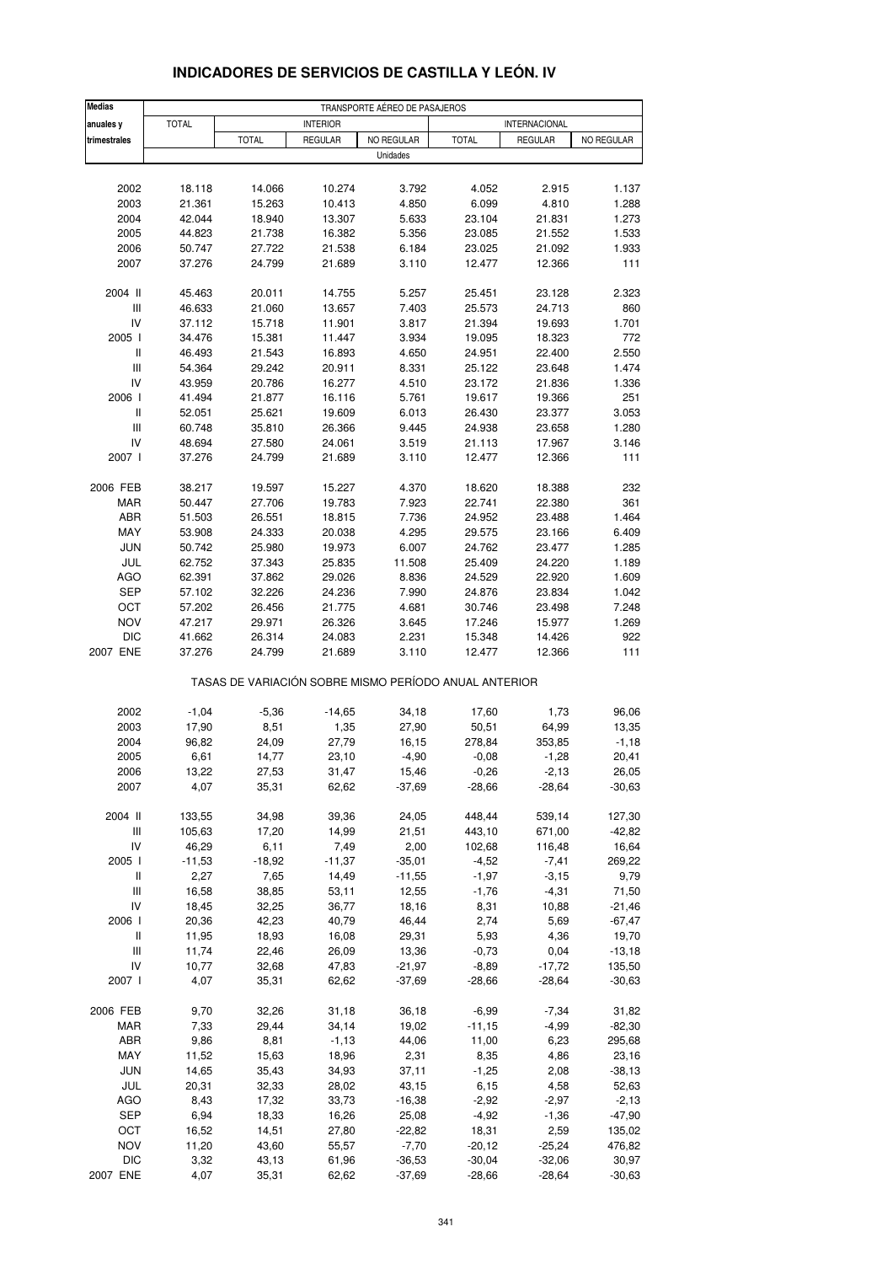| <b>Medias</b>                      | TRANSPORTE AÉREO DE PASAJEROS |                                                       |                  |                  |                   |                   |                 |  |
|------------------------------------|-------------------------------|-------------------------------------------------------|------------------|------------------|-------------------|-------------------|-----------------|--|
| anuales y                          | <b>TOTAL</b>                  |                                                       | <b>INTERIOR</b>  |                  |                   | INTERNACIONAL     |                 |  |
| trimestrales                       |                               | <b>TOTAL</b>                                          | <b>REGULAR</b>   | NO REGULAR       | <b>TOTAL</b>      | <b>REGULAR</b>    | NO REGULAR      |  |
|                                    |                               |                                                       |                  | Unidades         |                   |                   |                 |  |
|                                    |                               |                                                       |                  |                  |                   |                   |                 |  |
| 2002                               | 18.118                        | 14.066                                                | 10.274           | 3.792            | 4.052             | 2.915             | 1.137           |  |
| 2003                               | 21.361                        | 15.263                                                | 10.413           | 4.850            | 6.099             | 4.810             | 1.288           |  |
| 2004                               | 42.044                        | 18.940                                                | 13.307           | 5.633            | 23.104            | 21.831            | 1.273           |  |
| 2005                               | 44.823                        | 21.738                                                | 16.382           | 5.356            | 23.085            | 21.552            | 1.533           |  |
| 2006                               | 50.747                        | 27.722                                                | 21.538           | 6.184            | 23.025            | 21.092            | 1.933           |  |
| 2007                               | 37.276                        | 24.799                                                | 21.689           | 3.110            | 12.477            | 12.366            | 111             |  |
|                                    |                               |                                                       |                  |                  |                   |                   |                 |  |
| 2004 II<br>Ш                       | 45.463                        | 20.011                                                | 14.755           | 5.257            | 25.451            | 23.128            | 2.323           |  |
| IV                                 | 46.633<br>37.112              | 21.060<br>15.718                                      | 13.657<br>11.901 | 7.403<br>3.817   | 25.573<br>21.394  | 24.713<br>19.693  | 860<br>1.701    |  |
| 2005 l                             | 34.476                        | 15.381                                                | 11.447           | 3.934            | 19.095            | 18.323            | 772             |  |
| $\,$ $\,$ $\,$ $\,$                | 46.493                        | 21.543                                                | 16.893           | 4.650            | 24.951            | 22.400            | 2.550           |  |
| Ш                                  | 54.364                        | 29.242                                                | 20.911           | 8.331            | 25.122            | 23.648            | 1.474           |  |
| IV                                 | 43.959                        | 20.786                                                | 16.277           | 4.510            | 23.172            | 21.836            | 1.336           |  |
| 2006                               | 41.494                        | 21.877                                                | 16.116           | 5.761            | 19.617            | 19.366            | 251             |  |
| Ш                                  | 52.051                        | 25.621                                                | 19.609           | 6.013            | 26.430            | 23.377            | 3.053           |  |
| $\ensuremath{\mathsf{III}}\xspace$ | 60.748                        | 35.810                                                | 26.366           | 9.445            | 24.938            | 23.658            | 1.280           |  |
| IV                                 | 48.694                        | 27.580                                                | 24.061           | 3.519            | 21.113            | 17.967            | 3.146           |  |
| 2007 l                             | 37.276                        | 24.799                                                | 21.689           | 3.110            | 12.477            | 12.366            | 111             |  |
|                                    |                               |                                                       |                  |                  |                   |                   |                 |  |
| 2006 FEB                           | 38.217                        | 19.597                                                | 15.227           | 4.370            | 18.620            | 18.388            | 232             |  |
| MAR                                | 50.447                        | 27.706                                                | 19.783           | 7.923            | 22.741            | 22.380            | 361             |  |
| ABR<br>MAY                         | 51.503                        | 26.551                                                | 18.815           | 7.736            | 24.952            | 23.488            | 1.464<br>6.409  |  |
| <b>JUN</b>                         | 53.908<br>50.742              | 24.333<br>25.980                                      | 20.038<br>19.973 | 4.295<br>6.007   | 29.575<br>24.762  | 23.166<br>23.477  | 1.285           |  |
| JUL                                | 62.752                        | 37.343                                                | 25.835           | 11.508           | 25.409            | 24.220            | 1.189           |  |
| <b>AGO</b>                         | 62.391                        | 37.862                                                | 29.026           | 8.836            | 24.529            | 22.920            | 1.609           |  |
| <b>SEP</b>                         | 57.102                        | 32.226                                                | 24.236           | 7.990            | 24.876            | 23.834            | 1.042           |  |
| OCT                                | 57.202                        | 26.456                                                | 21.775           | 4.681            | 30.746            | 23.498            | 7.248           |  |
| <b>NOV</b>                         | 47.217                        | 29.971                                                | 26.326           | 3.645            | 17.246            | 15.977            | 1.269           |  |
| <b>DIC</b>                         | 41.662                        | 26.314                                                | 24.083           | 2.231            | 15.348            | 14.426            | 922             |  |
| 2007 ENE                           | 37.276                        | 24.799                                                | 21.689           | 3.110            | 12.477            | 12.366            | 111             |  |
|                                    |                               | TASAS DE VARIACIÓN SOBRE MISMO PERÍODO ANUAL ANTERIOR |                  |                  |                   |                   |                 |  |
| 2002                               | $-1,04$                       | $-5,36$                                               | $-14,65$         | 34,18            | 17,60             | 1,73              | 96,06           |  |
| 2003                               | 17,90                         | 8,51                                                  | 1,35             | 27,90            | 50,51             | 64,99             | 13,35           |  |
| 2004                               | 96,82                         | 24,09                                                 | 27,79            | 16,15            | 278,84            | 353,85            | $-1,18$         |  |
| 2005                               | 6,61                          | 14,77                                                 | 23,10            | $-4,90$          | $-0,08$           | $-1,28$           | 20,41           |  |
| 2006                               | 13,22                         | 27,53                                                 | 31,47            | 15,46            | $-0,26$           | -2,13             | 26,05           |  |
| 2007                               | 4,07                          | 35,31                                                 | 62,62            | $-37,69$         | $-28,66$          | $-28,64$          | $-30,63$        |  |
|                                    |                               |                                                       |                  |                  |                   |                   |                 |  |
| 2004 II                            | 133,55                        | 34,98                                                 | 39,36            | 24,05            | 448,44            | 539,14            | 127,30          |  |
| Ш<br>IV                            | 105,63                        | 17,20                                                 | 14,99            | 21,51            | 443,10            | 671,00            | $-42,82$        |  |
| 2005 l                             | 46,29<br>$-11,53$             | 6,11<br>$-18,92$                                      | 7,49<br>$-11,37$ | 2,00<br>$-35,01$ | 102,68<br>$-4,52$ | 116,48<br>$-7,41$ | 16,64<br>269,22 |  |
| Ш                                  | 2,27                          | 7,65                                                  | 14,49            | $-11,55$         | $-1,97$           | $-3,15$           | 9,79            |  |
| $\ensuremath{\mathsf{III}}\xspace$ | 16,58                         | 38,85                                                 | 53,11            | 12,55            | $-1,76$           | $-4,31$           | 71,50           |  |
| IV                                 | 18,45                         | 32,25                                                 | 36,77            | 18,16            | 8,31              | 10,88             | $-21,46$        |  |
| 2006                               | 20,36                         | 42,23                                                 | 40,79            | 46,44            | 2,74              | 5,69              | $-67,47$        |  |
| Ш                                  | 11,95                         | 18,93                                                 | 16,08            | 29,31            | 5,93              | 4,36              | 19,70           |  |
| Ш                                  | 11,74                         | 22,46                                                 | 26,09            | 13,36            | $-0,73$           | 0,04              | $-13,18$        |  |
| IV                                 | 10,77                         | 32,68                                                 | 47,83            | $-21,97$         | $-8,89$           | $-17,72$          | 135,50          |  |
| 2007 l                             | 4,07                          | 35,31                                                 | 62,62            | $-37,69$         | $-28,66$          | $-28,64$          | $-30,63$        |  |
| 2006 FEB                           | 9,70                          | 32,26                                                 | 31,18            | 36,18            | $-6,99$           | $-7,34$           | 31,82           |  |
| MAR                                | 7,33                          | 29,44                                                 | 34,14            | 19,02            | $-11,15$          | $-4,99$           | $-82,30$        |  |
| ABR                                | 9,86                          | 8,81                                                  | $-1,13$          | 44,06            | 11,00             | 6,23              | 295,68          |  |
| MAY                                | 11,52                         | 15,63                                                 | 18,96            | 2,31             | 8,35              | 4,86              | 23,16           |  |
| <b>JUN</b>                         | 14,65                         | 35,43                                                 | 34,93            | 37,11            | $-1,25$           | 2,08              | $-38,13$        |  |
| JUL                                | 20,31                         | 32,33                                                 | 28,02            | 43,15            | 6,15              | 4,58              | 52,63           |  |
| <b>AGO</b>                         | 8,43                          | 17,32                                                 | 33,73            | $-16,38$         | $-2,92$           | $-2,97$           | $-2,13$         |  |
| SEP                                | 6,94                          | 18,33                                                 | 16,26            | 25,08            | $-4,92$           | $-1,36$           | $-47,90$        |  |
| OCT                                | 16,52                         | 14,51                                                 | 27,80            | $-22,82$         | 18,31             | 2,59              | 135,02          |  |
| <b>NOV</b>                         | 11,20                         | 43,60                                                 | 55,57            | $-7,70$          | $-20,12$          | $-25,24$          | 476,82          |  |
| <b>DIC</b>                         | 3,32                          | 43,13                                                 | 61,96            | $-36,53$         | $-30,04$          | $-32,06$          | 30,97           |  |
| 2007 ENE                           | 4,07                          | 35,31                                                 | 62,62            | $-37,69$         | $-28,66$          | $-28,64$          | $-30,63$        |  |

## **INDICADORES DE SERVICIOS DE CASTILLA Y LEÓN. IV**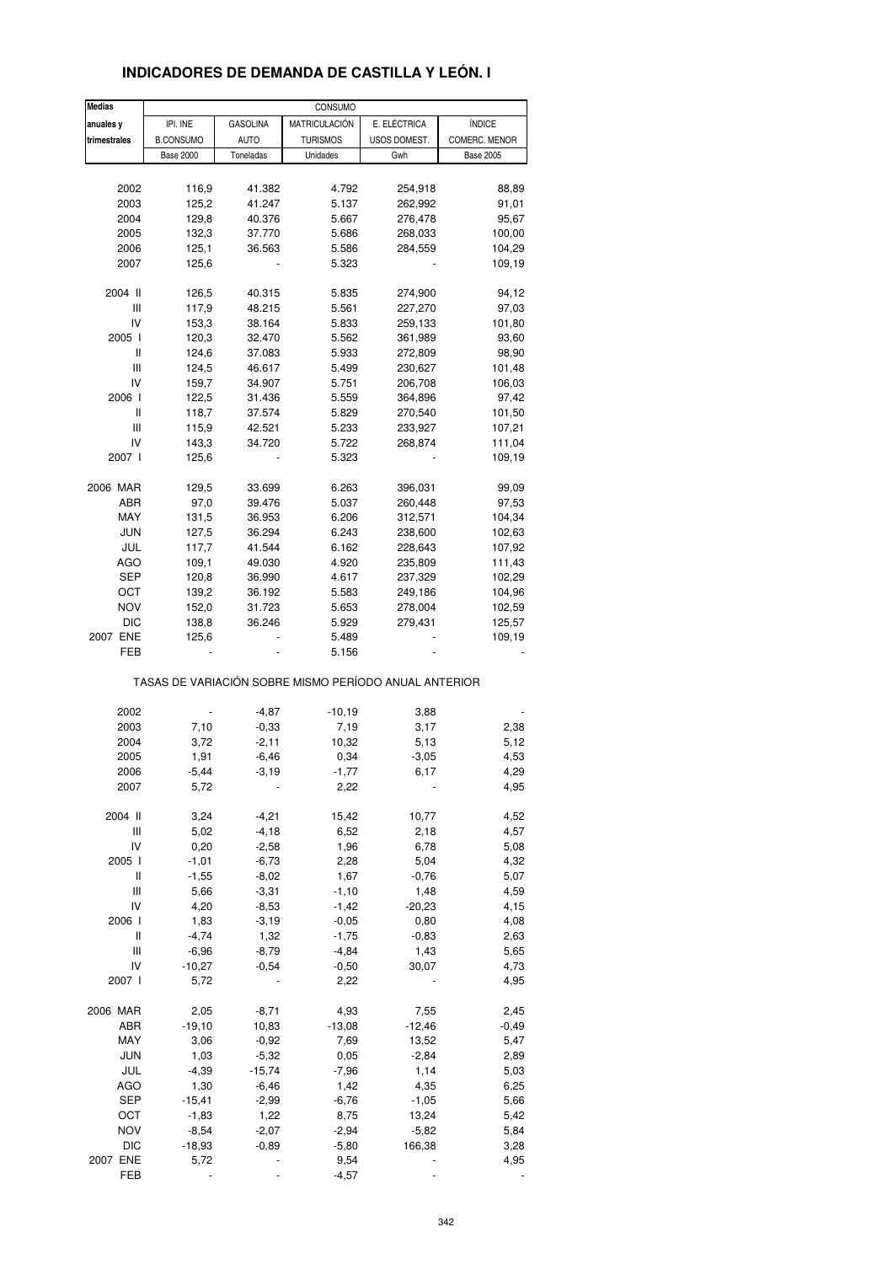| <b>Medias</b> |                  |                 | CONSUMO         |                                                       |                  |
|---------------|------------------|-----------------|-----------------|-------------------------------------------------------|------------------|
| anuales y     | IPI. INE         | <b>GASOLINA</b> | MATRICULACIÓN   | E. ELÉCTRICA                                          | ÍNDICE           |
| trimestrales  | <b>B.CONSUMO</b> | <b>AUTO</b>     | <b>TURISMOS</b> | USOS DOMEST.                                          | COMERC. MENOR    |
|               | <b>Base 2000</b> | Toneladas       | Unidades        | Gwh                                                   | <b>Base 2005</b> |
|               |                  |                 |                 |                                                       |                  |
| 2002          | 116,9            | 41.382          | 4.792           | 254,918                                               | 88,89            |
| 2003          | 125,2            | 41.247          | 5.137           | 262,992                                               | 91,01            |
| 2004          | 129,8            | 40.376          | 5.667           | 276,478                                               | 95,67            |
| 2005          | 132,3            | 37.770          | 5.686           | 268,033                                               | 100,00           |
| 2006          | 125,1            | 36.563          | 5.586           | 284,559                                               | 104,29           |
| 2007          | 125,6            |                 | 5.323           |                                                       | 109,19           |
|               |                  |                 |                 |                                                       |                  |
| 2004 II       | 126,5            | 40.315          | 5.835           | 274,900                                               | 94,12            |
| Ш             | 117,9            | 48.215          | 5.561           | 227,270                                               | 97,03            |
| IV            | 153,3            | 38.164          | 5.833           | 259,133                                               | 101,80           |
| 2005 l        | 120,3            | 32.470          | 5.562           | 361,989                                               | 93,60            |
| Ш             | 124,6            | 37.083          | 5.933           | 272,809                                               | 98,90            |
| Ш             | 124,5            | 46.617          | 5.499           | 230,627                                               | 101,48           |
| IV            | 159,7            | 34.907          | 5.751           | 206,708                                               | 106,03           |
| 2006          | 122,5            | 31.436          | 5.559           | 364,896                                               | 97,42            |
| Ш             | 118,7            | 37.574          | 5.829           | 270,540                                               | 101,50           |
| Ш             | 115,9            | 42.521          | 5.233           | 233,927                                               | 107,21           |
| IV            | 143,3            | 34.720          | 5.722           | 268,874                                               | 111,04           |
| 2007 l        | 125,6            |                 | 5.323           |                                                       | 109,19           |
|               |                  |                 |                 |                                                       |                  |
| 2006 MAR      | 129,5            | 33.699          | 6.263           | 396,031                                               | 99,09            |
| ABR           | 97,0             | 39.476          | 5.037           | 260,448                                               | 97,53            |
| MAY           | 131,5            | 36.953          | 6.206           | 312,571                                               | 104,34           |
| <b>JUN</b>    | 127,5            | 36.294          | 6.243           | 238,600                                               | 102,63           |
| JUL           | 117,7            | 41.544          | 6.162           | 228,643                                               | 107,92           |
| <b>AGO</b>    | 109,1            | 49.030          | 4.920           | 235,809                                               | 111,43           |
| SEP           | 120,8            | 36.990          | 4.617           | 237,329                                               | 102,29           |
| OCT           | 139,2            | 36.192          | 5.583           | 249,186                                               | 104,96           |
| <b>NOV</b>    | 152,0            | 31.723          | 5.653           | 278,004                                               | 102,59           |
| DIC           | 138,8            | 36.246          | 5.929           | 279,431                                               | 125,57           |
| 2007 ENE      | 125,6            |                 | 5.489           |                                                       | 109,19           |
| FEB           |                  |                 | 5.156           |                                                       |                  |
|               |                  |                 |                 | TASAS DE VARIACIÓN SOBRE MISMO PERÍODO ANUAL ANTERIOR |                  |
|               |                  |                 |                 |                                                       |                  |
| 2002          |                  | $-4,87$         | $-10,19$        | 3,88                                                  |                  |
| 2003          | 7,10             | $-0,33$         | 7,19            | 3,17                                                  | 2,38             |
| 2004          | 3,72             | $-2,11$         | 10,32           | 5,13                                                  | 5,12             |
| 2005          | 1,91             | $-6,46$         | 0,34            | $-3,05$                                               | 4,53             |
| 2006          | -5,44            | $-3,19$         | $-1,77$         | 6,17                                                  | 4,29             |
| 2007          | 5,72             |                 | 2,22            |                                                       | 4,95             |
| 2004 II       | 3,24             | $-4,21$         | 15,42           | 10,77                                                 | 4,52             |
| Ш             | 5,02             | $-4,18$         | 6,52            | 2,18                                                  | 4,57             |
| IV            | 0,20             | $-2,58$         | 1,96            | 6,78                                                  | 5,08             |
| 2005 l        | $-1,01$          | $-6,73$         | 2,28            | 5,04                                                  | 4,32             |
| Ш             | $-1,55$          | $-8,02$         | 1,67            | $-0,76$                                               | 5,07             |
| Ш             | 5,66             | $-3,31$         | $-1,10$         | 1,48                                                  | 4,59             |
| IV            | 4,20             | $-8,53$         | $-1,42$         | $-20,23$                                              | 4,15             |
| 2006 l        | 1,83             | $-3,19$         | $-0,05$         | 0,80                                                  | 4,08             |
| Ш             | $-4,74$          | 1,32            | $-1,75$         | $-0,83$                                               | 2,63             |
| Ш             | $-6,96$          | $-8,79$         | $-4,84$         | 1,43                                                  | 5,65             |
| IV            | $-10,27$         | $-0.54$         | $-0,50$         | 30,07                                                 | 4,73             |
| 2007 l        | 5,72             |                 | 2,22            |                                                       | 4,95             |
|               |                  |                 |                 |                                                       |                  |
| 2006 MAR      | 2,05             | $-8,71$         | 4,93            | 7,55                                                  | 2,45             |
| ABR           | $-19,10$         | 10,83           | $-13,08$        | $-12,46$                                              | $-0,49$          |
| MAY           | 3,06             | $-0,92$         | 7,69            | 13,52                                                 | 5,47             |
| JUN           | 1,03             | $-5,32$         | 0,05            | $-2,84$                                               | 2,89             |
| JUL           | $-4,39$          | $-15,74$        | $-7,96$         | 1,14                                                  | 5,03             |
| <b>AGO</b>    | 1,30             | $-6,46$         | 1,42            | 4,35                                                  | 6,25             |
| <b>SEP</b>    | $-15,41$         | $-2,99$         | $-6,76$         | $-1,05$                                               | 5,66             |
| OCT           | $-1,83$          | 1,22            | 8,75            | 13,24                                                 | 5,42             |
| <b>NOV</b>    | $-8,54$          | $-2,07$         | $-2,94$         | $-5,82$                                               | 5,84             |
| <b>DIC</b>    | $-18,93$         | $-0,89$         | $-5,80$         | 166,38                                                | 3,28             |
| 2007 ENE      | 5,72             |                 | 9,54            |                                                       | 4,95             |
| FEB           | $\blacksquare$   |                 | $-4,57$         |                                                       |                  |

## **INDICADORES DE DEMANDA DE CASTILLA Y LEÓN. I**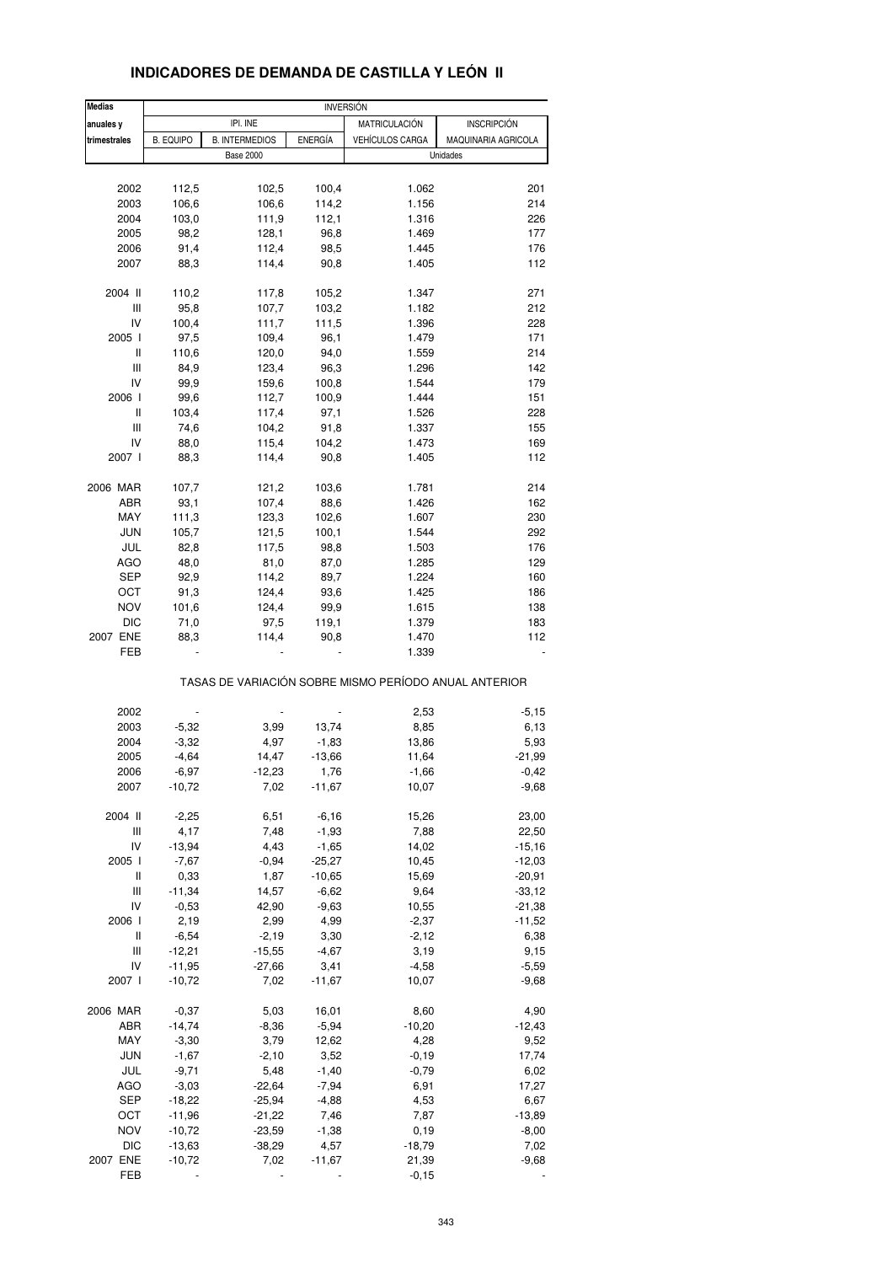| <b>Medias</b> |                  |                       |                | <b>INVERSION</b>       |                                                       |
|---------------|------------------|-----------------------|----------------|------------------------|-------------------------------------------------------|
| anuales y     |                  | IPI. INE              |                | <b>MATRICULACIÓN</b>   | <b>INSCRIPCIÓN</b>                                    |
| trimestrales  | <b>B. EQUIPO</b> | <b>B. INTERMEDIOS</b> | <b>ENERGÍA</b> | <b>VEHÍCULOS CARGA</b> | MAQUINARIA AGRICOLA                                   |
|               |                  | <b>Base 2000</b>      |                |                        | Unidades                                              |
|               |                  |                       |                |                        |                                                       |
|               |                  |                       |                |                        |                                                       |
| 2002          | 112,5            | 102,5                 | 100,4          | 1.062                  | 201                                                   |
| 2003          | 106,6            | 106,6                 | 114,2          | 1.156                  | 214                                                   |
| 2004          | 103,0            | 111,9                 | 112,1          | 1.316                  | 226                                                   |
| 2005          | 98,2             | 128,1                 | 96,8           | 1.469                  | 177                                                   |
| 2006          | 91,4             | 112,4                 | 98,5           | 1.445                  | 176                                                   |
|               |                  |                       |                |                        |                                                       |
| 2007          | 88,3             | 114,4                 | 90,8           | 1.405                  | 112                                                   |
| 2004 II       | 110,2            | 117,8                 | 105,2          | 1.347                  | 271                                                   |
| Ш             | 95,8             | 107,7                 | 103,2          | 1.182                  | 212                                                   |
|               |                  |                       |                |                        |                                                       |
| IV            | 100,4            | 111,7                 | 111,5          | 1.396                  | 228                                                   |
| 2005 l        | 97,5             | 109,4                 | 96,1           | 1.479                  | 171                                                   |
| Ш             | 110,6            | 120,0                 | 94,0           | 1.559                  | 214                                                   |
| Ш             | 84,9             | 123,4                 | 96,3           | 1.296                  | 142                                                   |
| IV            | 99,9             | 159,6                 | 100,8          | 1.544                  | 179                                                   |
| 2006          | 99,6             | 112,7                 | 100,9          | 1.444                  | 151                                                   |
|               |                  |                       |                |                        |                                                       |
| Ш             | 103,4            | 117,4                 | 97,1           | 1.526                  | 228                                                   |
| Ш             | 74,6             | 104,2                 | 91,8           | 1.337                  | 155                                                   |
| IV            | 88,0             | 115,4                 | 104,2          | 1.473                  | 169                                                   |
| 2007          | 88,3             | 114,4                 | 90,8           | 1.405                  | 112                                                   |
|               |                  |                       |                |                        |                                                       |
| 2006 MAR      | 107,7            | 121,2                 | 103,6          | 1.781                  | 214                                                   |
| ABR           | 93,1             | 107,4                 | 88,6           | 1.426                  | 162                                                   |
| MAY           | 111,3            | 123,3                 | 102,6          | 1.607                  | 230                                                   |
| <b>JUN</b>    | 105,7            | 121,5                 | 100,1          | 1.544                  | 292                                                   |
|               |                  |                       |                |                        |                                                       |
| JUL           | 82,8             | 117,5                 | 98,8           | 1.503                  | 176                                                   |
| <b>AGO</b>    | 48,0             | 81,0                  | 87,0           | 1.285                  | 129                                                   |
| SEP           | 92,9             | 114,2                 | 89,7           | 1.224                  | 160                                                   |
| OCT           | 91,3             | 124,4                 | 93,6           | 1.425                  | 186                                                   |
| <b>NOV</b>    | 101,6            | 124,4                 | 99,9           | 1.615                  | 138                                                   |
|               |                  |                       |                |                        |                                                       |
| <b>DIC</b>    | 71,0             | 97,5                  | 119,1          | 1.379                  | 183                                                   |
| 2007 ENE      | 88,3             | 114,4                 | 90,8           | 1.470                  | 112                                                   |
| FEB           |                  |                       |                | 1.339                  |                                                       |
|               |                  |                       |                |                        | TASAS DE VARIACIÓN SOBRE MISMO PERÍODO ANUAL ANTERIOR |
|               |                  |                       |                |                        |                                                       |
| 2002          |                  |                       |                | 2,53                   | $-5,15$                                               |
| 2003          | $-5,32$          | 3,99                  | 13,74          | 8,85                   | 6,13                                                  |
| 2004          | $-3,32$          | 4,97                  | $-1,83$        | 13,86                  | 5,93                                                  |
| 2005          | $-4,64$          | 14,47                 | $-13,66$       | 11,64                  | $-21,99$                                              |
|               |                  |                       |                |                        |                                                       |
| 2006          | $-6,97$          | $-12,23$              | 1,76           | $-1,66$                | $-0,42$                                               |
| 2007          | $-10,72$         | 7,02                  | $-11,67$       | 10,07                  | $-9,68$                                               |
|               |                  |                       |                |                        |                                                       |
| 2004 II       | $-2,25$          | 6,51                  | $-6,16$        | 15,26                  | 23,00                                                 |
| Ш             | 4,17             | 7,48                  | $-1,93$        | 7,88                   | 22,50                                                 |
| IV            | $-13,94$         | 4,43                  | $-1,65$        | 14,02                  | $-15,16$                                              |
| 2005 l        | $-7,67$          | $-0,94$               | $-25,27$       | 10,45                  | $-12,03$                                              |
| Ш             | 0,33             | 1,87                  | $-10,65$       | 15,69                  | $-20,91$                                              |
| Ш             | $-11,34$         | 14,57                 | $-6,62$        | 9,64                   | $-33,12$                                              |
|               |                  |                       |                |                        |                                                       |
| IV            | $-0,53$          | 42,90                 | $-9,63$        | 10,55                  | $-21,38$                                              |
| 2006          | 2,19             | 2,99                  | 4,99           | $-2,37$                | $-11,52$                                              |
| Ш             | $-6,54$          | $-2,19$               | 3,30           | $-2,12$                | 6,38                                                  |
| Ш             | $-12,21$         | $-15,55$              | $-4,67$        | 3,19                   | 9,15                                                  |
| IV            | $-11,95$         | $-27,66$              | 3,41           | $-4,58$                | $-5,59$                                               |
| 2007          | $-10,72$         | 7,02                  | $-11,67$       | 10,07                  | $-9,68$                                               |
|               |                  |                       |                |                        |                                                       |
| 2006 MAR      | $-0,37$          | 5,03                  | 16,01          | 8,60                   | 4,90                                                  |
| ABR           | $-14,74$         | $-8,36$               | $-5,94$        | $-10,20$               | $-12,43$                                              |
|               |                  |                       |                |                        |                                                       |
| MAY           | $-3,30$          | 3,79                  | 12,62          | 4,28                   | 9,52                                                  |
| <b>JUN</b>    | $-1,67$          | $-2,10$               | 3,52           | $-0,19$                | 17,74                                                 |
| JUL           | $-9,71$          | 5,48                  | $-1,40$        | $-0,79$                | 6,02                                                  |
| AGO           | $-3,03$          | $-22,64$              | $-7,94$        | 6,91                   | 17,27                                                 |
| SEP           | $-18,22$         | $-25,94$              | $-4,88$        | 4,53                   | 6,67                                                  |
|               |                  |                       |                |                        |                                                       |
| OCT           | $-11,96$         | $-21,22$              | 7,46           | 7,87                   | $-13,89$                                              |
| <b>NOV</b>    | $-10,72$         | $-23,59$              | $-1,38$        | 0, 19                  | $-8,00$                                               |
| <b>DIC</b>    | $-13,63$         | $-38,29$              | 4,57           | $-18,79$               | 7,02                                                  |
| 2007 ENE      | $-10,72$         | 7,02                  | $-11,67$       | 21,39                  | $-9,68$                                               |

## **INDICADORES DE DEMANDA DE CASTILLA Y LEÓN II**

FEB - - - -0,15 -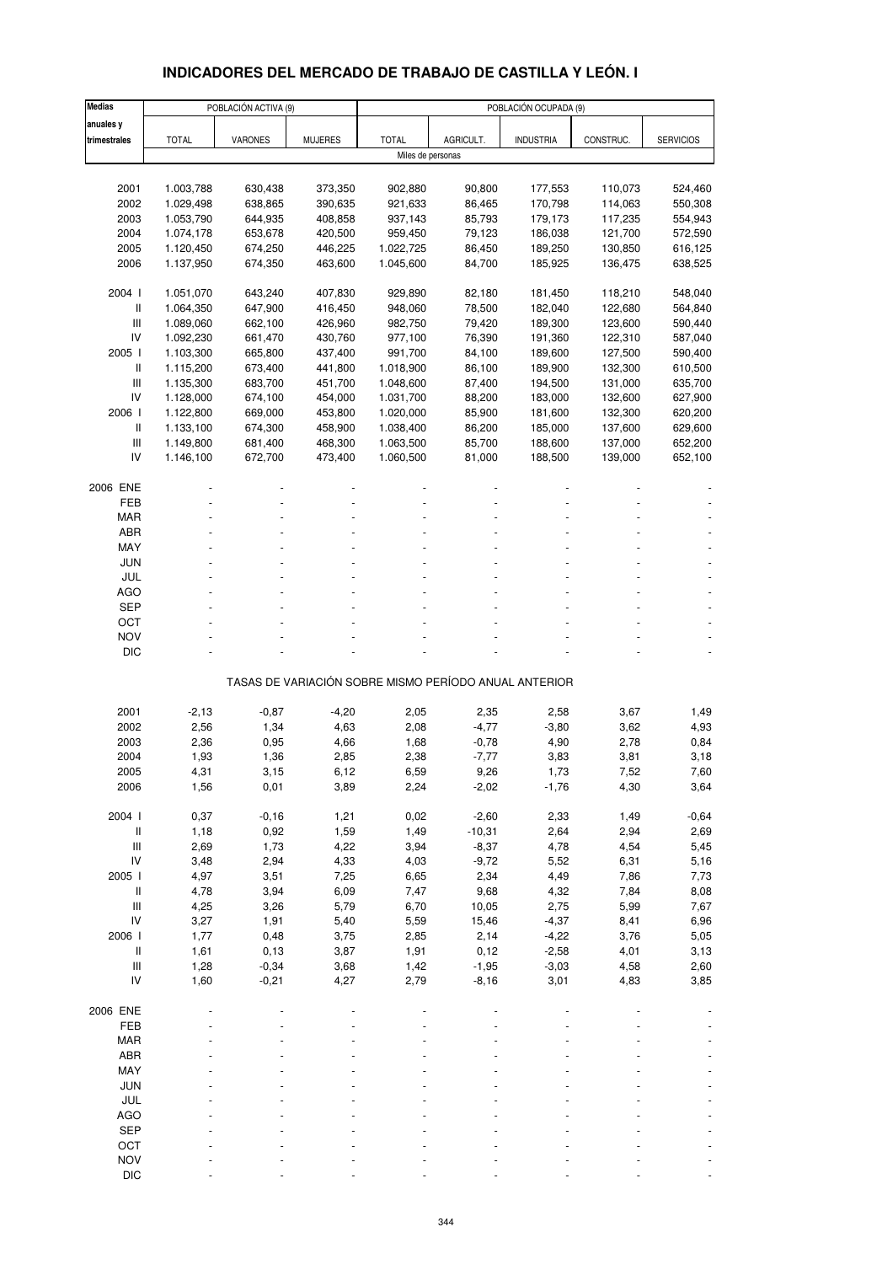## **INDICADORES DEL MERCADO DE TRABAJO DE CASTILLA Y LEÓN. I**

| <b>Medias</b>                      |                        | POBLACIÓN ACTIVA (9) |                    |                    |                                                       | POBLACIÓN OCUPADA (9) |                    |                    |
|------------------------------------|------------------------|----------------------|--------------------|--------------------|-------------------------------------------------------|-----------------------|--------------------|--------------------|
| anuales y                          |                        |                      |                    |                    |                                                       |                       |                    |                    |
| trimestrales                       | <b>TOTAL</b>           | VARONES              | <b>MUJERES</b>     | <b>TOTAL</b>       | AGRICULT.                                             | <b>INDUSTRIA</b>      | CONSTRUC.          | <b>SERVICIOS</b>   |
|                                    |                        |                      |                    | Miles de personas  |                                                       |                       |                    |                    |
|                                    |                        |                      |                    |                    |                                                       |                       |                    |                    |
| 2001                               | 1.003,788              | 630,438              | 373,350            | 902,880            | 90,800                                                | 177,553               | 110,073            | 524,460            |
| 2002                               | 1.029,498              | 638,865              | 390,635            | 921,633            | 86,465                                                | 170,798               | 114,063            | 550,308            |
| 2003                               | 1.053,790              | 644,935              | 408,858            | 937,143            | 85,793                                                | 179,173               | 117,235            | 554,943            |
| 2004                               | 1.074,178              | 653,678              | 420,500            | 959,450            | 79,123                                                | 186,038               | 121,700            | 572,590            |
| 2005                               | 1.120,450              | 674,250              | 446,225            | 1.022,725          | 86,450                                                | 189,250               | 130,850            | 616,125            |
| 2006                               | 1.137,950              | 674,350              | 463,600            | 1.045,600          | 84,700                                                | 185,925               | 136,475            | 638,525            |
|                                    |                        |                      |                    |                    |                                                       |                       |                    |                    |
| 2004 l<br>$\, \parallel$           | 1.051,070              | 643,240              | 407,830<br>416,450 | 929,890            | 82,180                                                | 181,450<br>182,040    | 118,210            | 548,040            |
| Ш                                  | 1.064,350<br>1.089,060 | 647,900<br>662,100   | 426,960            | 948,060<br>982,750 | 78,500<br>79,420                                      | 189,300               | 122,680<br>123,600 | 564,840<br>590,440 |
| IV                                 | 1.092,230              | 661,470              | 430,760            | 977,100            | 76,390                                                | 191,360               | 122,310            | 587,040            |
| 2005 l                             | 1.103,300              | 665,800              | 437,400            | 991,700            | 84,100                                                | 189,600               | 127,500            | 590,400            |
| $\, \parallel$                     | 1.115,200              | 673,400              | 441,800            | 1.018,900          | 86,100                                                | 189,900               | 132,300            | 610,500            |
| III                                | 1.135,300              | 683,700              | 451,700            | 1.048,600          | 87,400                                                | 194,500               | 131,000            | 635,700            |
| IV                                 | 1.128,000              | 674,100              | 454,000            | 1.031,700          | 88,200                                                | 183,000               | 132,600            | 627,900            |
| 2006                               | 1.122,800              | 669,000              | 453,800            | 1.020,000          | 85,900                                                | 181,600               | 132,300            | 620,200            |
| $\mathsf{I}$                       | 1.133,100              | 674,300              | 458,900            | 1.038,400          | 86,200                                                | 185,000               | 137,600            | 629,600            |
| Ш                                  | 1.149,800              | 681,400              | 468,300            | 1.063,500          | 85,700                                                | 188,600               | 137,000            | 652,200            |
| IV                                 | 1.146,100              | 672,700              | 473,400            | 1.060,500          | 81,000                                                | 188,500               | 139,000            | 652,100            |
|                                    |                        |                      |                    |                    |                                                       |                       |                    |                    |
| 2006 ENE                           |                        |                      |                    |                    |                                                       |                       |                    |                    |
| FEB                                |                        |                      |                    |                    |                                                       |                       |                    |                    |
| <b>MAR</b>                         |                        |                      |                    |                    |                                                       |                       |                    |                    |
| <b>ABR</b>                         |                        |                      |                    |                    |                                                       |                       |                    |                    |
| MAY                                |                        |                      |                    |                    |                                                       |                       |                    |                    |
| JUN                                |                        |                      |                    |                    |                                                       |                       |                    |                    |
| JUL                                |                        |                      |                    |                    |                                                       |                       |                    |                    |
| <b>AGO</b>                         |                        |                      |                    |                    |                                                       |                       |                    |                    |
| <b>SEP</b>                         |                        |                      |                    |                    |                                                       |                       |                    |                    |
| ОСТ                                |                        |                      |                    |                    |                                                       |                       |                    |                    |
| <b>NOV</b>                         |                        |                      |                    |                    |                                                       |                       |                    |                    |
| <b>DIC</b>                         |                        |                      |                    |                    |                                                       |                       |                    |                    |
|                                    |                        |                      |                    |                    | TASAS DE VARIACIÓN SOBRE MISMO PERÍODO ANUAL ANTERIOR |                       |                    |                    |
|                                    |                        |                      |                    |                    |                                                       |                       |                    |                    |
| 2001                               | $-2,13$                | $-0,87$              | $-4,20$            | 2,05               | 2,35                                                  | 2,58                  | 3,67               | 1,49               |
| 2002                               | 2,56                   | 1,34                 | 4,63               | 2,08               | $-4,77$                                               | $-3,80$               | 3,62               | 4,93               |
| 2003                               | 2,36                   | 0,95                 | 4,66               | 1,68               | $-0,78$                                               | 4,90                  | 2,78               | 0,84               |
| 2004                               | 1,93                   | 1,36                 | 2,85               | 2,38               | $-7,77$                                               | 3,83                  | 3,81               | 3,18               |
| 2005                               | 4,31                   | 3,15                 | 6,12               | 6,59               | 9,26                                                  | 1,73                  | 7,52               | 7,60               |
| 2006                               | 1,56                   | 0,01                 | 3,89               | 2,24               | $-2,02$                                               | $-1,76$               | 4,30               | 3,64               |
|                                    |                        |                      |                    |                    |                                                       |                       |                    |                    |
| 2004 l                             | 0,37                   | $-0,16$              | 1,21               | 0,02               | $-2,60$                                               | 2,33                  | 1,49               | $-0,64$            |
| $\, \parallel$                     | 1,18                   | 0,92                 | 1,59               | 1,49               | $-10,31$                                              | 2,64                  | 2,94               | 2,69               |
| Ш                                  | 2,69                   | 1,73                 | 4,22               | 3,94               | $-8,37$                                               | 4,78                  | 4,54               | 5,45               |
| IV                                 | 3,48                   | 2,94                 | 4,33               | 4,03               | $-9,72$                                               | 5,52                  | 6,31               | 5,16               |
| 2005 l                             | 4,97                   | 3,51                 | 7,25               | 6,65               | 2,34                                                  | 4,49                  | 7,86               | 7,73               |
| $\, \parallel$                     | 4,78                   | 3,94                 | 6,09               | 7,47               | 9,68                                                  | 4,32                  | 7,84               | 8,08               |
| $\ensuremath{\mathsf{III}}\xspace$ | 4,25                   | 3,26                 | 5,79               | 6,70               | 10,05                                                 | 2,75                  | 5,99               | 7,67               |
| IV                                 | 3,27                   | 1,91                 | 5,40               | 5,59               | 15,46                                                 | $-4,37$               | 8,41               | 6,96               |
| 2006                               | 1,77                   | 0,48                 | 3,75               | 2,85               | 2,14                                                  | $-4,22$               | 3,76               | 5,05               |
| $\, \parallel$                     | 1,61                   | 0, 13                | 3,87               | 1,91               | 0,12                                                  | $-2,58$               | 4,01               | 3,13               |
| $\ensuremath{\mathsf{III}}\xspace$ | 1,28                   | $-0,34$              | 3,68               | 1,42               | $-1,95$                                               | $-3,03$               | 4,58               | 2,60               |
| IV                                 | 1,60                   | $-0,21$              | 4,27               | 2,79               | $-8,16$                                               | 3,01                  | 4,83               | 3,85               |
| 2006 ENE                           |                        |                      |                    |                    |                                                       |                       |                    |                    |
| FEB                                |                        |                      |                    |                    |                                                       |                       |                    |                    |
|                                    |                        |                      |                    |                    |                                                       |                       |                    |                    |
| MAR<br>ABR                         |                        |                      |                    |                    |                                                       |                       |                    |                    |
| MAY                                |                        |                      |                    |                    |                                                       |                       |                    |                    |
| <b>JUN</b>                         |                        |                      |                    |                    |                                                       |                       |                    |                    |
| JUL                                |                        |                      |                    |                    |                                                       |                       |                    |                    |
| <b>AGO</b>                         |                        |                      |                    |                    |                                                       |                       |                    |                    |
| <b>SEP</b>                         |                        |                      |                    |                    |                                                       |                       |                    |                    |
| OCT                                |                        |                      |                    |                    |                                                       |                       |                    |                    |
| <b>NOV</b>                         |                        |                      |                    |                    |                                                       |                       |                    |                    |
| <b>DIC</b>                         |                        |                      |                    |                    |                                                       |                       |                    |                    |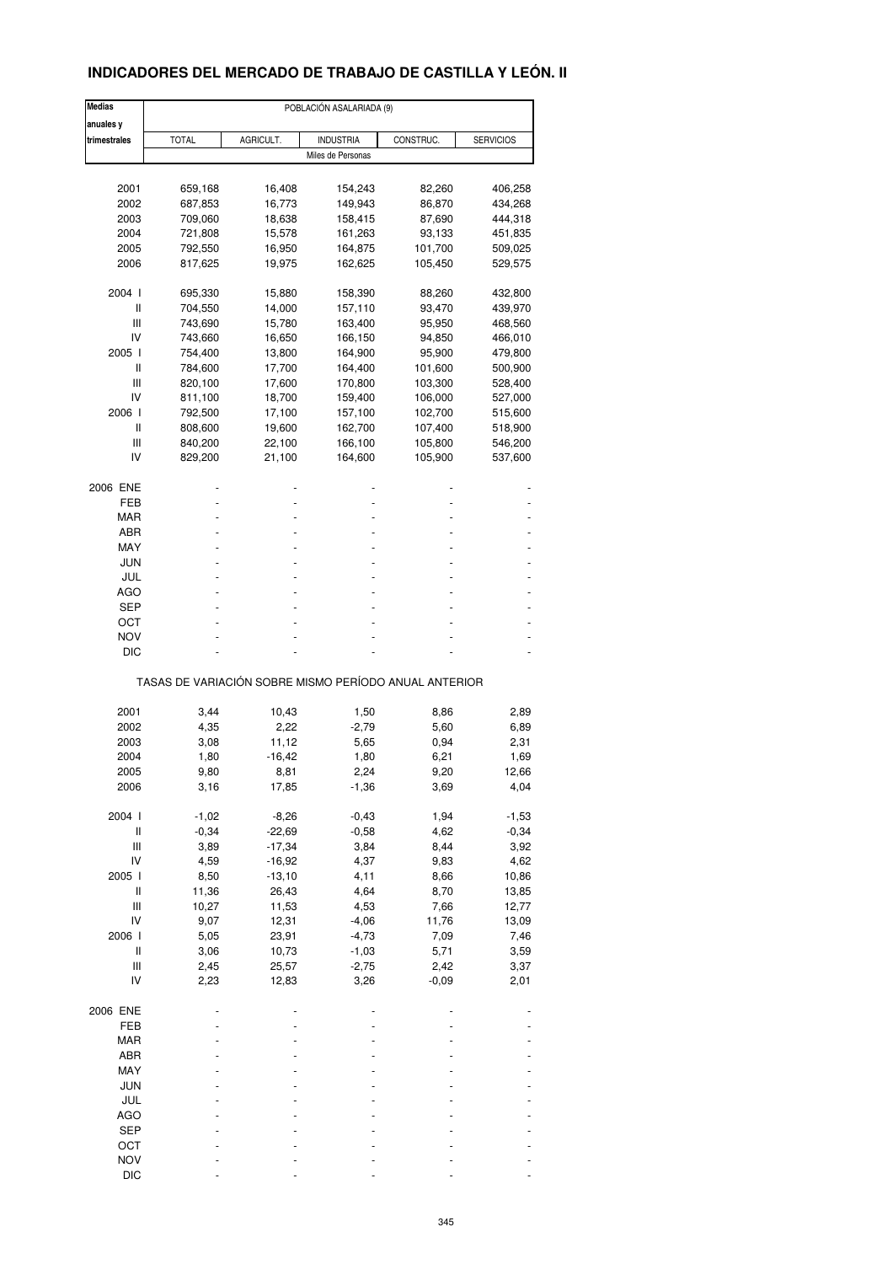## **INDICADORES DEL MERCADO DE TRABAJO DE CASTILLA Y LEÓN. II**

| <b>Medias</b>                                         |                    |                  | POBLACIÓN ASALARIADA (9) |           |                    |  |  |  |  |
|-------------------------------------------------------|--------------------|------------------|--------------------------|-----------|--------------------|--|--|--|--|
| anuales y<br>trimestrales                             | <b>TOTAL</b>       | AGRICULT.        | <b>INDUSTRIA</b>         | CONSTRUC. | <b>SERVICIOS</b>   |  |  |  |  |
|                                                       |                    |                  | Miles de Personas        |           |                    |  |  |  |  |
| 2001                                                  | 659,168            | 16,408           | 154,243                  | 82,260    | 406,258            |  |  |  |  |
|                                                       |                    |                  |                          | 86,870    |                    |  |  |  |  |
| 2002<br>2003                                          | 687,853<br>709,060 | 16,773<br>18,638 | 149,943                  | 87,690    | 434,268<br>444,318 |  |  |  |  |
| 2004                                                  |                    | 15,578           | 158,415                  | 93,133    |                    |  |  |  |  |
| 2005                                                  | 721,808<br>792,550 | 16,950           | 161,263                  | 101,700   | 451,835            |  |  |  |  |
| 2006                                                  |                    |                  | 164,875                  |           | 509,025            |  |  |  |  |
|                                                       | 817,625            | 19,975           | 162,625                  | 105,450   | 529,575            |  |  |  |  |
| 2004 l                                                | 695,330            | 15,880           | 158,390                  | 88,260    | 432,800            |  |  |  |  |
| Ш                                                     | 704,550            | 14,000           | 157,110                  | 93,470    | 439,970            |  |  |  |  |
| Ш                                                     | 743,690            | 15,780           | 163,400                  | 95,950    | 468,560            |  |  |  |  |
| IV                                                    | 743,660            | 16,650           | 166,150                  | 94,850    | 466,010            |  |  |  |  |
| 2005 l                                                | 754,400            | 13,800           | 164,900                  | 95,900    | 479,800            |  |  |  |  |
| Ш                                                     | 784,600            | 17,700           | 164,400                  | 101,600   | 500,900            |  |  |  |  |
| Ш                                                     | 820,100            | 17,600           | 170,800                  | 103,300   | 528,400            |  |  |  |  |
| IV                                                    | 811,100            | 18,700           | 159,400                  | 106,000   | 527,000            |  |  |  |  |
| 2006                                                  | 792,500            | 17,100           | 157,100                  | 102,700   | 515,600            |  |  |  |  |
| Ш                                                     | 808,600            | 19,600           | 162,700                  | 107,400   | 518,900            |  |  |  |  |
| Ш                                                     | 840,200            | 22,100           | 166,100                  | 105,800   | 546,200            |  |  |  |  |
| IV                                                    | 829,200            | 21,100           | 164,600                  | 105,900   | 537,600            |  |  |  |  |
|                                                       |                    |                  |                          |           |                    |  |  |  |  |
| 2006 ENE                                              |                    |                  |                          |           |                    |  |  |  |  |
| FEB                                                   |                    |                  |                          |           |                    |  |  |  |  |
| MAR                                                   |                    |                  |                          |           |                    |  |  |  |  |
| ABR                                                   |                    |                  |                          |           |                    |  |  |  |  |
| MAY                                                   |                    |                  |                          |           |                    |  |  |  |  |
| <b>JUN</b>                                            |                    |                  |                          |           |                    |  |  |  |  |
| JUL                                                   |                    |                  |                          |           |                    |  |  |  |  |
| AGO                                                   |                    |                  |                          |           |                    |  |  |  |  |
| SEP                                                   |                    |                  |                          |           |                    |  |  |  |  |
| ост                                                   |                    |                  |                          |           |                    |  |  |  |  |
| <b>NOV</b>                                            |                    |                  |                          |           |                    |  |  |  |  |
| DIC                                                   |                    |                  |                          |           |                    |  |  |  |  |
| TASAS DE VARIACIÓN SOBRE MISMO PERÍODO ANUAL ANTERIOR |                    |                  |                          |           |                    |  |  |  |  |
|                                                       |                    |                  |                          |           |                    |  |  |  |  |
| 2001                                                  | 3,44               | 10,43            | 1,50                     | 8,86      | 2,89               |  |  |  |  |
| 2002                                                  | 4,35               | 2,22             | $-2,79$                  | 5,60      | 6,89               |  |  |  |  |
| 2003                                                  | 3,08               | 11,12            | 5,65                     | 0,94      | 2,31               |  |  |  |  |
| 2004                                                  | 1,80               | $-16,42$         | 1,80                     | 6,21      | 1,69               |  |  |  |  |
| 2005                                                  | 9,80               | 8,81             | 2,24                     | 9,20      | 12,66              |  |  |  |  |
| 2006                                                  | 3,16               | 17,85            | $-1,36$                  | 3,69      | 4,04               |  |  |  |  |
| 2004 l                                                | $-1,02$            | $-8,26$          | $-0,43$                  | 1,94      | $-1,53$            |  |  |  |  |
| $\sf II$                                              | $-0,34$            | $-22,69$         | $-0,58$                  | 4,62      | $-0,34$            |  |  |  |  |
| $\ensuremath{\mathsf{III}}\xspace$                    | 3,89               | $-17,34$         | 3,84                     | 8,44      | 3,92               |  |  |  |  |
| IV                                                    | 4,59               | $-16,92$         | 4,37                     | 9,83      | 4,62               |  |  |  |  |
| 2005 l                                                | 8,50               | $-13,10$         | 4,11                     | 8,66      | 10,86              |  |  |  |  |
| $\sf II$                                              | 11,36              | 26,43            | 4,64                     | 8,70      | 13,85              |  |  |  |  |
| $\ensuremath{\mathsf{III}}\xspace$                    | 10,27              | 11,53            | 4,53                     | 7,66      | 12,77              |  |  |  |  |
| IV                                                    | 9,07               | 12,31            | $-4,06$                  | 11,76     |                    |  |  |  |  |
|                                                       |                    |                  |                          |           | 13,09              |  |  |  |  |
| 2006                                                  | 5,05               | 23,91            | $-4,73$                  | 7,09      | 7,46               |  |  |  |  |
| $\sf II$                                              | 3,06               | 10,73            | $-1,03$                  | 5,71      | 3,59               |  |  |  |  |
| $\ensuremath{\mathsf{III}}\xspace$                    | 2,45               | 25,57            | $-2,75$                  | 2,42      | 3,37               |  |  |  |  |
| IV                                                    | 2,23               | 12,83            | 3,26                     | $-0,09$   | 2,01               |  |  |  |  |
| 2006 ENE                                              |                    |                  |                          |           |                    |  |  |  |  |
| FEB                                                   |                    |                  |                          |           |                    |  |  |  |  |
| MAR                                                   |                    |                  |                          |           |                    |  |  |  |  |
| ABR                                                   |                    |                  |                          |           |                    |  |  |  |  |
| MAY                                                   |                    |                  |                          |           |                    |  |  |  |  |
| <b>JUN</b>                                            |                    |                  |                          |           |                    |  |  |  |  |
| JUL                                                   |                    |                  |                          |           |                    |  |  |  |  |
| AGO                                                   |                    |                  |                          |           |                    |  |  |  |  |
| <b>SEP</b>                                            |                    |                  |                          |           |                    |  |  |  |  |
| OCT                                                   |                    |                  |                          |           |                    |  |  |  |  |
|                                                       |                    |                  |                          |           |                    |  |  |  |  |
| <b>NOV</b>                                            |                    |                  |                          |           |                    |  |  |  |  |
| DIC                                                   |                    |                  |                          |           |                    |  |  |  |  |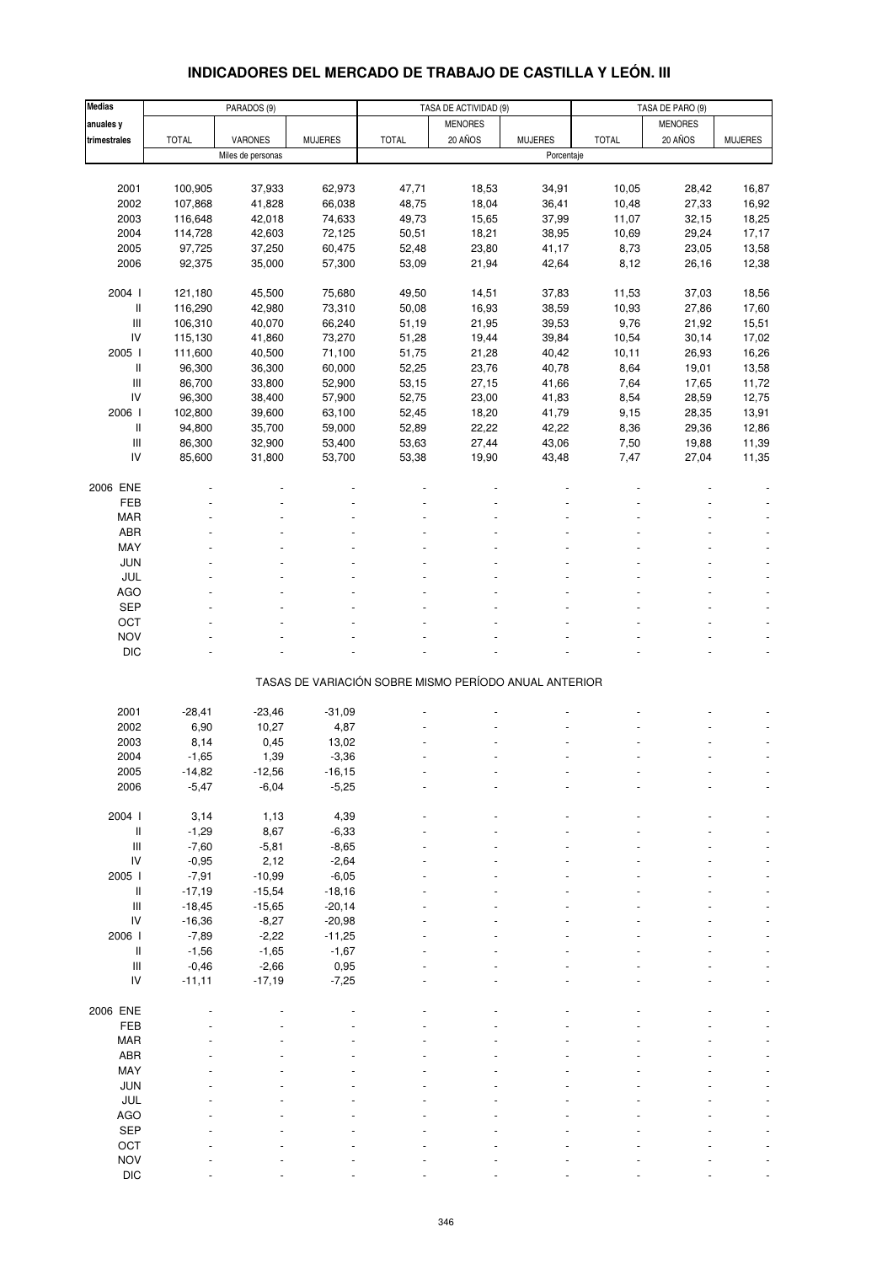## **INDICADORES DEL MERCADO DE TRABAJO DE CASTILLA Y LEÓN. III**

| <b>Medias</b>                      |              | PARADOS (9)       |                |                                                       | TASA DE ACTIVIDAD (9) |                |              | TASA DE PARO (9) |                |
|------------------------------------|--------------|-------------------|----------------|-------------------------------------------------------|-----------------------|----------------|--------------|------------------|----------------|
| anuales y                          |              |                   |                |                                                       | <b>MENORES</b>        |                |              | <b>MENORES</b>   |                |
| trimestrales                       | <b>TOTAL</b> | VARONES           | <b>MUJERES</b> | <b>TOTAL</b>                                          | 20 AÑOS               | <b>MUJERES</b> | <b>TOTAL</b> | 20 AÑOS          | <b>MUJERES</b> |
|                                    |              | Miles de personas |                |                                                       |                       | Porcentaje     |              |                  |                |
|                                    |              |                   |                |                                                       |                       |                |              |                  |                |
|                                    |              |                   |                |                                                       |                       |                |              |                  |                |
| 2001                               | 100,905      | 37,933            | 62,973         | 47,71                                                 | 18,53                 | 34,91          | 10,05        | 28,42            | 16,87          |
| 2002                               | 107,868      | 41,828            | 66,038         | 48,75                                                 | 18,04                 | 36,41          | 10,48        | 27,33            | 16,92          |
| 2003                               | 116,648      | 42,018            | 74,633         | 49,73                                                 | 15,65                 | 37,99          | 11,07        | 32,15            | 18,25          |
| 2004                               | 114,728      | 42,603            | 72,125         | 50,51                                                 | 18,21                 | 38,95          | 10,69        | 29,24            | 17,17          |
| 2005                               | 97,725       | 37,250            | 60,475         | 52,48                                                 | 23,80                 | 41,17          | 8,73         | 23,05            | 13,58          |
| 2006                               | 92,375       | 35,000            | 57,300         | 53,09                                                 | 21,94                 | 42,64          | 8,12         | 26,16            | 12,38          |
|                                    |              |                   |                |                                                       |                       |                |              |                  |                |
| 2004 l                             | 121,180      | 45,500            | 75,680         | 49,50                                                 | 14,51                 | 37,83          | 11,53        | 37,03            | 18,56          |
| II                                 | 116,290      | 42,980            | 73,310         | 50,08                                                 | 16,93                 | 38,59          | 10,93        | 27,86            | 17,60          |
| $\ensuremath{\mathsf{III}}\xspace$ | 106,310      | 40,070            | 66,240         | 51,19                                                 | 21,95                 | 39,53          | 9,76         | 21,92            | 15,51          |
| IV                                 | 115,130      | 41,860            | 73,270         | 51,28                                                 | 19,44                 | 39,84          | 10,54        | 30,14            | 17,02          |
| 2005 l                             | 111,600      | 40,500            | 71,100         | 51,75                                                 | 21,28                 | 40,42          | 10, 11       | 26,93            | 16,26          |
| II                                 | 96,300       | 36,300            | 60,000         | 52,25                                                 | 23,76                 | 40,78          | 8,64         | 19,01            | 13,58          |
| $\ensuremath{\mathsf{III}}\xspace$ | 86,700       | 33,800            | 52,900         | 53,15                                                 | 27,15                 | 41,66          | 7,64         | 17,65            | 11,72          |
| IV                                 | 96,300       | 38,400            | 57,900         | 52,75                                                 | 23,00                 | 41,83          | 8,54         | 28,59            | 12,75          |
| 2006                               | 102,800      | 39,600            | 63,100         | 52,45                                                 | 18,20                 | 41,79          | 9,15         | 28,35            | 13,91          |
| II                                 | 94,800       | 35,700            | 59,000         | 52,89                                                 | 22,22                 | 42,22          | 8,36         | 29,36            | 12,86          |
| $\ensuremath{\mathsf{III}}\xspace$ | 86,300       | 32,900            | 53,400         | 53,63                                                 | 27,44                 | 43,06          | 7,50         | 19,88            | 11,39          |
| IV                                 |              | 31,800            | 53,700         |                                                       |                       |                |              |                  |                |
|                                    | 85,600       |                   |                | 53,38                                                 | 19,90                 | 43,48          | 7,47         | 27,04            | 11,35          |
|                                    |              |                   |                |                                                       |                       |                |              |                  |                |
| 2006 ENE                           |              |                   |                |                                                       |                       |                |              |                  |                |
| FEB                                |              |                   |                |                                                       |                       |                |              |                  |                |
| <b>MAR</b>                         |              |                   |                |                                                       |                       |                |              |                  |                |
| ABR                                |              |                   |                |                                                       |                       |                |              |                  |                |
| MAY                                |              |                   |                |                                                       |                       |                |              |                  |                |
| <b>JUN</b>                         |              |                   |                |                                                       |                       |                |              |                  |                |
| JUL                                |              |                   |                |                                                       |                       |                |              |                  |                |
| <b>AGO</b>                         |              |                   |                |                                                       |                       |                |              |                  |                |
| SEP                                |              |                   |                |                                                       |                       |                |              |                  |                |
| OCT                                |              |                   |                |                                                       |                       |                |              |                  |                |
| <b>NOV</b>                         |              |                   |                |                                                       |                       |                |              |                  |                |
| <b>DIC</b>                         |              |                   |                |                                                       |                       |                |              |                  |                |
|                                    |              |                   |                |                                                       |                       |                |              |                  |                |
|                                    |              |                   |                | TASAS DE VARIACIÓN SOBRE MISMO PERÍODO ANUAL ANTERIOR |                       |                |              |                  |                |
|                                    |              |                   |                |                                                       |                       |                |              |                  |                |
| 2001                               | $-28,41$     | $-23,46$          | $-31,09$       |                                                       |                       |                |              |                  |                |
| 2002                               | 6,90         | 10,27             | 4,87           |                                                       |                       |                |              |                  |                |
| 2003                               | 8,14         | 0,45              | 13,02          |                                                       |                       |                |              |                  |                |
| 2004                               | $-1,65$      | 1,39              | $-3,36$        |                                                       |                       |                |              |                  |                |
| 2005                               | $-14,82$     | $-12,56$          | -16,15         |                                                       |                       |                |              |                  |                |
| 2006                               | $-5,47$      | $-6,04$           | $-5,25$        |                                                       |                       |                |              |                  |                |
|                                    |              |                   |                |                                                       |                       |                |              |                  |                |
| 2004 l                             | 3,14         | 1,13              | 4,39           |                                                       |                       |                |              |                  |                |
| II                                 | $-1,29$      | 8,67              | $-6,33$        |                                                       |                       |                |              |                  |                |
| $\ensuremath{\mathsf{III}}\xspace$ | $-7,60$      | $-5,81$           | $-8,65$        |                                                       |                       |                |              |                  |                |
| ${\sf IV}$                         | $-0,95$      | 2,12              | $-2,64$        |                                                       |                       |                |              |                  |                |
| 2005 l                             | $-7,91$      | $-10,99$          | $-6,05$        |                                                       |                       |                |              |                  |                |
| II                                 | $-17,19$     | $-15,54$          | $-18,16$       |                                                       |                       |                |              |                  |                |
| $\ensuremath{\mathsf{III}}\xspace$ | $-18,45$     | $-15,65$          | $-20,14$       |                                                       |                       |                |              |                  |                |
| IV                                 | $-16,36$     | $-8,27$           | $-20,98$       |                                                       |                       |                |              |                  |                |
| 2006                               |              |                   |                |                                                       |                       |                |              |                  |                |
|                                    | $-7,89$      | $-2,22$           | $-11,25$       |                                                       |                       |                |              |                  |                |
| $\, \parallel$                     | $-1,56$      | $-1,65$           | $-1,67$        |                                                       |                       |                |              |                  |                |
| $\ensuremath{\mathsf{III}}\xspace$ | $-0,46$      | $-2,66$           | 0,95           |                                                       |                       |                |              |                  |                |
| IV                                 | $-11,11$     | $-17,19$          | $-7,25$        |                                                       |                       |                |              |                  |                |
|                                    |              |                   |                |                                                       |                       |                |              |                  |                |
| 2006 ENE                           |              |                   |                |                                                       |                       |                |              |                  |                |
| FEB                                |              |                   |                |                                                       |                       |                |              |                  |                |
| <b>MAR</b>                         |              |                   |                |                                                       |                       |                |              |                  |                |
| ABR                                |              |                   |                |                                                       |                       |                |              |                  |                |
| MAY                                |              |                   |                |                                                       |                       |                |              |                  |                |
| JUN                                |              |                   |                |                                                       |                       |                |              |                  |                |
| JUL                                |              |                   |                |                                                       |                       |                |              |                  |                |
| AGO                                |              |                   |                |                                                       |                       |                |              |                  |                |
| SEP                                |              |                   |                |                                                       |                       |                |              |                  |                |
| OCT                                |              |                   |                |                                                       |                       |                |              |                  |                |
| <b>NOV</b>                         |              |                   |                |                                                       |                       |                |              |                  |                |
| <b>DIC</b>                         |              |                   |                |                                                       |                       |                |              |                  |                |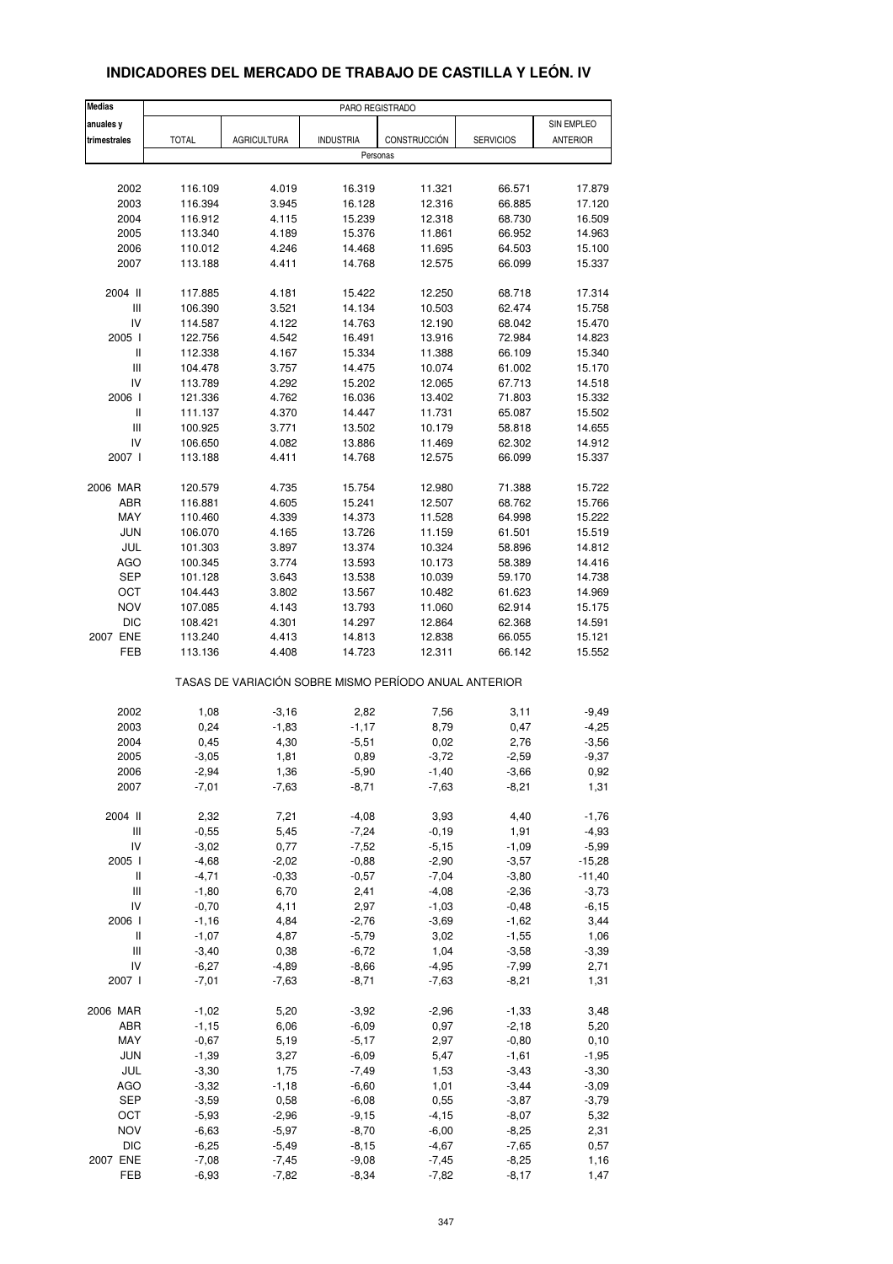| <b>Medias</b>                      |                                                       |                    | PARO REGISTRADO  |                  |                  |                  |  |  |
|------------------------------------|-------------------------------------------------------|--------------------|------------------|------------------|------------------|------------------|--|--|
| anuales y                          |                                                       |                    |                  |                  |                  | SIN EMPLEO       |  |  |
| trimestrales                       | <b>TOTAL</b>                                          | <b>AGRICULTURA</b> | <b>INDUSTRIA</b> | CONSTRUCCIÓN     | <b>SERVICIOS</b> | <b>ANTERIOR</b>  |  |  |
|                                    |                                                       |                    | Personas         |                  |                  |                  |  |  |
|                                    |                                                       |                    |                  |                  |                  |                  |  |  |
| 2002                               | 116.109                                               | 4.019              | 16.319           | 11.321           | 66.571           | 17.879           |  |  |
| 2003                               | 116.394                                               | 3.945              | 16.128           | 12.316           | 66.885           | 17.120           |  |  |
| 2004                               | 116.912                                               | 4.115              | 15.239           | 12.318           | 68.730           | 16.509           |  |  |
| 2005                               | 113.340                                               | 4.189              | 15.376           | 11.861           | 66.952           | 14.963           |  |  |
| 2006                               | 110.012                                               | 4.246              | 14.468           | 11.695           | 64.503           | 15.100           |  |  |
| 2007                               | 113.188                                               | 4.411              | 14.768           | 12.575           | 66.099           | 15.337           |  |  |
|                                    |                                                       |                    |                  |                  |                  |                  |  |  |
| 2004 II                            | 117.885                                               | 4.181              | 15.422           | 12.250           | 68.718           | 17.314           |  |  |
| Ш                                  | 106.390                                               | 3.521              | 14.134           | 10.503           | 62.474           | 15.758           |  |  |
| IV                                 | 114.587                                               | 4.122              | 14.763           | 12.190           | 68.042           | 15.470           |  |  |
| 2005 l                             | 122.756                                               | 4.542              | 16.491           | 13.916           | 72.984           | 14.823           |  |  |
| Ш                                  | 112.338                                               | 4.167              | 15.334           | 11.388           | 66.109           | 15.340           |  |  |
| Ш                                  | 104.478                                               | 3.757              | 14.475           | 10.074           | 61.002           | 15.170           |  |  |
| IV                                 | 113.789                                               | 4.292              | 15.202           | 12.065           | 67.713           | 14.518           |  |  |
| 2006                               | 121.336                                               | 4.762              | 16.036           | 13.402           | 71.803           | 15.332           |  |  |
| Ш                                  | 111.137                                               | 4.370              | 14.447           | 11.731           | 65.087           | 15.502           |  |  |
| III                                | 100.925                                               | 3.771              | 13.502           | 10.179           | 58.818           | 14.655           |  |  |
| IV                                 | 106.650                                               | 4.082              | 13.886           | 11.469           | 62.302           | 14.912           |  |  |
| 2007 l                             | 113.188                                               | 4.411              | 14.768           | 12.575           | 66.099           | 15.337           |  |  |
| 2006 MAR                           | 120.579                                               | 4.735              | 15.754           | 12.980           | 71.388           | 15.722           |  |  |
| ABR                                | 116.881                                               | 4.605              | 15.241           | 12.507           | 68.762           | 15.766           |  |  |
|                                    |                                                       |                    |                  |                  |                  |                  |  |  |
| MAY<br><b>JUN</b>                  | 110.460                                               | 4.339              | 14.373           | 11.528           | 64.998           | 15.222           |  |  |
|                                    | 106.070                                               | 4.165              | 13.726           | 11.159           | 61.501           | 15.519           |  |  |
| JUL                                | 101.303                                               | 3.897              | 13.374           | 10.324           | 58.896           | 14.812           |  |  |
| <b>AGO</b><br><b>SEP</b>           | 100.345                                               | 3.774              | 13.593           | 10.173           | 58.389           | 14.416           |  |  |
|                                    | 101.128                                               | 3.643              | 13.538           | 10.039           | 59.170           | 14.738           |  |  |
| ОСТ<br><b>NOV</b>                  | 104.443                                               | 3.802              | 13.567           | 10.482           | 61.623           | 14.969           |  |  |
|                                    | 107.085                                               | 4.143              | 13.793           | 11.060           | 62.914           | 15.175           |  |  |
| <b>DIC</b><br>2007 ENE             | 108.421                                               | 4.301              | 14.297           | 12.864           | 62.368           | 14.591           |  |  |
| FEB                                | 113.240<br>113.136                                    | 4.413<br>4.408     | 14.813           | 12.838<br>12.311 | 66.055<br>66.142 | 15.121<br>15.552 |  |  |
|                                    |                                                       |                    | 14.723           |                  |                  |                  |  |  |
|                                    | TASAS DE VARIACIÓN SOBRE MISMO PERÍODO ANUAL ANTERIOR |                    |                  |                  |                  |                  |  |  |
| 2002                               | 1,08                                                  | $-3,16$            | 2,82             | 7,56             | 3,11             | $-9,49$          |  |  |
| 2003                               | 0,24                                                  | $-1,83$            | $-1,17$          | 8,79             | 0,47             | $-4,25$          |  |  |
| 2004                               | 0,45                                                  | 4,30               | $-5,51$          | 0,02             | 2,76             | $-3,56$          |  |  |
| 2005                               | $-3,05$                                               | 1,81               | 0,89             | $-3,72$          | $-2,59$          | $-9,37$          |  |  |
| 2006                               | -2,94                                                 | 1,36               | $-5,90$          | $-1,40$          | -3,66            | 0,92             |  |  |
| 2007                               | $-7,01$                                               | $-7,63$            | $-8,71$          | $-7,63$          | $-8,21$          | 1,31             |  |  |
|                                    |                                                       |                    |                  |                  |                  |                  |  |  |
| 2004 II                            | 2,32                                                  | 7,21               | $-4,08$          | 3,93             | 4,40             | $-1,76$          |  |  |
| Ш                                  | $-0,55$                                               | 5,45               | $-7,24$          | $-0,19$          | 1,91             | $-4,93$          |  |  |
| IV                                 | $-3,02$                                               | 0,77               | $-7,52$          | $-5,15$          | $-1,09$          | $-5,99$          |  |  |
| 2005 l                             | $-4,68$                                               | $-2,02$            | $-0,88$          | $-2,90$          | $-3,57$          | $-15,28$         |  |  |
| Ш                                  | $-4,71$                                               | $-0,33$            | $-0,57$          | $-7,04$          | $-3,80$          | $-11,40$         |  |  |
| $\ensuremath{\mathsf{III}}\xspace$ | $-1,80$                                               | 6,70               | 2,41             | $-4,08$          | $-2,36$          | $-3,73$          |  |  |
| IV                                 | $-0,70$                                               | 4,11               | 2,97             | $-1,03$          | $-0,48$          | $-6, 15$         |  |  |
| 2006                               | $-1,16$                                               | 4,84               | $-2,76$          | $-3,69$          | $-1,62$          | 3,44             |  |  |
| $\, \parallel$                     | $-1,07$                                               | 4,87               | $-5,79$          | 3,02             | $-1,55$          | 1,06             |  |  |
| Ш                                  | $-3,40$                                               | 0,38               | $-6,72$          | 1,04             | $-3,58$          | $-3,39$          |  |  |
| IV                                 | $-6,27$                                               | $-4,89$            | $-8,66$          | $-4,95$          | $-7,99$          | 2,71             |  |  |
| 2007 l                             | $-7,01$                                               | $-7,63$            | $-8,71$          | $-7,63$          | $-8,21$          | 1,31             |  |  |
| 2006 MAR                           | $-1,02$                                               | 5,20               | $-3,92$          | $-2,96$          | $-1,33$          | 3,48             |  |  |
| ABR                                | $-1,15$                                               | 6,06               | $-6,09$          | 0,97             | $-2,18$          | 5,20             |  |  |
| MAY                                | $-0,67$                                               | 5,19               | $-5,17$          | 2,97             | $-0,80$          | 0, 10            |  |  |
| JUN                                | $-1,39$                                               | 3,27               | $-6,09$          | 5,47             | $-1,61$          | $-1,95$          |  |  |
| JUL                                | $-3,30$                                               | 1,75               | $-7,49$          | 1,53             | $-3,43$          | $-3,30$          |  |  |
| AGO                                | $-3,32$                                               | $-1,18$            | $-6,60$          | 1,01             | $-3,44$          | $-3,09$          |  |  |
| <b>SEP</b>                         | $-3,59$                                               | 0,58               | $-6,08$          | 0,55             | $-3,87$          | $-3,79$          |  |  |
| OCT                                | $-5,93$                                               | $-2,96$            | $-9,15$          | $-4, 15$         | $-8,07$          | 5,32             |  |  |
| <b>NOV</b>                         | $-6,63$                                               | $-5,97$            | $-8,70$          | $-6,00$          | $-8,25$          | 2,31             |  |  |
| <b>DIC</b>                         | $-6,25$                                               | $-5,49$            | $-8,15$          | $-4,67$          | $-7,65$          | 0,57             |  |  |
| 2007 ENE                           | $-7,08$                                               | $-7,45$            | $-9,08$          | $-7,45$          | $-8,25$          | 1,16             |  |  |
| FEB                                | $-6,93$                                               | $-7,82$            | $-8,34$          | $-7,82$          | $-8,17$          | 1,47             |  |  |

#### **INDICADORES DEL MERCADO DE TRABAJO DE CASTILLA Y LEÓN. IV**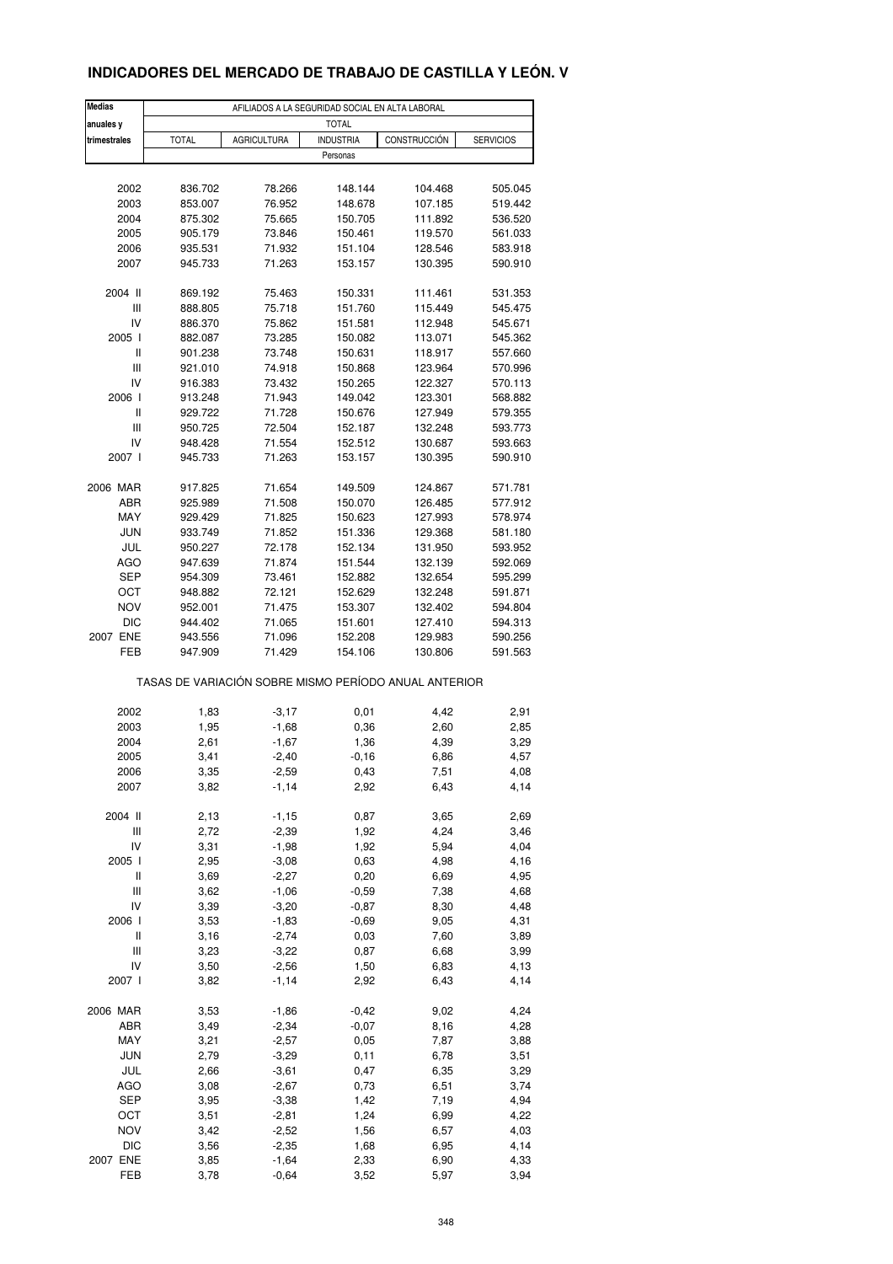## **INDICADORES DEL MERCADO DE TRABAJO DE CASTILLA Y LEÓN. V**

| <b>Medias</b> |              |                                                       | AFILIADOS A LA SEGURIDAD SOCIAL EN ALTA LABORAL |              |                  |
|---------------|--------------|-------------------------------------------------------|-------------------------------------------------|--------------|------------------|
| anuales y     |              |                                                       | <b>TOTAL</b>                                    |              |                  |
| trimestrales  | <b>TOTAL</b> | AGRICULTURA                                           | <b>INDUSTRIA</b><br>Personas                    | CONSTRUCCIÓN | <b>SERVICIOS</b> |
|               |              |                                                       |                                                 |              |                  |
| 2002          | 836.702      | 78.266                                                | 148.144                                         | 104.468      | 505.045          |
| 2003          | 853.007      | 76.952                                                | 148.678                                         | 107.185      | 519.442          |
| 2004          | 875.302      | 75.665                                                | 150.705                                         | 111.892      | 536.520          |
| 2005          | 905.179      | 73.846                                                | 150.461                                         | 119.570      | 561.033          |
| 2006          | 935.531      | 71.932                                                | 151.104                                         | 128.546      | 583.918          |
| 2007          | 945.733      | 71.263                                                | 153.157                                         | 130.395      | 590.910          |
| 2004 II       | 869.192      | 75.463                                                | 150.331                                         | 111.461      | 531.353          |
| Ш             | 888.805      | 75.718                                                | 151.760                                         | 115.449      | 545.475          |
| IV            | 886.370      | 75.862                                                | 151.581                                         | 112.948      | 545.671          |
| 2005 l        | 882.087      | 73.285                                                | 150.082                                         | 113.071      | 545.362          |
| Ш             | 901.238      | 73.748                                                | 150.631                                         | 118.917      | 557.660          |
| Ш             | 921.010      | 74.918                                                | 150.868                                         | 123.964      | 570.996          |
| IV            | 916.383      | 73.432                                                | 150.265                                         | 122.327      | 570.113          |
| 2006          | 913.248      | 71.943                                                | 149.042                                         | 123.301      | 568.882          |
| Ш             | 929.722      | 71.728                                                | 150.676                                         | 127.949      | 579.355          |
| Ш             | 950.725      | 72.504                                                | 152.187                                         | 132.248      | 593.773          |
| IV            | 948.428      | 71.554                                                | 152.512                                         | 130.687      | 593.663          |
| 2007 l        | 945.733      | 71.263                                                | 153.157                                         | 130.395      | 590.910          |
|               |              |                                                       |                                                 |              |                  |
| 2006 MAR      | 917.825      | 71.654                                                | 149.509                                         | 124.867      | 571.781          |
| ABR           | 925.989      | 71.508                                                | 150.070                                         | 126.485      | 577.912          |
| MAY           | 929.429      | 71.825                                                | 150.623                                         | 127.993      | 578.974          |
| <b>JUN</b>    | 933.749      | 71.852                                                | 151.336                                         | 129.368      | 581.180          |
| JUL           | 950.227      | 72.178                                                | 152.134                                         | 131.950      | 593.952          |
| AGO           | 947.639      | 71.874                                                | 151.544                                         | 132.139      | 592.069          |
| SEP           | 954.309      | 73.461                                                | 152.882                                         | 132.654      | 595.299          |
| ОСТ           | 948.882      | 72.121                                                | 152.629                                         | 132.248      | 591.871          |
| <b>NOV</b>    | 952.001      | 71.475                                                | 153.307                                         | 132.402      | 594.804          |
| <b>DIC</b>    | 944.402      | 71.065                                                | 151.601                                         | 127.410      | 594.313          |
| 2007 ENE      | 943.556      | 71.096                                                | 152.208                                         | 129.983      | 590.256          |
| FEB           | 947.909      | 71.429                                                | 154.106                                         | 130.806      | 591.563          |
|               |              | TASAS DE VARIACIÓN SOBRE MISMO PERÍODO ANUAL ANTERIOR |                                                 |              |                  |
| 2002          |              | $-3,17$                                               |                                                 | 4,42         |                  |
| 2003          | 1,83<br>1,95 | $-1,68$                                               | 0,01<br>0,36                                    | 2,60         | 2,91<br>2,85     |
| 2004          | 2,61         | $-1,67$                                               | 1,36                                            | 4,39         | 3,29             |
| 2005          | 3,41         | $-2,40$                                               | $-0,16$                                         | 6,86         | 4,57             |
| 2006          | 3,35         | $-2,59$                                               | 0,43                                            | 7,51         | 4,08             |
| 2007          | 3,82         | $-1, 14$                                              | 2,92                                            | 6,43         | 4,14             |
|               |              |                                                       |                                                 |              |                  |
| 2004 II       | 2,13         | $-1,15$                                               | 0,87                                            | 3,65         | 2,69             |
| Ш             | 2,72         | $-2,39$                                               | 1,92                                            | 4,24         | 3,46             |
| IV            | 3,31         | $-1,98$                                               | 1,92                                            | 5,94         | 4,04             |
| 2005 l        | 2,95         | $-3,08$                                               | 0,63                                            | 4,98         | 4,16             |
| Ш             | 3,69         | $-2,27$                                               | 0,20                                            | 6,69         | 4,95             |
| Ш             | 3,62         | $-1,06$                                               | $-0,59$                                         | 7,38         | 4,68             |
| IV            | 3,39         | $-3,20$                                               | $-0,87$                                         | 8,30         | 4,48             |
| 2006          | 3,53         | $-1,83$                                               | $-0,69$                                         | 9,05         | 4,31             |
| Ш             | 3,16         | $-2,74$                                               | 0,03                                            | 7,60         | 3,89             |
| Ш             | 3,23         | $-3,22$                                               | 0,87                                            | 6,68         | 3,99             |
| IV            | 3,50         | $-2,56$                                               | 1,50                                            | 6,83         | 4,13             |
| 2007 l        | 3,82         | $-1, 14$                                              | 2,92                                            | 6,43         | 4,14             |
| 2006 MAR      | 3,53         | $-1,86$                                               | $-0,42$                                         | 9,02         | 4,24             |
| ABR           | 3,49         | $-2,34$                                               | $-0,07$                                         | 8,16         | 4,28             |
| MAY           | 3,21         | $-2,57$                                               | 0,05                                            | 7,87         | 3,88             |
| <b>JUN</b>    | 2,79         | $-3,29$                                               | 0,11                                            | 6,78         | 3,51             |
| JUL           | 2,66         | $-3,61$                                               | 0,47                                            | 6,35         | 3,29             |
| AGO           | 3,08         | $-2,67$                                               | 0,73                                            | 6,51         | 3,74             |
|               |              |                                                       |                                                 |              |                  |
| SEP           | 3,95         | $-3,38$                                               | 1,42                                            | 7,19         | 4,94             |
| OCT           | 3,51         | $-2,81$                                               | 1,24                                            | 6,99         | 4,22             |
| <b>NOV</b>    | 3,42         | $-2,52$                                               | 1,56                                            | 6,57         | 4,03             |
| <b>DIC</b>    | 3,56         | $-2,35$                                               | 1,68                                            | 6,95         | 4,14             |
| 2007 ENE      | 3,85<br>3,78 | $-1,64$                                               | 2,33                                            | 6,90         | 4,33             |
| FEB           |              | $-0,64$                                               | 3,52                                            | 5,97         | 3,94             |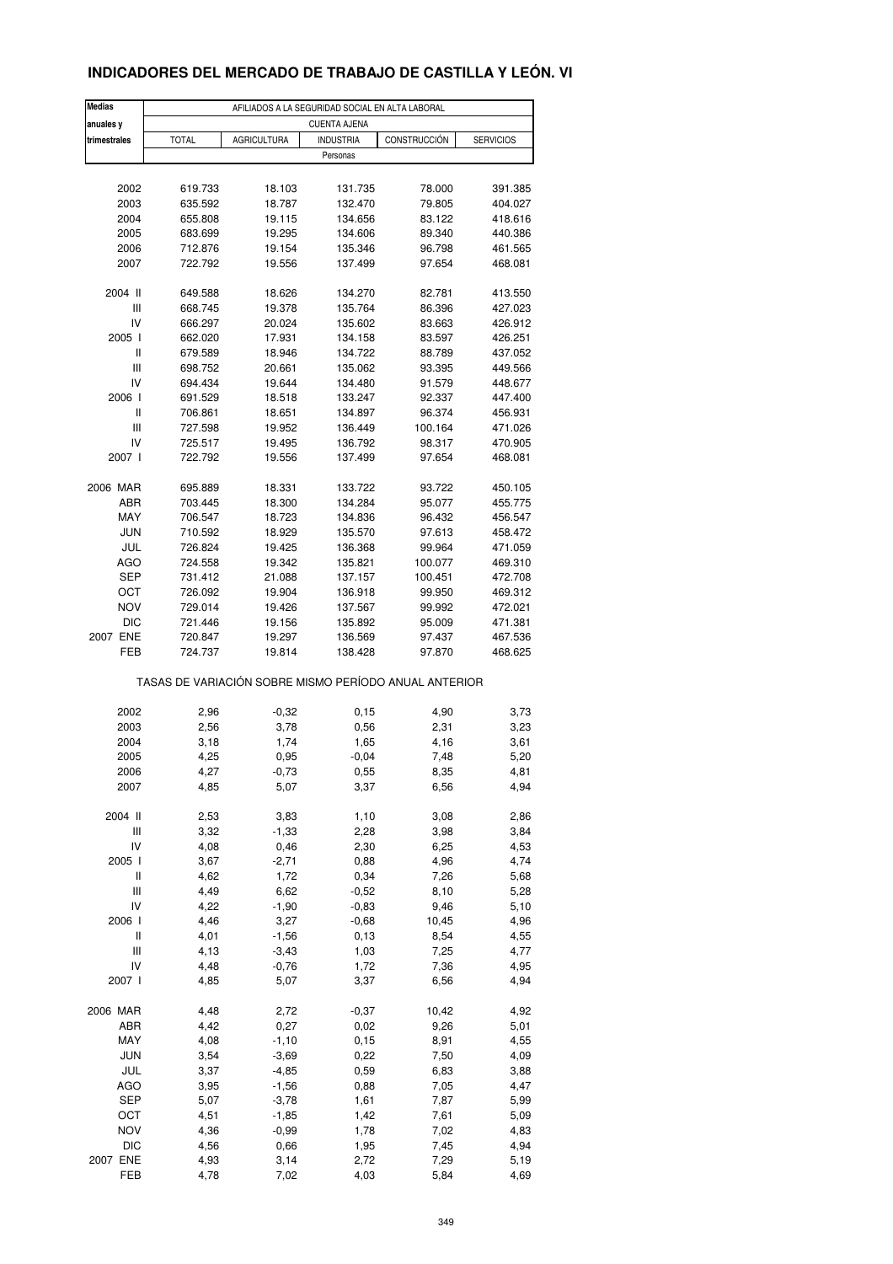## **INDICADORES DEL MERCADO DE TRABAJO DE CASTILLA Y LEÓN. VI**

| Medias<br>anuales y | AFILIADOS A LA SEGURIDAD SOCIAL EN ALTA LABORAL<br><b>CUENTA AJENA</b> |                    |                    |               |                  |  |  |  |  |
|---------------------|------------------------------------------------------------------------|--------------------|--------------------|---------------|------------------|--|--|--|--|
| trimestrales        | <b>TOTAL</b>                                                           | <b>AGRICULTURA</b> | <b>INDUSTRIA</b>   | CONSTRUCCIÓN  | <b>SERVICIOS</b> |  |  |  |  |
|                     |                                                                        |                    | Personas           |               |                  |  |  |  |  |
|                     |                                                                        |                    |                    |               |                  |  |  |  |  |
| 2002                | 619.733                                                                | 18.103             | 131.735            | 78.000        | 391.385          |  |  |  |  |
| 2003                | 635.592                                                                | 18.787             | 132.470            | 79.805        | 404.027          |  |  |  |  |
| 2004                | 655.808                                                                | 19.115             | 134.656            | 83.122        | 418.616          |  |  |  |  |
| 2005                | 683.699                                                                | 19.295             | 134.606            | 89.340        | 440.386          |  |  |  |  |
| 2006                | 712.876                                                                | 19.154             | 135.346            | 96.798        | 461.565          |  |  |  |  |
| 2007                | 722.792                                                                | 19.556             | 137.499            | 97.654        | 468.081          |  |  |  |  |
| 2004 II             |                                                                        | 18.626             |                    |               | 413.550          |  |  |  |  |
| Ш                   | 649.588                                                                |                    | 134.270<br>135.764 | 82.781        |                  |  |  |  |  |
| IV                  | 668.745                                                                | 19.378             |                    | 86.396        | 427.023          |  |  |  |  |
|                     | 666.297                                                                | 20.024             | 135.602            | 83.663        | 426.912          |  |  |  |  |
| 2005 l              | 662.020                                                                | 17.931             | 134.158            | 83.597        | 426.251          |  |  |  |  |
| Ш                   | 679.589                                                                | 18.946             | 134.722            | 88.789        | 437.052          |  |  |  |  |
| Ш                   | 698.752                                                                | 20.661             | 135.062            | 93.395        | 449.566          |  |  |  |  |
| IV                  | 694.434                                                                | 19.644             | 134.480            | 91.579        | 448.677          |  |  |  |  |
| 2006 l              | 691.529                                                                | 18.518             | 133.247            | 92.337        | 447.400          |  |  |  |  |
| Ш                   | 706.861                                                                | 18.651             | 134.897            | 96.374        | 456.931          |  |  |  |  |
| Ш                   | 727.598                                                                | 19.952             | 136.449            | 100.164       | 471.026          |  |  |  |  |
| IV                  | 725.517                                                                | 19.495             | 136.792            | 98.317        | 470.905          |  |  |  |  |
| 2007 l              | 722.792                                                                | 19.556             | 137.499            | 97.654        | 468.081          |  |  |  |  |
| 2006 MAR            | 695.889                                                                | 18.331             | 133.722            | 93.722        | 450.105          |  |  |  |  |
| ABR                 | 703.445                                                                | 18.300             | 134.284            | 95.077        | 455.775          |  |  |  |  |
| MAY                 | 706.547                                                                | 18.723             | 134.836            | 96.432        | 456.547          |  |  |  |  |
|                     |                                                                        |                    |                    |               |                  |  |  |  |  |
| <b>JUN</b>          | 710.592                                                                | 18.929             | 135.570            | 97.613        | 458.472          |  |  |  |  |
| JUL                 | 726.824                                                                | 19.425             | 136.368            | 99.964        | 471.059          |  |  |  |  |
| AGO                 | 724.558                                                                | 19.342             | 135.821            | 100.077       | 469.310          |  |  |  |  |
| <b>SEP</b>          | 731.412                                                                | 21.088             | 137.157            | 100.451       | 472.708          |  |  |  |  |
| ОСТ                 | 726.092                                                                | 19.904             | 136.918            | 99.950        | 469.312          |  |  |  |  |
| <b>NOV</b>          | 729.014                                                                | 19.426             | 137.567            | 99.992        | 472.021          |  |  |  |  |
| <b>DIC</b>          | 721.446                                                                | 19.156             | 135.892            | 95.009        | 471.381          |  |  |  |  |
| 2007 ENE            | 720.847                                                                | 19.297             | 136.569            | 97.437        | 467.536          |  |  |  |  |
| FEB                 | 724.737                                                                | 19.814             | 138.428            | 97.870        | 468.625          |  |  |  |  |
|                     | TASAS DE VARIACIÓN SOBRE MISMO PERÍODO ANUAL ANTERIOR                  |                    |                    |               |                  |  |  |  |  |
| 2002                | 2,96                                                                   | $-0,32$            | 0,15               | 4,90          | 3,73             |  |  |  |  |
| 2003                | 2,56                                                                   | 3,78               | 0,56               | 2,31          | 3,23             |  |  |  |  |
| 2004                | 3,18                                                                   | 1,74               | 1,65               | 4,16          | 3,61             |  |  |  |  |
| 2005                | 4,25                                                                   |                    |                    | 7,48          |                  |  |  |  |  |
|                     |                                                                        | 0,95               | $-0,04$            |               | 5,20             |  |  |  |  |
| 2006<br>2007        | 4,27<br>4,85                                                           | $-0,73$<br>5,07    | 0,55<br>3,37       | 8,35<br>6,56  | 4,81<br>4,94     |  |  |  |  |
|                     |                                                                        |                    |                    |               |                  |  |  |  |  |
| 2004 II             | 2,53                                                                   | 3,83               | 1,10               | 3,08          | 2,86             |  |  |  |  |
| Ш                   | 3,32                                                                   | $-1,33$            | 2,28               | 3,98          | 3,84             |  |  |  |  |
| IV                  | 4,08                                                                   | 0,46               | 2,30               | 6,25          | 4,53             |  |  |  |  |
| 2005 l              | 3,67                                                                   | $-2,71$            | 0,88               | 4,96          | 4,74             |  |  |  |  |
| Ш                   | 4,62                                                                   | 1,72               | 0,34               | 7,26          | 5,68             |  |  |  |  |
| Ш                   | 4,49                                                                   | 6,62               | $-0,52$            | 8,10          | 5,28             |  |  |  |  |
| IV                  | 4,22                                                                   | $-1,90$            | $-0,83$            | 9,46          | 5,10             |  |  |  |  |
| 2006 l              | 4,46                                                                   | 3,27               | $-0,68$            | 10,45         | 4,96             |  |  |  |  |
| $\sf II$            | 4,01                                                                   | $-1,56$            | 0, 13              | 8,54          | 4,55             |  |  |  |  |
| Ш                   | 4,13                                                                   | $-3,43$            | 1,03               | 7,25          | 4,77             |  |  |  |  |
| IV                  | 4,48                                                                   | $-0,76$            | 1,72               | 7,36          | 4,95             |  |  |  |  |
| 2007 l              | 4,85                                                                   | 5,07               | 3,37               | 6,56          | 4,94             |  |  |  |  |
|                     |                                                                        |                    |                    |               |                  |  |  |  |  |
| 2006 MAR<br>ABR     | 4,48<br>4,42                                                           | 2,72<br>0,27       | $-0,37$<br>0,02    | 10,42<br>9,26 | 4,92<br>5,01     |  |  |  |  |
|                     |                                                                        |                    |                    |               |                  |  |  |  |  |
| MAY                 | 4,08                                                                   | $-1,10$            | 0,15               | 8,91          | 4,55             |  |  |  |  |
| <b>JUN</b>          | 3,54                                                                   | $-3,69$            | 0,22               | 7,50          | 4,09             |  |  |  |  |
| JUL                 | 3,37                                                                   | $-4,85$            | 0,59               | 6,83          | 3,88             |  |  |  |  |
| AGO                 | 3,95                                                                   | $-1,56$            | 0,88               | 7,05          | 4,47             |  |  |  |  |
| <b>SEP</b>          | 5,07                                                                   | $-3,78$            | 1,61               | 7,87          | 5,99             |  |  |  |  |
| OCT                 | 4,51                                                                   | $-1,85$            | 1,42               | 7,61          | 5,09             |  |  |  |  |
| <b>NOV</b>          | 4,36                                                                   | $-0,99$            | 1,78               | 7,02          | 4,83             |  |  |  |  |
| <b>DIC</b>          | 4,56                                                                   | 0,66               | 1,95               | 7,45          | 4,94             |  |  |  |  |
| 2007 ENE            | 4,93                                                                   | 3,14               | 2,72               | 7,29          | 5,19             |  |  |  |  |
| FEB                 | 4,78                                                                   | 7,02               | 4,03               | 5,84          | 4,69             |  |  |  |  |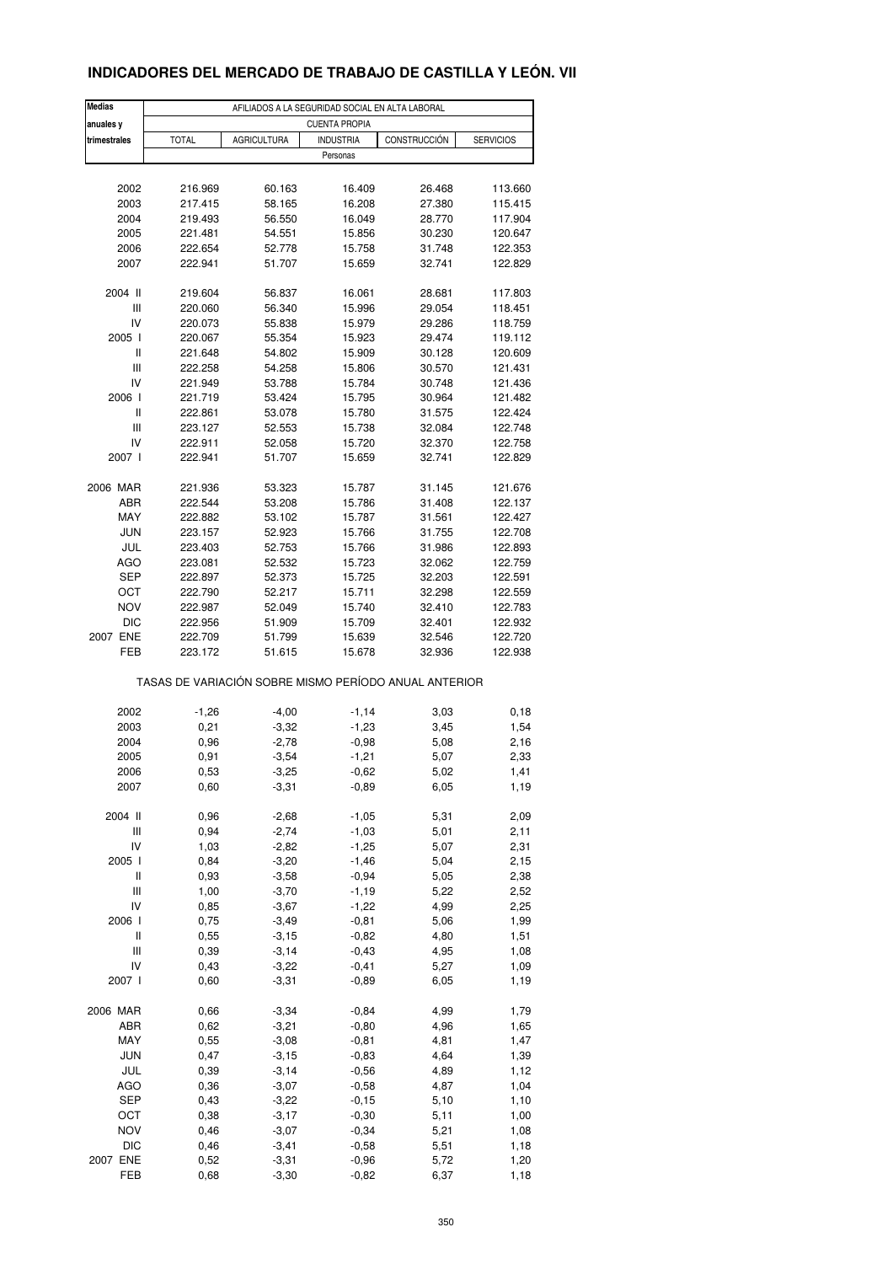## **INDICADORES DEL MERCADO DE TRABAJO DE CASTILLA Y LEÓN. VII**

| <b>Medias</b>                      | AFILIADOS A LA SEGURIDAD SOCIAL EN ALTA LABORAL       |                    |                  |                  |                    |  |  |  |  |
|------------------------------------|-------------------------------------------------------|--------------------|------------------|------------------|--------------------|--|--|--|--|
| anuales y                          | <b>CUENTA PROPIA</b>                                  |                    |                  |                  |                    |  |  |  |  |
| trimestrales                       | <b>TOTAL</b>                                          | <b>AGRICULTURA</b> | <b>INDUSTRIA</b> | CONSTRUCCIÓN     | <b>SERVICIOS</b>   |  |  |  |  |
|                                    |                                                       |                    | Personas         |                  |                    |  |  |  |  |
|                                    |                                                       |                    |                  |                  |                    |  |  |  |  |
| 2002                               | 216.969                                               | 60.163             | 16.409           | 26.468           | 113.660            |  |  |  |  |
| 2003                               | 217.415                                               | 58.165             | 16.208           | 27.380           | 115.415            |  |  |  |  |
| 2004                               | 219.493                                               | 56.550             | 16.049           | 28.770           | 117.904            |  |  |  |  |
| 2005                               | 221.481                                               | 54.551             | 15.856           | 30.230           | 120.647            |  |  |  |  |
| 2006                               | 222.654                                               | 52.778             | 15.758           | 31.748           | 122.353            |  |  |  |  |
| 2007                               | 222.941                                               | 51.707             | 15.659           | 32.741           | 122.829            |  |  |  |  |
| 2004 II                            | 219.604                                               | 56.837             | 16.061           | 28.681           | 117.803            |  |  |  |  |
| Ш                                  | 220.060                                               | 56.340             | 15.996           | 29.054           | 118.451            |  |  |  |  |
| IV                                 | 220.073                                               | 55.838             | 15.979           | 29.286           | 118.759            |  |  |  |  |
| 2005 l                             | 220.067                                               | 55.354             | 15.923           | 29.474           | 119.112            |  |  |  |  |
| Ш                                  | 221.648                                               | 54.802             | 15.909           | 30.128           | 120.609            |  |  |  |  |
| $\ensuremath{\mathsf{III}}\xspace$ | 222.258                                               | 54.258             | 15.806           | 30.570           | 121.431            |  |  |  |  |
| IV                                 | 221.949                                               | 53.788             | 15.784           | 30.748           | 121.436            |  |  |  |  |
| 2006                               | 221.719                                               | 53.424             | 15.795           | 30.964           | 121.482            |  |  |  |  |
| Ш                                  | 222.861                                               | 53.078             | 15.780           | 31.575           | 122.424            |  |  |  |  |
| Ш                                  | 223.127                                               | 52.553             | 15.738           | 32.084           | 122.748            |  |  |  |  |
|                                    |                                                       |                    |                  |                  |                    |  |  |  |  |
| IV<br>2007 l                       | 222.911<br>222.941                                    | 52.058<br>51.707   | 15.720<br>15.659 | 32.370<br>32.741 | 122.758<br>122.829 |  |  |  |  |
|                                    |                                                       |                    |                  |                  |                    |  |  |  |  |
| 2006 MAR                           | 221.936                                               | 53.323             | 15.787           | 31.145           | 121.676            |  |  |  |  |
| ABR                                | 222.544                                               | 53.208             | 15.786           | 31.408           | 122.137            |  |  |  |  |
| MAY                                | 222.882                                               | 53.102             | 15.787           | 31.561           | 122.427            |  |  |  |  |
| <b>JUN</b>                         | 223.157                                               | 52.923             | 15.766           | 31.755           | 122.708            |  |  |  |  |
| JUL                                | 223.403                                               | 52.753             | 15.766           | 31.986           | 122.893            |  |  |  |  |
| AGO                                | 223.081                                               | 52.532             | 15.723           | 32.062           | 122.759            |  |  |  |  |
| <b>SEP</b>                         | 222.897                                               | 52.373             | 15.725           | 32.203           | 122.591            |  |  |  |  |
| OCT                                | 222.790                                               | 52.217             | 15.711           | 32.298           | 122.559            |  |  |  |  |
| <b>NOV</b>                         | 222.987                                               | 52.049             | 15.740           | 32.410           | 122.783            |  |  |  |  |
| <b>DIC</b>                         |                                                       |                    |                  |                  |                    |  |  |  |  |
| 2007 ENE                           | 222.956                                               | 51.909             | 15.709           | 32.401           | 122.932            |  |  |  |  |
|                                    | 222.709                                               | 51.799             | 15.639           | 32.546           | 122.720            |  |  |  |  |
| FEB                                | 223.172                                               | 51.615             | 15.678           | 32.936           | 122.938            |  |  |  |  |
|                                    | TASAS DE VARIACIÓN SOBRE MISMO PERÍODO ANUAL ANTERIOR |                    |                  |                  |                    |  |  |  |  |
| 2002                               | $-1,26$                                               | $-4,00$            | $-1,14$          | 3,03             | 0, 18              |  |  |  |  |
| 2003                               | 0,21                                                  | $-3,32$            | $-1,23$          | 3,45             | 1,54               |  |  |  |  |
| 2004                               | 0,96                                                  | $-2,78$            | $-0,98$          | 5,08             | 2,16               |  |  |  |  |
| 2005                               | 0,91                                                  | $-3,54$            | $-1,21$          | 5,07             | 2,33               |  |  |  |  |
|                                    |                                                       |                    |                  |                  |                    |  |  |  |  |
| 2006<br>2007                       | 0,53<br>0,60                                          | $-3,25$<br>$-3,31$ | -0,62<br>$-0,89$ | 5,02<br>6,05     | 1,41<br>1,19       |  |  |  |  |
|                                    |                                                       |                    |                  |                  |                    |  |  |  |  |
| 2004 II                            | 0,96                                                  | $-2,68$            | $-1,05$          | 5,31             | 2,09               |  |  |  |  |
| $\ensuremath{\mathsf{III}}\xspace$ | 0,94                                                  | $-2,74$            | $-1,03$          | 5,01             | 2,11               |  |  |  |  |
| IV                                 | 1,03                                                  | $-2,82$            | $-1,25$          | 5,07             | 2,31               |  |  |  |  |
| 2005 l                             | 0,84                                                  | $-3,20$            | $-1,46$          | 5,04             | 2,15               |  |  |  |  |
| Ш                                  | 0,93                                                  | $-3,58$            | $-0,94$          | 5,05             | 2,38               |  |  |  |  |
| Ш                                  | 1,00                                                  | $-3,70$            | $-1,19$          | 5,22             | 2,52               |  |  |  |  |
| IV                                 | 0,85                                                  | $-3,67$            | $-1,22$          | 4,99             | 2,25               |  |  |  |  |
| 2006                               | 0,75                                                  | $-3,49$            | $-0,81$          | 5,06             | 1,99               |  |  |  |  |
| $\sf II$                           | 0,55                                                  | $-3, 15$           | $-0,82$          | 4,80             | 1,51               |  |  |  |  |
| $\ensuremath{\mathsf{III}}\xspace$ | 0,39                                                  | $-3, 14$           | $-0,43$          | 4,95             | 1,08               |  |  |  |  |
| IV                                 | 0,43                                                  | $-3,22$            | $-0,41$          | 5,27             | 1,09               |  |  |  |  |
| 2007 l                             | 0,60                                                  | $-3,31$            | $-0,89$          | 6,05             | 1,19               |  |  |  |  |
|                                    |                                                       |                    |                  |                  |                    |  |  |  |  |
| 2006 MAR                           | 0,66                                                  | $-3,34$            | $-0,84$          | 4,99             | 1,79               |  |  |  |  |
| ABR                                | 0,62                                                  | $-3,21$            | $-0,80$          | 4,96             | 1,65               |  |  |  |  |
| MAY                                | 0,55                                                  | $-3,08$            | $-0,81$          | 4,81             | 1,47               |  |  |  |  |
| <b>JUN</b>                         | 0,47                                                  | $-3,15$            | $-0,83$          | 4,64             | 1,39               |  |  |  |  |
| JUL                                | 0,39                                                  | $-3,14$            | $-0,56$          | 4,89             | 1,12               |  |  |  |  |
| AGO                                | 0,36                                                  | $-3,07$            | $-0,58$          | 4,87             | 1,04               |  |  |  |  |
| SEP                                | 0,43                                                  | $-3,22$            | $-0,15$          | 5,10             | 1,10               |  |  |  |  |
| OCT                                | 0,38                                                  | $-3,17$            | $-0,30$          | 5,11             | 1,00               |  |  |  |  |
| <b>NOV</b>                         | 0,46                                                  | $-3,07$            | $-0,34$          | 5,21             | 1,08               |  |  |  |  |
| DIC                                | 0,46                                                  | $-3,41$            | $-0,58$          | 5,51             | 1,18               |  |  |  |  |
| 2007 ENE                           | 0,52                                                  | $-3,31$            | $-0,96$          | 5,72             | 1,20               |  |  |  |  |
| FEB                                | 0,68                                                  | $-3,30$            | $-0,82$          | 6,37             | 1,18               |  |  |  |  |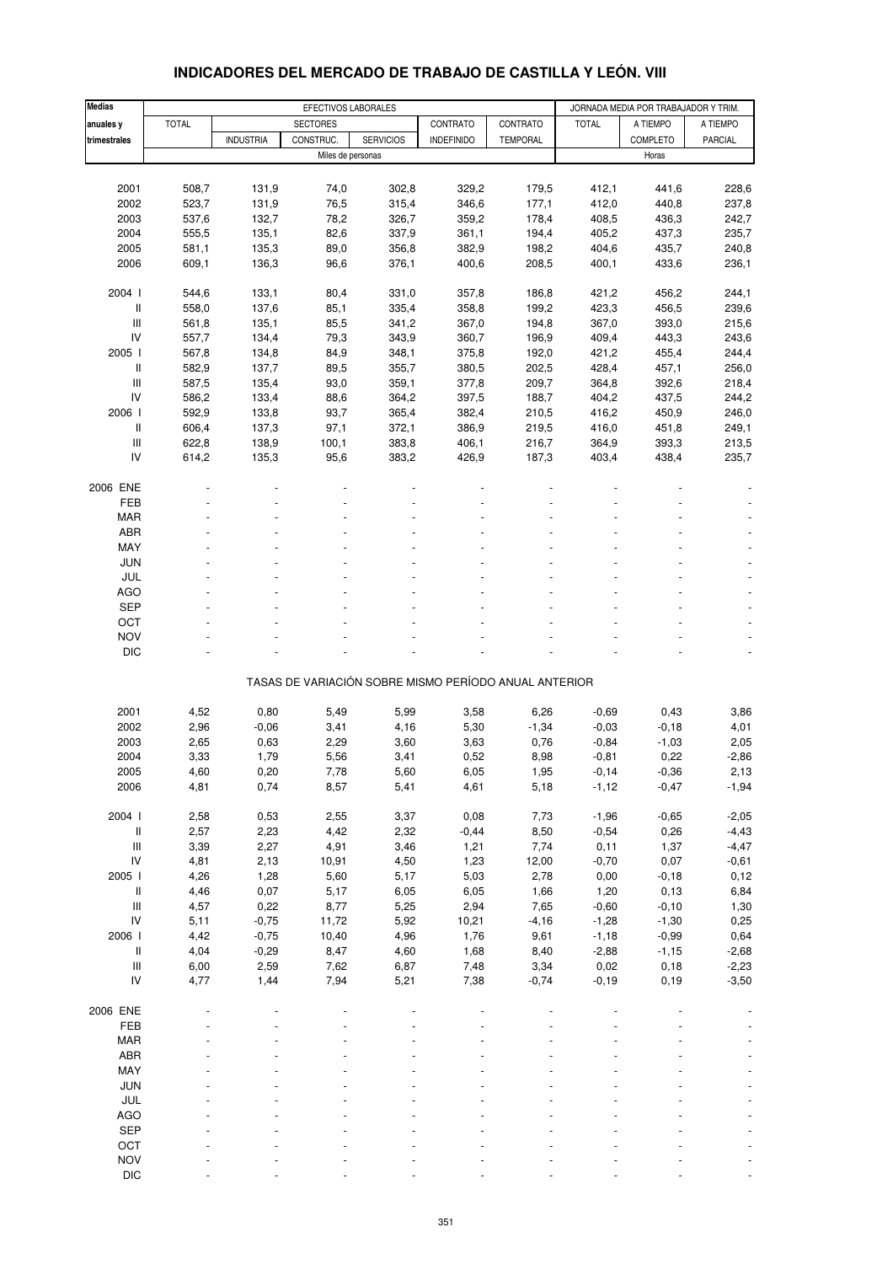| <b>Medias</b>                      | EFECTIVOS LABORALES |                  |                   |                  |                                                       |                 |                 | JORNADA MEDIA POR TRABAJADOR Y TRIM. |                    |
|------------------------------------|---------------------|------------------|-------------------|------------------|-------------------------------------------------------|-----------------|-----------------|--------------------------------------|--------------------|
| anuales y                          | <b>TOTAL</b>        |                  | <b>SECTORES</b>   |                  | CONTRATO                                              | CONTRATO        | <b>TOTAL</b>    | A TIEMPO                             | A TIEMPO           |
| trimestrales                       |                     | <b>INDUSTRIA</b> | CONSTRUC.         | <b>SERVICIOS</b> | <b>INDEFINIDO</b>                                     | <b>TEMPORAL</b> |                 | COMPLETO                             | PARCIAL            |
|                                    |                     |                  | Miles de personas |                  |                                                       |                 |                 | Horas                                |                    |
|                                    |                     |                  |                   |                  |                                                       |                 |                 |                                      |                    |
| 2001                               | 508,7               | 131,9            | 74,0              | 302,8            | 329,2                                                 | 179,5           | 412,1           | 441,6                                | 228,6              |
| 2002                               | 523,7               | 131,9            | 76,5              | 315,4            | 346,6                                                 | 177,1           | 412,0           | 440,8                                | 237,8              |
| 2003                               | 537,6               | 132,7            | 78,2              | 326,7            | 359,2                                                 | 178,4           | 408,5           | 436,3                                | 242,7              |
| 2004                               | 555,5               | 135,1            | 82,6              | 337,9            | 361,1                                                 | 194,4           | 405,2           | 437,3                                | 235,7              |
| 2005                               | 581,1               | 135,3            | 89,0              | 356,8            | 382,9                                                 | 198,2           | 404,6           | 435,7                                | 240,8              |
| 2006                               | 609,1               | 136,3            | 96,6              | 376,1            | 400,6                                                 | 208,5           | 400,1           | 433,6                                | 236,1              |
|                                    |                     |                  |                   |                  |                                                       |                 |                 |                                      |                    |
| 2004 l                             | 544,6               | 133,1            | 80,4              | 331,0            | 357,8                                                 | 186,8           | 421,2           | 456,2                                | 244,1              |
| Ш                                  | 558,0               | 137,6            | 85,1              | 335,4            | 358,8                                                 | 199,2           | 423,3           | 456,5                                | 239,6              |
| Ш                                  | 561,8               | 135,1            | 85,5              | 341,2            | 367,0                                                 | 194,8           | 367,0           | 393,0                                | 215,6              |
| IV                                 | 557,7               | 134,4            | 79,3              | 343,9            | 360,7                                                 | 196,9           | 409,4           | 443,3                                | 243,6              |
| 2005 l                             | 567,8               | 134,8            | 84,9              | 348,1            | 375,8                                                 | 192,0           | 421,2           | 455,4                                | 244,4              |
| $\, \parallel$                     | 582,9               | 137,7            | 89,5              | 355,7            | 380,5                                                 | 202,5           | 428,4           | 457,1                                | 256,0              |
| Ш                                  | 587,5               | 135,4            | 93,0              | 359,1            | 377,8                                                 | 209,7           | 364,8           | 392,6                                | 218,4              |
| IV                                 | 586,2               | 133,4            | 88,6              | 364,2            | 397,5                                                 | 188,7           | 404,2           | 437,5                                | 244,2              |
| 2006                               | 592,9               | 133,8            | 93,7              | 365,4            | 382,4                                                 | 210,5           | 416,2           | 450,9                                | 246,0              |
| II                                 | 606,4               | 137,3            | 97,1              | 372,1            | 386,9                                                 | 219,5           | 416,0           | 451,8                                | 249,1              |
| Ш                                  | 622,8               | 138,9            | 100,1             | 383,8            | 406,1                                                 | 216,7           | 364,9           | 393,3                                | 213,5              |
| IV                                 | 614,2               | 135,3            | 95,6              | 383,2            | 426,9                                                 | 187,3           | 403,4           | 438,4                                | 235,7              |
|                                    |                     |                  |                   |                  |                                                       |                 |                 |                                      |                    |
| 2006 ENE                           |                     |                  |                   |                  |                                                       |                 |                 |                                      |                    |
| <b>FEB</b>                         |                     |                  |                   |                  |                                                       |                 |                 |                                      |                    |
| <b>MAR</b>                         |                     |                  |                   |                  |                                                       |                 |                 |                                      |                    |
| ABR                                |                     |                  |                   |                  |                                                       |                 |                 |                                      |                    |
| MAY                                |                     |                  |                   |                  |                                                       |                 |                 |                                      |                    |
| JUN                                |                     |                  |                   |                  |                                                       |                 |                 |                                      |                    |
| JUL                                |                     |                  |                   |                  |                                                       |                 |                 |                                      |                    |
| <b>AGO</b>                         |                     |                  |                   |                  |                                                       |                 |                 |                                      |                    |
| <b>SEP</b>                         |                     |                  |                   |                  |                                                       |                 |                 |                                      |                    |
| OCT                                |                     |                  |                   |                  |                                                       |                 |                 |                                      |                    |
| <b>NOV</b>                         |                     |                  |                   |                  |                                                       |                 |                 |                                      |                    |
| <b>DIC</b>                         |                     |                  |                   |                  |                                                       |                 |                 |                                      |                    |
|                                    |                     |                  |                   |                  | TASAS DE VARIACIÓN SOBRE MISMO PERÍODO ANUAL ANTERIOR |                 |                 |                                      |                    |
|                                    |                     |                  |                   |                  |                                                       |                 |                 |                                      |                    |
| 2001                               | 4,52                | 0,80             | 5,49              | 5,99             | 3,58                                                  | 6,26            | $-0,69$         | 0,43                                 | 3,86               |
| 2002                               | 2,96                | $-0,06$          | 3,41              | 4,16             | 5,30                                                  | $-1,34$         | $-0,03$         | $-0,18$                              | 4,01               |
| 2003                               | 2,65                | 0,63             | 2,29              | 3,60             | 3,63                                                  | 0,76            | $-0,84$         | $-1,03$                              | 2,05               |
| 2004                               | 3,33                | 1,79             | 5,56              | 3,41             | 0,52                                                  | 8,98            | $-0,81$         | 0,22                                 | $-2,86$            |
| 2005                               | 4,60                | 0,20             | 7,78              | 5,60             | 6,05                                                  | 1,95            | $-0,14$         | $-0,36$                              | 2,13               |
| 2006                               | 4,81                | 0,74             | 8,57              | 5,41             | 4,61                                                  | 5,18            | $-1,12$         | $-0,47$                              | $-1,94$            |
|                                    |                     |                  |                   |                  |                                                       |                 |                 |                                      |                    |
| 2004 l                             | 2,58                | 0,53             | 2,55              | 3,37             | 0,08                                                  | 7,73            | $-1,96$         | $-0,65$                              | $-2,05$            |
| Ш                                  | 2,57                | 2,23             | 4,42              | 2,32             | $-0,44$                                               | 8,50            | $-0,54$         | 0,26                                 | $-4,43$            |
| $\ensuremath{\mathsf{III}}\xspace$ | 3,39                | 2,27             | 4,91              | 3,46             | 1,21                                                  | 7,74            | 0,11            | 1,37                                 | $-4,47$            |
| IV                                 | 4,81                | 2,13             | 10,91             | 4,50             | 1,23                                                  | 12,00           | $-0,70$         | 0,07                                 | $-0,61$            |
| 2005 l                             | 4,26                | 1,28             | 5,60              | 5,17             | 5,03                                                  | 2,78            | 0,00            | $-0,18$                              | 0,12               |
| $\,$ $\,$ $\,$ $\,$                | 4,46                | 0,07             | 5,17              | 6,05             | 6,05                                                  | 1,66            | 1,20            | 0, 13                                | 6,84               |
| $\ensuremath{\mathsf{III}}\xspace$ | 4,57                | 0,22             | 8,77              | 5,25             | 2,94                                                  | 7,65            | $-0,60$         | $-0,10$                              | 1,30               |
| IV                                 | 5,11                | $-0,75$          | 11,72             | 5,92             | 10,21                                                 | $-4,16$         | $-1,28$         | $-1,30$                              | 0,25               |
| 2006 l<br>II                       | 4,42                | $-0,75$          | 10,40             | 4,96             | 1,76                                                  | 9,61            | $-1,18$         | $-0,99$                              | 0,64               |
| Ш                                  | 4,04                | $-0,29$<br>2,59  | 8,47              | 4,60             | 1,68                                                  | 8,40            | $-2,88$         | $-1,15$                              | $-2,68$            |
| IV                                 | 6,00<br>4,77        | 1,44             | 7,62<br>7,94      | 6,87<br>5,21     | 7,48<br>7,38                                          | 3,34<br>$-0,74$ | 0,02<br>$-0,19$ | 0,18<br>0, 19                        | $-2,23$<br>$-3,50$ |
|                                    |                     |                  |                   |                  |                                                       |                 |                 |                                      |                    |
| 2006 ENE                           |                     |                  |                   |                  |                                                       |                 |                 |                                      |                    |
| FEB                                |                     |                  |                   |                  |                                                       |                 |                 |                                      |                    |
| <b>MAR</b>                         |                     |                  |                   |                  |                                                       |                 |                 |                                      |                    |
| ABR                                |                     |                  |                   |                  |                                                       |                 |                 |                                      |                    |
| MAY                                |                     |                  |                   |                  |                                                       |                 |                 |                                      |                    |
| JUN                                |                     |                  |                   |                  |                                                       |                 |                 |                                      |                    |
| JUL                                |                     |                  |                   |                  |                                                       |                 |                 |                                      |                    |
| <b>AGO</b>                         |                     |                  |                   |                  |                                                       |                 |                 |                                      |                    |
| SEP                                |                     |                  |                   |                  |                                                       |                 |                 |                                      |                    |
| OCT                                |                     |                  |                   |                  |                                                       |                 |                 |                                      |                    |
| <b>NOV</b>                         |                     |                  |                   |                  |                                                       |                 |                 |                                      |                    |

#### **INDICADORES DEL MERCADO DE TRABAJO DE CASTILLA Y LEÓN. VIII**

DIC - - - - - - - - -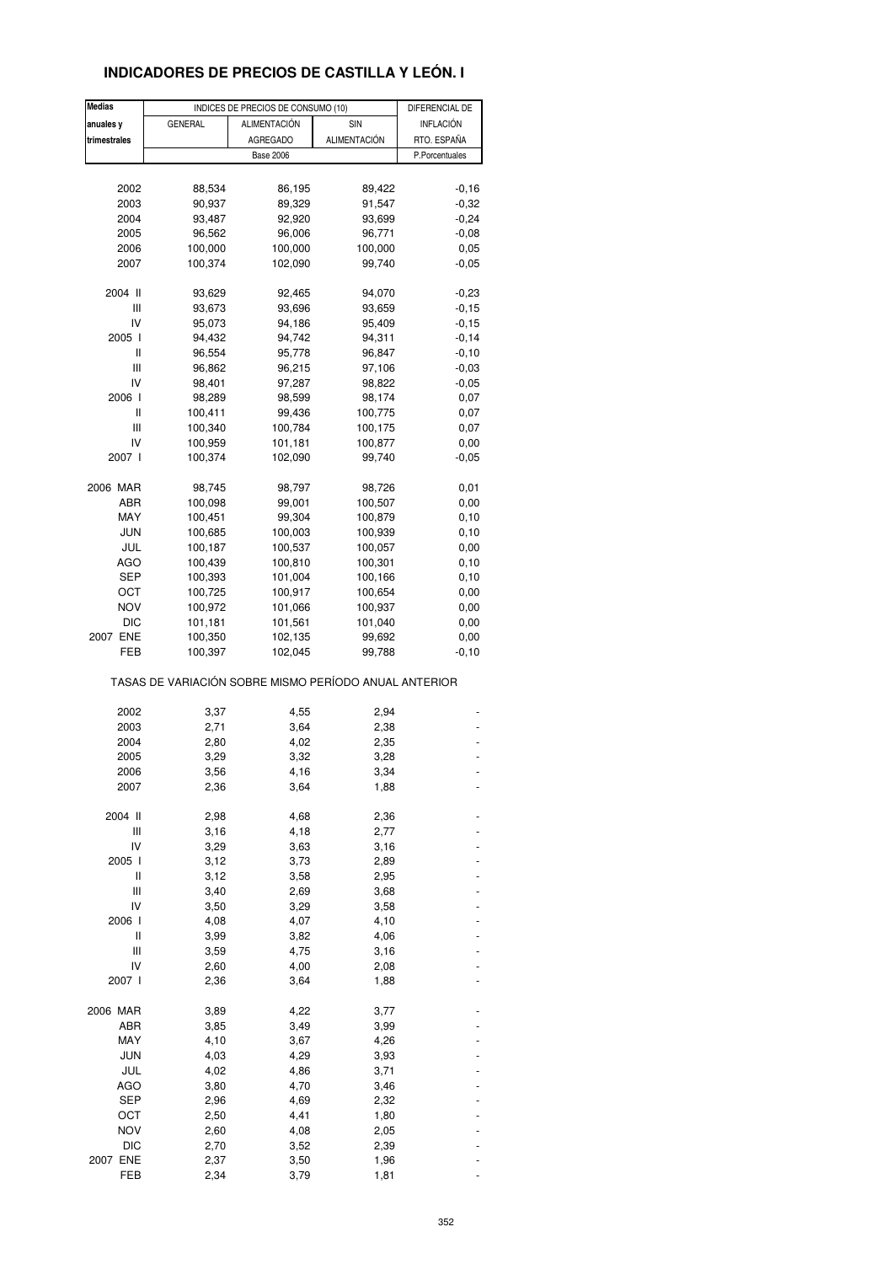## **INDICADORES DE PRECIOS DE CASTILLA Y LEÓN. I**

| <b>Medias</b> |                                                       | INDICES DE PRECIOS DE CONSUMO (10) |              | DIFERENCIAL DE   |
|---------------|-------------------------------------------------------|------------------------------------|--------------|------------------|
| anuales y     | <b>GENERAL</b>                                        | <b>ALIMENTACIÓN</b>                | SIN          | <b>INFLACIÓN</b> |
| trimestrales  |                                                       | <b>AGREGADO</b>                    | ALIMENTACIÓN | RTO. ESPAÑA      |
|               |                                                       | <b>Base 2006</b>                   |              | P.Porcentuales   |
|               |                                                       |                                    |              |                  |
|               | 88,534                                                |                                    |              | $-0,16$          |
| 2002          |                                                       | 86,195                             | 89,422       |                  |
| 2003          | 90,937                                                | 89,329                             | 91,547       | $-0,32$          |
| 2004          | 93,487                                                | 92,920                             | 93,699       | $-0,24$          |
| 2005          | 96,562                                                | 96,006                             | 96,771       | $-0,08$          |
| 2006          | 100,000                                               | 100,000                            | 100,000      | 0,05             |
| 2007          | 100,374                                               | 102,090                            | 99,740       | $-0.05$          |
| 2004 II       | 93,629                                                | 92,465                             | 94,070       | $-0,23$          |
| Ш             | 93,673                                                | 93,696                             | 93,659       | $-0,15$          |
| IV            | 95,073                                                | 94,186                             | 95,409       | $-0,15$          |
| 2005 l        | 94,432                                                | 94,742                             | 94,311       | $-0,14$          |
| Ш             | 96,554                                                | 95,778                             | 96,847       | $-0,10$          |
| Ш             | 96,862                                                | 96,215                             | 97,106       | $-0,03$          |
| IV            | 98,401                                                | 97,287                             | 98,822       | $-0,05$          |
| 2006          | 98,289                                                | 98,599                             | 98,174       | 0,07             |
| $\mathsf{I}$  | 100,411                                               | 99,436                             | 100,775      | 0,07             |
| Ш             | 100,340                                               | 100,784                            | 100,175      | 0,07             |
| IV            | 100,959                                               | 101,181                            | 100,877      | 0,00             |
| 2007 l        | 100,374                                               | 102,090                            | 99,740       | $-0,05$          |
|               |                                                       |                                    |              |                  |
| 2006 MAR      | 98,745                                                | 98,797                             | 98,726       | 0,01             |
| ABR           | 100,098                                               | 99,001                             | 100,507      | 0,00             |
| MAY           | 100,451                                               | 99,304                             | 100,879      | 0,10             |
| JUN           | 100,685                                               | 100,003                            | 100,939      | 0,10             |
| JUL           | 100,187                                               | 100,537                            | 100,057      | 0,00             |
| AGO           | 100,439                                               | 100,810                            | 100,301      | 0,10             |
| SEP           | 100,393                                               | 101,004                            | 100,166      | 0,10             |
| OCT           | 100,725                                               | 100,917                            | 100,654      | 0,00             |
| NOV           | 100,972                                               | 101,066                            | 100,937      | 0,00             |
| <b>DIC</b>    | 101,181                                               | 101,561                            | 101,040      | 0,00             |
| 2007 ENE      | 100,350                                               | 102,135                            | 99,692       | 0,00             |
| FEB           | 100,397                                               | 102,045                            | 99,788       | $-0,10$          |
|               | TASAS DE VARIACIÓN SOBRE MISMO PERÍODO ANUAL ANTERIOR |                                    |              |                  |
|               |                                                       |                                    |              |                  |
| 2002          | 3,37                                                  | 4,55                               | 2,94         |                  |
| 2003          | 2,71                                                  | 3,64                               | 2,38         |                  |
| 2004          | 2,80                                                  | 4,02                               | 2,35         |                  |
| 2005          | 3,29                                                  | 3,32                               | 3,28         |                  |
| 2006          | 3,56                                                  | 4,16                               | 3,34         |                  |
| 2007          | 2,36                                                  | 3,64                               | 1,88         |                  |
| 2004 II       | 2,98                                                  | 4,68                               | 2,36         |                  |
| Ш             | 3,16                                                  | 4,18                               | 2,77         |                  |
| IV            | 3,29                                                  | 3,63                               | 3,16         |                  |
| 2005 l        | 3,12                                                  | 3,73                               | 2,89         |                  |
| Ш             | 3,12                                                  | 3,58                               | 2,95         |                  |
| Ш             | 3,40                                                  | 2,69                               | 3,68         |                  |
| IV            | 3,50                                                  | 3,29                               | 3,58         |                  |
| 2006 l        | 4,08                                                  | 4,07                               | 4,10         |                  |
| Ш             | 3,99                                                  | 3,82                               | 4,06         |                  |
| Ш             | 3,59                                                  | 4,75                               | 3,16         |                  |
| IV            | 2,60                                                  | 4,00                               | 2,08         |                  |
| 2007 l        | 2,36                                                  | 3,64                               | 1,88         |                  |
|               |                                                       |                                    |              |                  |
| 2006 MAR      | 3,89                                                  | 4,22                               | 3,77         |                  |
| ABR           | 3,85                                                  | 3,49                               | 3,99         |                  |
| MAY           | 4,10                                                  | 3,67                               | 4,26         |                  |
| <b>JUN</b>    | 4,03                                                  | 4,29                               | 3,93         |                  |
| JUL           | 4,02                                                  | 4,86                               | 3,71         |                  |
| <b>AGO</b>    | 3,80                                                  | 4,70                               | 3,46         |                  |
| SEP           | 2,96                                                  | 4,69                               | 2,32         |                  |
| OCT           | 2,50                                                  | 4,41                               | 1,80         |                  |
| <b>NOV</b>    | 2,60                                                  | 4,08                               | 2,05         |                  |
| DIC           | 2,70                                                  | 3,52                               | 2,39         |                  |
| 2007 ENE      | 2,37                                                  | 3,50                               | 1,96         |                  |
| FEB           | 2,34                                                  | 3,79                               | 1,81         |                  |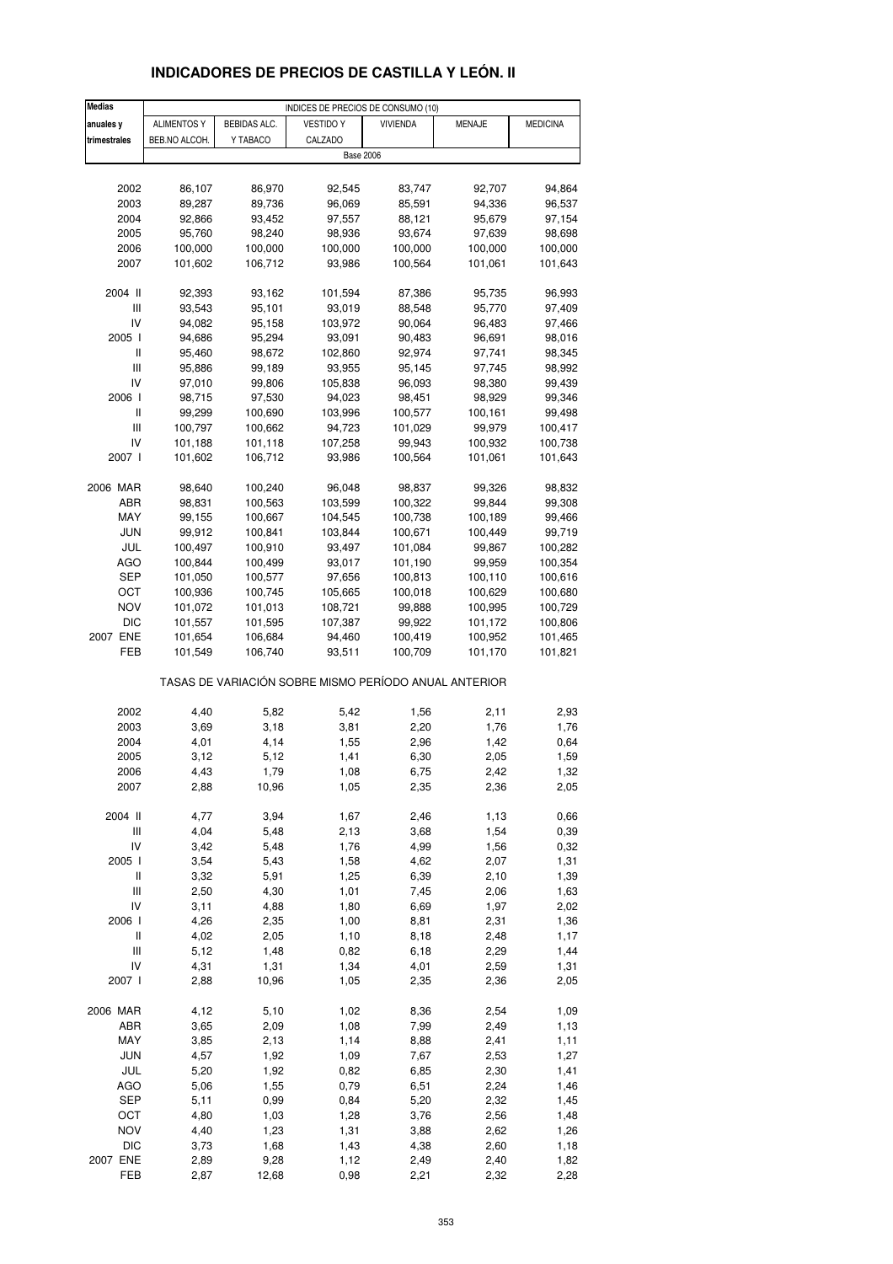## **INDICADORES DE PRECIOS DE CASTILLA Y LEÓN. II**

| <b>Medias</b>                      |                    |              | INDICES DE PRECIOS DE CONSUMO (10)                    |                 |              |                 |
|------------------------------------|--------------------|--------------|-------------------------------------------------------|-----------------|--------------|-----------------|
| anuales y                          | <b>ALIMENTOS Y</b> | BEBIDAS ALC. | <b>VESTIDO Y</b>                                      | <b>VIVIENDA</b> | MENAJE       | <b>MEDICINA</b> |
| trimestrales                       | BEB.NO ALCOH.      | Y TABACO     | CALZADO                                               |                 |              |                 |
|                                    |                    |              | <b>Base 2006</b>                                      |                 |              |                 |
|                                    |                    |              |                                                       |                 |              |                 |
| 2002                               | 86,107             | 86,970       | 92,545                                                | 83,747          | 92,707       | 94,864          |
| 2003                               | 89,287             | 89,736       | 96,069                                                | 85,591          | 94,336       | 96,537          |
| 2004                               | 92,866             | 93,452       | 97,557                                                | 88,121          | 95,679       | 97,154          |
|                                    |                    |              |                                                       |                 |              |                 |
| 2005                               | 95,760             | 98,240       | 98,936                                                | 93,674          | 97,639       | 98,698          |
| 2006                               | 100,000            | 100,000      | 100,000                                               | 100,000         | 100,000      | 100,000         |
| 2007                               | 101,602            | 106,712      | 93,986                                                | 100,564         | 101,061      | 101,643         |
| 2004 II                            |                    |              |                                                       |                 |              |                 |
|                                    | 92,393             | 93,162       | 101,594                                               | 87,386          | 95,735       | 96,993          |
| Ш<br>IV                            | 93,543             | 95,101       | 93,019                                                | 88,548          | 95,770       | 97,409          |
|                                    | 94,082             | 95,158       | 103,972                                               | 90,064          | 96,483       | 97,466          |
| 2005 l                             | 94,686             | 95,294       | 93,091                                                | 90,483          | 96,691       | 98,016          |
| Ш                                  | 95,460             | 98,672       | 102,860                                               | 92,974          | 97,741       | 98,345          |
| $\mathbf{III}$                     | 95,886             | 99,189       | 93,955                                                | 95,145          | 97,745       | 98,992          |
| IV                                 | 97,010             | 99,806       | 105,838                                               | 96,093          | 98,380       | 99,439          |
| 2006 l                             | 98,715             | 97,530       | 94,023                                                | 98,451          | 98,929       | 99,346          |
| Ш                                  | 99,299             | 100,690      | 103,996                                               | 100,577         | 100,161      | 99,498          |
| Ш                                  | 100,797            | 100,662      | 94,723                                                | 101,029         | 99,979       | 100,417         |
| IV                                 | 101,188            | 101,118      | 107,258                                               | 99,943          | 100,932      | 100,738         |
| 2007 l                             | 101,602            | 106,712      | 93,986                                                | 100,564         | 101,061      | 101,643         |
|                                    |                    |              |                                                       |                 |              |                 |
| 2006 MAR                           | 98,640             | 100,240      | 96,048                                                | 98,837          | 99,326       | 98,832          |
| ABR                                | 98,831             | 100,563      | 103,599                                               | 100,322         | 99,844       | 99,308          |
| MAY                                | 99,155             | 100,667      | 104,545                                               | 100,738         | 100,189      | 99,466          |
| JUN                                | 99,912             | 100,841      | 103,844                                               | 100,671         | 100,449      | 99,719          |
| JUL                                | 100,497            | 100,910      | 93,497                                                | 101,084         | 99,867       | 100,282         |
| AGO                                | 100,844            | 100,499      | 93,017                                                | 101,190         | 99,959       | 100,354         |
| SEP                                | 101,050            | 100,577      | 97,656                                                | 100,813         | 100,110      | 100,616         |
| ост                                | 100,936            | 100,745      | 105,665                                               | 100,018         | 100,629      | 100,680         |
| NOV                                | 101,072            | 101,013      | 108,721                                               | 99,888          | 100,995      | 100,729         |
| <b>DIC</b>                         | 101,557            | 101,595      | 107,387                                               | 99,922          | 101,172      | 100,806         |
| 2007 ENE                           | 101,654            | 106,684      | 94,460                                                | 100,419         | 100,952      | 101,465         |
| FEB                                | 101,549            | 106,740      | 93,511                                                | 100,709         | 101,170      | 101,821         |
|                                    |                    |              |                                                       |                 |              |                 |
|                                    |                    |              | TASAS DE VARIACIÓN SOBRE MISMO PERÍODO ANUAL ANTERIOR |                 |              |                 |
| 2002                               | 4,40               | 5,82         | 5,42                                                  | 1,56            | 2,11         | 2,93            |
| 2003                               | 3,69               | 3,18         | 3,81                                                  | 2,20            | 1,76         | 1,76            |
| 2004                               | 4,01               | 4,14         | 1,55                                                  | 2,96            | 1,42         | 0,64            |
| 2005                               |                    |              |                                                       |                 |              |                 |
|                                    | 3,12               | 5,12<br>1,79 | 1,41                                                  | 6,30<br>6,75    | 2,05         | 1,59            |
| 2006                               | 4,43               |              | 1,08                                                  |                 | 2,42         | 1,32            |
| 2007                               | 2,88               | 10,96        | 1,05                                                  | 2,35            | 2,36         | 2,05            |
| 2004 II                            | 4,77               | 3,94         | 1,67                                                  | 2,46            | 1,13         | 0,66            |
| $\ensuremath{\mathsf{III}}\xspace$ | 4,04               | 5,48         | 2,13                                                  | 3,68            | 1,54         | 0,39            |
|                                    |                    |              |                                                       |                 |              |                 |
| IV                                 | 3,42               | 5,48         | 1,76                                                  | 4,99            | 1,56         | 0,32            |
| 2005 l<br>$\,$ $\,$ $\,$ $\,$      | 3,54<br>3,32       | 5,43<br>5,91 | 1,58<br>1,25                                          | 4,62<br>6,39    | 2,07<br>2,10 | 1,31<br>1,39    |
|                                    |                    |              |                                                       |                 |              |                 |
| Ш<br>IV                            | 2,50<br>3,11       | 4,30<br>4,88 | 1,01<br>1,80                                          | 7,45            | 2,06<br>1,97 | 1,63<br>2,02    |
|                                    |                    |              |                                                       | 6,69            |              |                 |
| 2006                               | 4,26               | 2,35         | 1,00                                                  | 8,81            | 2,31         | 1,36            |
| Ш                                  | 4,02               | 2,05         | 1,10                                                  | 8,18            | 2,48         | 1,17            |
| $\ensuremath{\mathsf{III}}\xspace$ | 5,12               | 1,48         | 0,82                                                  | 6,18            | 2,29         | 1,44            |
| IV                                 | 4,31               | 1,31         | 1,34                                                  | 4,01            | 2,59         | 1,31            |
| 2007 l                             | 2,88               | 10,96        | 1,05                                                  | 2,35            | 2,36         | 2,05            |
| 2006 MAR                           | 4,12               | 5,10         | 1,02                                                  | 8,36            | 2,54         | 1,09            |
| ABR                                | 3,65               | 2,09         | 1,08                                                  | 7,99            | 2,49         | 1,13            |
| MAY                                | 3,85               | 2,13         | 1,14                                                  | 8,88            | 2,41         | 1,11            |
| <b>JUN</b>                         | 4,57               | 1,92         | 1,09                                                  | 7,67            | 2,53         | 1,27            |
| JUL                                | 5,20               | 1,92         | 0,82                                                  | 6,85            | 2,30         | 1,41            |
| <b>AGO</b>                         | 5,06               | 1,55         | 0,79                                                  | 6,51            | 2,24         | 1,46            |
| <b>SEP</b>                         | 5,11               | 0,99         | 0,84                                                  | 5,20            | 2,32         | 1,45            |
| OCT                                | 4,80               | 1,03         | 1,28                                                  | 3,76            | 2,56         | 1,48            |
| NOV                                | 4,40               | 1,23         | 1,31                                                  | 3,88            | 2,62         | 1,26            |
|                                    |                    |              |                                                       |                 |              |                 |
| DIC<br>2007 ENE                    | 3,73               | 1,68         | 1,43<br>1,12                                          | 4,38            | 2,60         | 1,18            |
| FEB                                | 2,89               | 9,28         |                                                       | 2,49<br>2,21    | 2,40         | 1,82<br>2,28    |
|                                    | 2,87               | 12,68        | 0,98                                                  |                 | 2,32         |                 |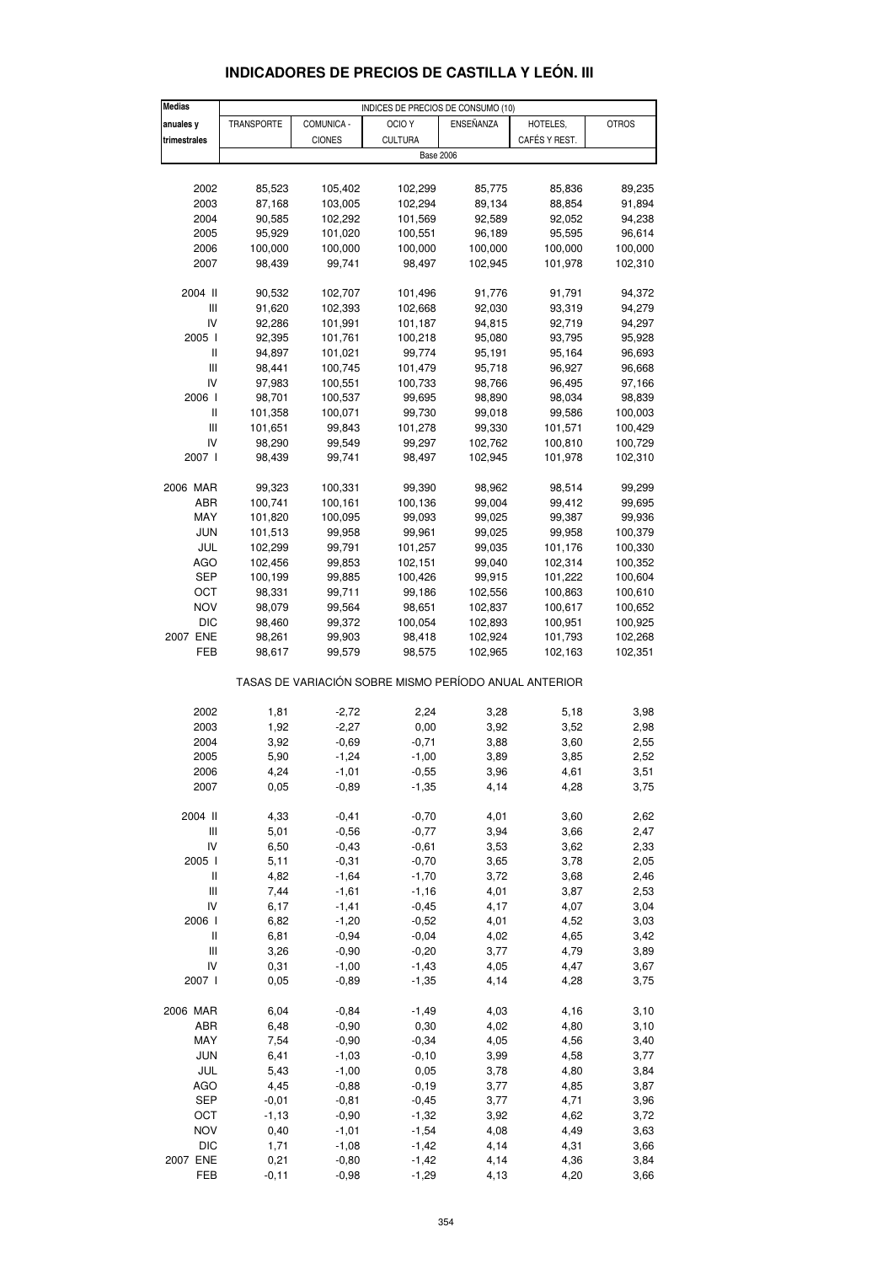| <b>Medias</b>                                         | INDICES DE PRECIOS DE CONSUMO (10) |                    |                    |                  |                  |                  |  |
|-------------------------------------------------------|------------------------------------|--------------------|--------------------|------------------|------------------|------------------|--|
| anuales y                                             | TRANSPORTE                         | COMUNICA -         | OCIO <sub>Y</sub>  | ENSEÑANZA        | HOTELES,         | <b>OTROS</b>     |  |
| trimestrales                                          |                                    | <b>CIONES</b>      | <b>CULTURA</b>     |                  | CAFÉS Y REST.    |                  |  |
|                                                       |                                    |                    | <b>Base 2006</b>   |                  |                  |                  |  |
|                                                       |                                    |                    |                    |                  |                  |                  |  |
| 2002                                                  | 85,523                             | 105,402            | 102,299            | 85,775           | 85,836           | 89,235           |  |
| 2003                                                  | 87,168                             | 103,005            | 102,294            | 89,134           | 88,854           | 91,894           |  |
| 2004                                                  | 90,585                             | 102,292            | 101,569            | 92,589           | 92,052           | 94,238           |  |
| 2005                                                  | 95,929                             | 101,020            | 100,551            | 96,189           | 95,595           | 96,614           |  |
| 2006                                                  | 100,000                            | 100,000            | 100,000            | 100,000          | 100,000          | 100,000          |  |
| 2007                                                  | 98,439                             | 99,741             | 98,497             | 102,945          | 101,978          | 102,310          |  |
|                                                       |                                    |                    |                    |                  |                  |                  |  |
| 2004 II                                               | 90,532                             | 102,707            | 101,496            | 91,776           | 91,791           | 94,372           |  |
| Ш                                                     | 91,620                             | 102,393            | 102,668            | 92,030           | 93,319           | 94,279           |  |
| IV                                                    | 92,286                             | 101,991            | 101,187            | 94,815           | 92,719           | 94,297           |  |
| 2005 l<br>$\mathbf{I}$                                | 92,395                             | 101,761            | 100,218            | 95,080           | 93,795<br>95,164 | 95,928           |  |
| $\begin{array}{c} \hline \end{array}$                 | 94,897                             | 101,021<br>100,745 | 99,774<br>101,479  | 95,191<br>95,718 | 96,927           | 96,693           |  |
| IV                                                    | 98,441<br>97,983                   | 100,551            | 100,733            | 98,766           | 96,495           | 96,668<br>97,166 |  |
| 2006 l                                                | 98,701                             | 100,537            | 99,695             | 98,890           | 98,034           | 98,839           |  |
| Ш                                                     | 101,358                            | 100,071            | 99,730             | 99,018           | 99,586           | 100,003          |  |
| Ш                                                     | 101,651                            | 99,843             | 101,278            | 99,330           | 101,571          | 100,429          |  |
| IV                                                    | 98,290                             | 99,549             | 99,297             | 102,762          | 100,810          | 100,729          |  |
| 2007 l                                                | 98,439                             | 99,741             | 98,497             | 102,945          | 101,978          | 102,310          |  |
|                                                       |                                    |                    |                    |                  |                  |                  |  |
| 2006 MAR                                              | 99,323                             | 100,331            | 99,390             | 98,962           | 98,514           | 99,299           |  |
| ABR                                                   | 100,741                            | 100,161            | 100,136            | 99,004           | 99,412           | 99,695           |  |
| MAY                                                   | 101,820                            | 100,095            | 99,093             | 99,025           | 99,387           | 99,936           |  |
| <b>JUN</b>                                            | 101,513                            | 99,958             | 99,961             | 99,025           | 99,958           | 100,379          |  |
| JUL                                                   | 102,299                            | 99,791             | 101,257            | 99,035           | 101,176          | 100,330          |  |
| <b>AGO</b>                                            | 102,456                            | 99,853             | 102,151            | 99,040           | 102,314          | 100,352          |  |
| SEP                                                   | 100,199                            | 99,885             | 100,426            | 99,915           | 101,222          | 100,604          |  |
| OCT                                                   | 98,331                             | 99,711             | 99,186             | 102,556          | 100,863          | 100,610          |  |
| <b>NOV</b>                                            | 98,079                             | 99,564             | 98,651             | 102,837          | 100,617          | 100,652          |  |
| <b>DIC</b>                                            | 98,460                             | 99,372             | 100,054            | 102,893          | 100,951          | 100,925          |  |
| 2007 ENE                                              | 98,261                             | 99,903             | 98,418             | 102,924          | 101,793          | 102,268          |  |
| FEB                                                   | 98,617                             | 99,579             | 98,575             | 102,965          | 102,163          | 102,351          |  |
| TASAS DE VARIACIÓN SOBRE MISMO PERÍODO ANUAL ANTERIOR |                                    |                    |                    |                  |                  |                  |  |
|                                                       |                                    |                    |                    |                  |                  |                  |  |
| 2002                                                  | 1,81                               | $-2,72$            | 2,24               | 3,28             | 5,18             | 3,98             |  |
| 2003                                                  | 1,92                               | $-2,27$            | 0,00               | 3,92             | 3,52             | 2,98             |  |
| 2004                                                  | 3,92                               | $-0,69$            | $-0,71$            | 3,88             | 3,60             | 2,55             |  |
| 2005                                                  | 5,90                               | $-1,24$            | $-1,00$            | 3,89             | 3,85             | 2,52             |  |
| 2006                                                  | 4,24                               | $-1,01$            | $-0,55$            | 3,96             | 4,61             | 3,51             |  |
| 2007                                                  | 0,05                               | $-0,89$            | $-1,35$            | 4,14             | 4,28             | 3,75             |  |
|                                                       |                                    |                    |                    |                  |                  |                  |  |
| 2004 II                                               | 4,33                               | $-0,41$            | $-0,70$            | 4,01             | 3,60             | 2,62             |  |
| Ш                                                     | 5,01                               | $-0,56$            | $-0,77$            | 3,94             | 3,66             | 2,47             |  |
| IV                                                    | 6,50                               | $-0,43$            | $-0,61$            | 3,53             | 3,62             | 2,33             |  |
| 2005 l                                                | 5,11                               | $-0,31$            | $-0,70$            | 3,65             | 3,78             | 2,05             |  |
| $\sf II$                                              | 4,82                               | $-1,64$            | $-1,70$            | 3,72             | 3,68             | 2,46             |  |
| Ш                                                     | 7,44                               | $-1,61$            | $-1,16$            | 4,01             | 3,87             | 2,53             |  |
| IV                                                    | 6,17                               | $-1,41$            | $-0,45$            | 4,17             | 4,07             | 3,04             |  |
| 2006  <br>$\sf II$                                    | 6,82                               | $-1,20$            | $-0,52$            | 4,01             | 4,52             | 3,03             |  |
| Ш                                                     | 6,81<br>3,26                       | $-0,94$<br>$-0,90$ | $-0,04$<br>$-0,20$ | 4,02<br>3,77     | 4,65<br>4,79     | 3,42<br>3,89     |  |
| IV                                                    | 0,31                               | $-1,00$            | $-1,43$            | 4,05             | 4,47             | 3,67             |  |
| 2007 l                                                | 0,05                               | $-0,89$            | $-1,35$            | 4,14             | 4,28             | 3,75             |  |
|                                                       |                                    |                    |                    |                  |                  |                  |  |
| 2006 MAR                                              | 6,04                               | $-0,84$            | $-1,49$            | 4,03             | 4,16             | 3,10             |  |
| ABR                                                   | 6,48                               | $-0,90$            | 0,30               | 4,02             | 4,80             | 3,10             |  |
| MAY                                                   | 7,54                               | $-0,90$            | $-0,34$            | 4,05             | 4,56             | 3,40             |  |
| <b>JUN</b>                                            | 6,41                               | $-1,03$            | $-0, 10$           | 3,99             | 4,58             | 3,77             |  |
| JUL                                                   | 5,43                               | $-1,00$            | 0,05               | 3,78             | 4,80             | 3,84             |  |
| AGO                                                   | 4,45                               | $-0,88$            | $-0, 19$           | 3,77             | 4,85             | 3,87             |  |
| SEP                                                   | $-0,01$                            | $-0,81$            | $-0,45$            | 3,77             | 4,71             | 3,96             |  |
| OCT                                                   | $-1, 13$                           | $-0,90$            | $-1,32$            | 3,92             | 4,62             | 3,72             |  |
| <b>NOV</b>                                            | 0,40                               | $-1,01$            | $-1,54$            | 4,08             | 4,49             | 3,63             |  |
| <b>DIC</b>                                            | 1,71                               | $-1,08$            | $-1,42$            | 4,14             | 4,31             | 3,66             |  |
| 2007 ENE                                              | 0,21                               | $-0,80$            | $-1,42$            | 4,14             | 4,36             | 3,84             |  |

## **INDICADORES DE PRECIOS DE CASTILLA Y LEÓN. III**

FEB -0,11 -0,98 -1,29 4,13 4,20 3,66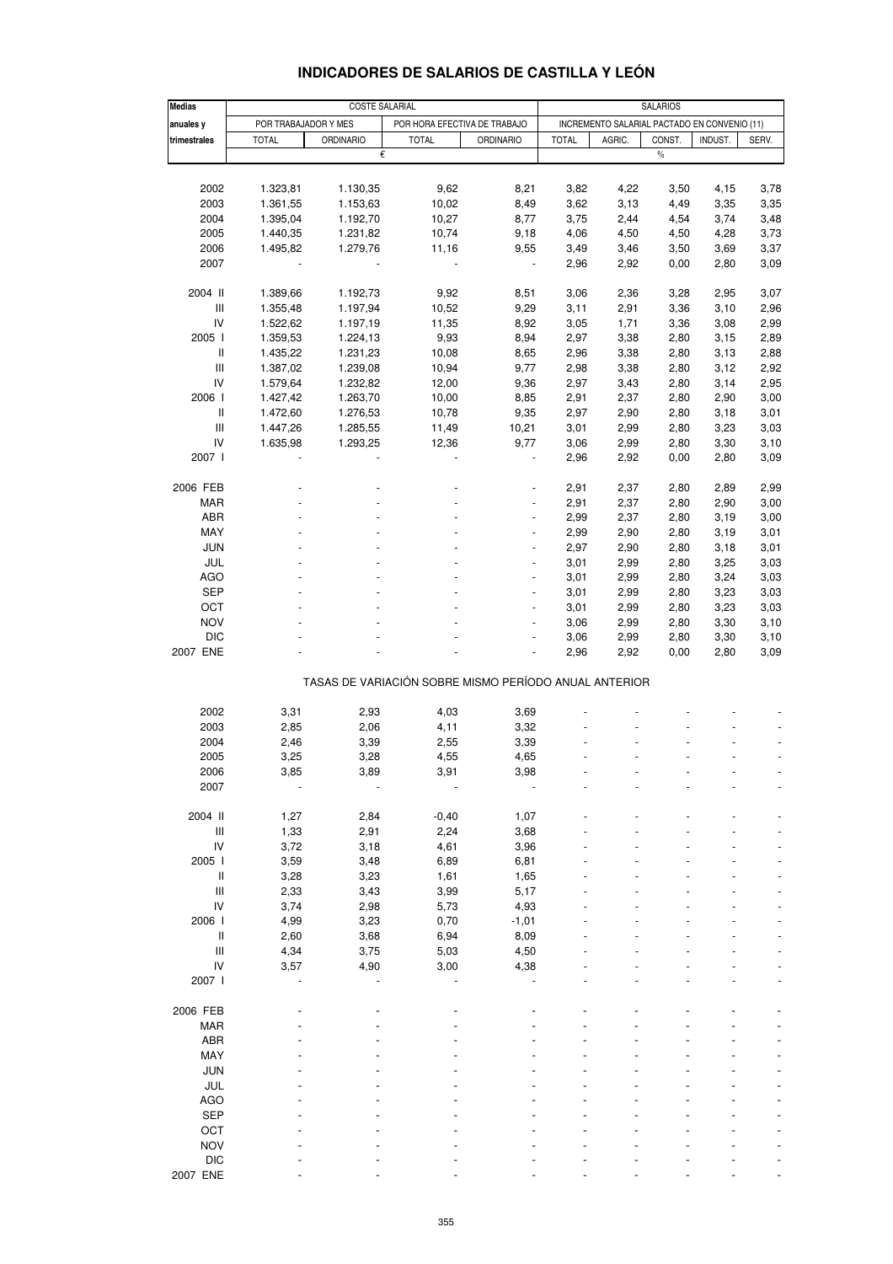| <b>Medias</b>                             |                      | <b>COSTE SALARIAL</b> | SALARIOS                                              |                                              |              |        |        |         |       |  |  |
|-------------------------------------------|----------------------|-----------------------|-------------------------------------------------------|----------------------------------------------|--------------|--------|--------|---------|-------|--|--|
| anuales y                                 | POR TRABAJADOR Y MES |                       | POR HORA EFECTIVA DE TRABAJO                          | INCREMENTO SALARIAL PACTADO EN CONVENIO (11) |              |        |        |         |       |  |  |
| trimestrales                              | <b>TOTAL</b>         | <b>ORDINARIO</b>      | <b>TOTAL</b>                                          | <b>ORDINARIO</b>                             | <b>TOTAL</b> | AGRIC. | CONST. | INDUST. | SERV. |  |  |
|                                           |                      | €                     |                                                       |                                              |              |        | $\%$   |         |       |  |  |
|                                           |                      |                       |                                                       |                                              |              |        |        |         |       |  |  |
|                                           |                      |                       |                                                       |                                              |              |        |        |         |       |  |  |
| 2002                                      | 1.323,81             | 1.130,35              | 9,62                                                  | 8,21                                         | 3,82         | 4,22   | 3,50   | 4,15    | 3,78  |  |  |
| 2003                                      | 1.361,55             | 1.153,63              | 10,02                                                 | 8,49                                         | 3,62         | 3,13   | 4,49   | 3,35    | 3,35  |  |  |
| 2004                                      | 1.395,04             | 1.192,70              | 10,27                                                 | 8,77                                         | 3,75         | 2,44   | 4,54   | 3,74    | 3,48  |  |  |
| 2005                                      | 1.440,35             | 1.231,82              | 10,74                                                 | 9,18                                         | 4,06         | 4,50   | 4,50   | 4,28    | 3,73  |  |  |
|                                           |                      |                       |                                                       |                                              |              |        |        |         |       |  |  |
| 2006                                      | 1.495,82             | 1.279,76              | 11,16                                                 | 9,55                                         | 3,49         | 3,46   | 3,50   | 3,69    | 3,37  |  |  |
| 2007                                      |                      |                       |                                                       |                                              | 2,96         | 2,92   | 0,00   | 2,80    | 3,09  |  |  |
|                                           |                      |                       |                                                       |                                              |              |        |        |         |       |  |  |
| 2004 II                                   | 1.389,66             | 1.192,73              | 9,92                                                  | 8,51                                         | 3,06         | 2,36   | 3,28   | 2,95    | 3,07  |  |  |
| $\mathsf{III}$                            | 1.355,48             | 1.197,94              | 10,52                                                 | 9,29                                         | 3,11         | 2,91   | 3,36   | 3,10    | 2,96  |  |  |
| IV                                        | 1.522,62             | 1.197,19              | 11,35                                                 | 8,92                                         | 3,05         | 1,71   | 3,36   | 3,08    | 2,99  |  |  |
|                                           |                      |                       |                                                       |                                              |              |        |        |         |       |  |  |
| 2005 l                                    | 1.359,53             | 1.224,13              | 9,93                                                  | 8,94                                         | 2,97         | 3,38   | 2,80   | 3,15    | 2,89  |  |  |
| $\ensuremath{\mathsf{II}}$                | 1.435,22             | 1.231,23              | 10,08                                                 | 8,65                                         | 2,96         | 3,38   | 2,80   | 3,13    | 2,88  |  |  |
| $\mathbf{III}$                            | 1.387,02             | 1.239,08              | 10,94                                                 | 9,77                                         | 2,98         | 3,38   | 2,80   | 3,12    | 2,92  |  |  |
| IV                                        | 1.579,64             | 1.232,82              | 12,00                                                 | 9,36                                         | 2,97         | 3,43   | 2,80   | 3,14    | 2,95  |  |  |
| 2006 l                                    | 1.427,42             | 1.263,70              | 10,00                                                 | 8,85                                         | 2,91         | 2,37   | 2,80   | 2,90    | 3,00  |  |  |
| $\mathsf{I}$                              |                      |                       |                                                       |                                              |              |        |        |         |       |  |  |
|                                           | 1.472,60             | 1.276,53              | 10,78                                                 | 9,35                                         | 2,97         | 2,90   | 2,80   | 3,18    | 3,01  |  |  |
| $\mathbf{III}$                            | 1.447,26             | 1.285,55              | 11,49                                                 | 10,21                                        | 3,01         | 2,99   | 2,80   | 3,23    | 3,03  |  |  |
| IV                                        | 1.635,98             | 1.293,25              | 12,36                                                 | 9,77                                         | 3,06         | 2,99   | 2,80   | 3,30    | 3,10  |  |  |
| 2007 l                                    |                      |                       |                                                       |                                              | 2,96         | 2,92   | 0,00   | 2,80    | 3,09  |  |  |
|                                           |                      |                       |                                                       |                                              |              |        |        |         |       |  |  |
| 2006 FEB                                  |                      |                       |                                                       |                                              | 2,91         | 2,37   |        | 2,89    | 2,99  |  |  |
|                                           |                      |                       |                                                       |                                              |              |        | 2,80   |         |       |  |  |
| <b>MAR</b>                                |                      |                       |                                                       |                                              | 2,91         | 2,37   | 2,80   | 2,90    | 3,00  |  |  |
| <b>ABR</b>                                |                      |                       |                                                       | $\overline{\phantom{m}}$                     | 2,99         | 2,37   | 2,80   | 3,19    | 3,00  |  |  |
| MAY                                       |                      |                       |                                                       |                                              | 2,99         | 2,90   | 2,80   | 3,19    | 3,01  |  |  |
| <b>JUN</b>                                |                      |                       |                                                       |                                              | 2,97         | 2,90   | 2,80   | 3,18    | 3,01  |  |  |
| JUL                                       |                      |                       |                                                       |                                              | 3,01         | 2,99   | 2,80   | 3,25    | 3,03  |  |  |
|                                           |                      |                       |                                                       |                                              |              |        |        |         |       |  |  |
| AGO                                       |                      |                       |                                                       |                                              | 3,01         | 2,99   | 2,80   | 3,24    | 3,03  |  |  |
| <b>SEP</b>                                |                      |                       |                                                       |                                              | 3,01         | 2,99   | 2,80   | 3,23    | 3,03  |  |  |
| OCT                                       |                      |                       |                                                       |                                              | 3,01         | 2,99   | 2,80   | 3,23    | 3,03  |  |  |
| <b>NOV</b>                                |                      |                       |                                                       |                                              | 3,06         | 2,99   | 2,80   | 3,30    | 3,10  |  |  |
| <b>DIC</b>                                |                      |                       |                                                       |                                              | 3,06         | 2,99   | 2,80   | 3,30    | 3,10  |  |  |
| 2007 ENE                                  |                      |                       |                                                       |                                              | 2,96         | 2,92   | 0,00   | 2,80    | 3,09  |  |  |
|                                           |                      |                       |                                                       |                                              |              |        |        |         |       |  |  |
|                                           |                      |                       |                                                       |                                              |              |        |        |         |       |  |  |
|                                           |                      |                       | TASAS DE VARIACIÓN SOBRE MISMO PERÍODO ANUAL ANTERIOR |                                              |              |        |        |         |       |  |  |
|                                           |                      |                       |                                                       |                                              |              |        |        |         |       |  |  |
| 2002                                      | 3,31                 | 2,93                  | 4,03                                                  | 3,69                                         |              |        |        |         |       |  |  |
| 2003                                      | 2,85                 | 2,06                  | 4,11                                                  | 3,32                                         |              |        |        |         |       |  |  |
| 2004                                      | 2,46                 | 3,39                  | 2,55                                                  | 3,39                                         |              |        |        |         |       |  |  |
|                                           |                      |                       |                                                       |                                              |              |        |        |         |       |  |  |
| 2005                                      | 3,25                 | 3,28                  | 4,55                                                  | 4,65                                         |              |        |        |         |       |  |  |
| 2006                                      | 3,85                 | 3,89                  | 3,91                                                  | 3,98                                         |              |        |        |         |       |  |  |
| 2007                                      |                      |                       |                                                       |                                              |              |        |        |         |       |  |  |
|                                           |                      |                       |                                                       |                                              |              |        |        |         |       |  |  |
| 2004 II                                   | 1,27                 | 2,84                  | $-0,40$                                               | 1,07                                         |              |        |        |         |       |  |  |
| Ш                                         |                      | 2,91                  | 2,24                                                  | 3,68                                         |              |        |        |         |       |  |  |
|                                           | 1,33                 |                       |                                                       |                                              |              |        |        |         |       |  |  |
| IV                                        | 3,72                 | 3,18                  | 4,61                                                  | 3,96                                         |              |        |        |         |       |  |  |
| 2005 l                                    | 3,59                 | 3,48                  | 6,89                                                  | 6,81                                         |              |        |        |         |       |  |  |
| $\mathbf{I}$                              | 3,28                 | 3,23                  | 1,61                                                  | 1,65                                         |              |        |        |         |       |  |  |
| $\mathop{\mathsf{III}}\nolimits$          | 2,33                 | 3,43                  | 3,99                                                  | 5,17                                         |              |        |        |         |       |  |  |
| IV                                        | 3,74                 | 2,98                  | 5,73                                                  | 4,93                                         |              |        |        |         |       |  |  |
| 2006 l                                    |                      |                       | 0,70                                                  |                                              |              |        |        |         |       |  |  |
|                                           | 4,99                 | 3,23                  |                                                       | $-1,01$                                      |              |        |        |         |       |  |  |
| $\label{eq:1} \prod_{i=1}^n \mathbb{I}_i$ | 2,60                 | 3,68                  | 6,94                                                  | 8,09                                         |              |        |        |         |       |  |  |
| $\mathbf{III}$                            | 4,34                 | 3,75                  | 5,03                                                  | 4,50                                         |              |        |        |         |       |  |  |
| IV                                        | 3,57                 | 4,90                  | 3,00                                                  | 4,38                                         |              |        |        |         |       |  |  |
| 2007 l                                    |                      |                       |                                                       |                                              |              |        |        |         |       |  |  |
|                                           |                      |                       |                                                       |                                              |              |        |        |         |       |  |  |
|                                           |                      |                       |                                                       |                                              |              |        |        |         |       |  |  |
| 2006 FEB                                  |                      |                       |                                                       |                                              |              |        |        |         |       |  |  |
| <b>MAR</b>                                |                      |                       |                                                       |                                              |              |        |        |         |       |  |  |
| <b>ABR</b>                                |                      |                       |                                                       |                                              |              |        |        |         |       |  |  |
| MAY                                       |                      |                       |                                                       |                                              |              |        |        |         |       |  |  |
| <b>JUN</b>                                |                      |                       |                                                       |                                              |              |        |        |         |       |  |  |
|                                           |                      |                       |                                                       |                                              |              |        |        |         |       |  |  |
| JUL                                       |                      |                       |                                                       |                                              |              |        |        |         |       |  |  |
| <b>AGO</b>                                |                      |                       |                                                       |                                              |              |        |        |         |       |  |  |
| <b>SEP</b>                                |                      |                       |                                                       |                                              |              |        |        |         |       |  |  |
| OCT                                       |                      |                       |                                                       |                                              |              |        |        |         |       |  |  |
| <b>NOV</b>                                |                      |                       |                                                       |                                              |              |        |        |         |       |  |  |
| <b>DIC</b>                                |                      |                       |                                                       |                                              |              |        |        |         |       |  |  |
|                                           |                      |                       |                                                       |                                              |              |        |        |         |       |  |  |

### **INDICADORES DE SALARIOS DE CASTILLA Y LEÓN**

2007 ENE - - - - - - - - -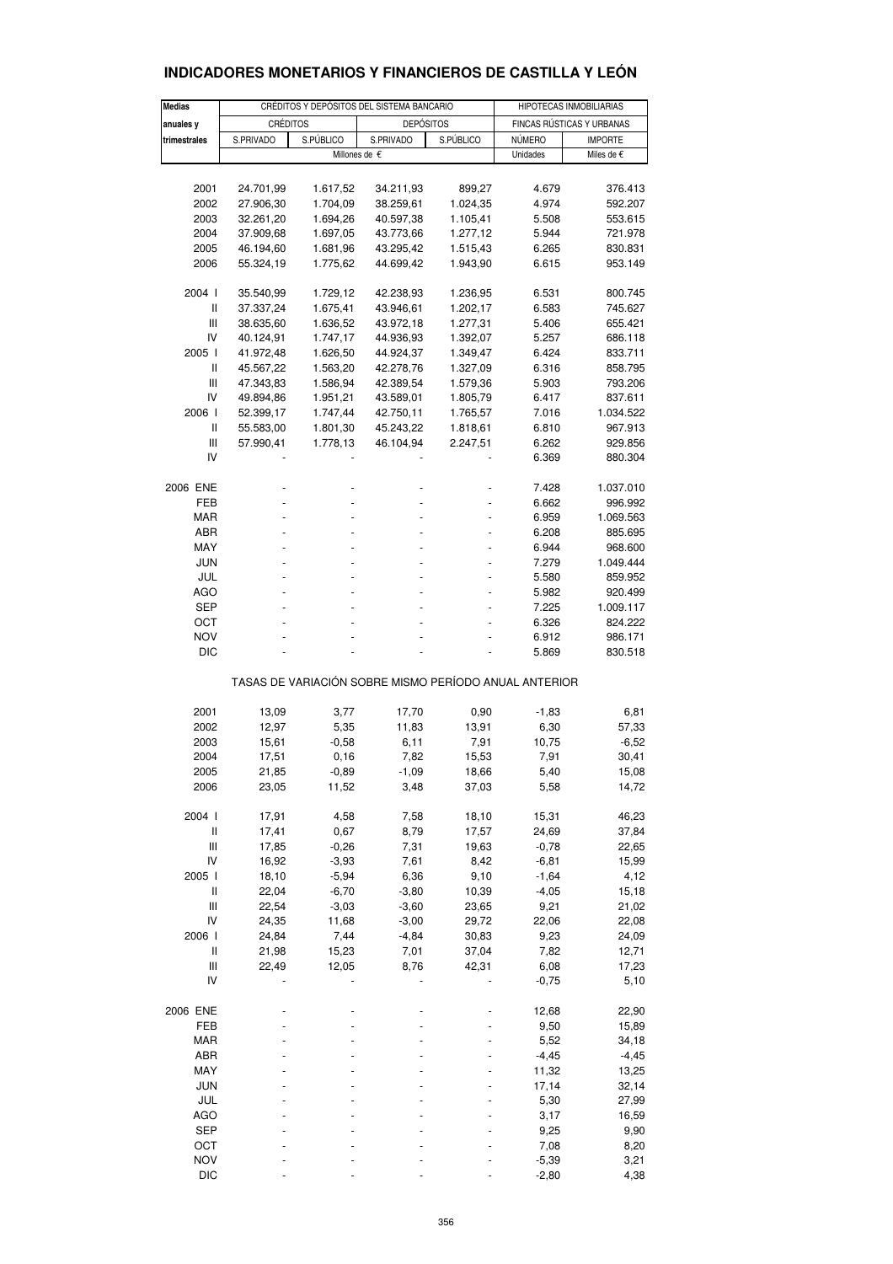| <b>Medias</b>                                         |                        | CRÉDITOS Y DEPÓSITOS DEL SISTEMA BANCARIO | HIPOTECAS INMOBILIARIAS |                      |                                 |                      |  |  |
|-------------------------------------------------------|------------------------|-------------------------------------------|-------------------------|----------------------|---------------------------------|----------------------|--|--|
| anuales y                                             | <b>CRÉDITOS</b>        |                                           | <b>DEPÓSITOS</b>        |                      | FINCAS RÚSTICAS Y URBANAS       |                      |  |  |
| trimestrales                                          | S.PÚBLICO<br>S.PRIVADO |                                           | S.PRIVADO               | S.PÚBLICO            | <b>NÚMERO</b><br><b>IMPORTE</b> |                      |  |  |
|                                                       |                        |                                           | Millones de €           |                      | Unidades                        | Miles de €           |  |  |
|                                                       |                        |                                           |                         |                      |                                 |                      |  |  |
| 2001                                                  | 24.701,99              | 1.617,52                                  | 34.211,93               | 899,27               | 4.679                           | 376.413              |  |  |
| 2002                                                  | 27.906,30              | 1.704,09                                  | 38.259,61               | 1.024,35             | 4.974                           | 592.207              |  |  |
| 2003                                                  | 32.261,20              | 1.694,26                                  | 40.597,38               | 1.105,41             | 5.508                           | 553.615              |  |  |
| 2004                                                  | 37.909,68              | 1.697,05                                  | 43.773,66               | 1.277,12             | 5.944                           | 721.978              |  |  |
| 2005                                                  | 46.194,60              | 1.681,96                                  | 43.295,42               | 1.515,43             | 6.265                           | 830.831              |  |  |
| 2006                                                  | 55.324,19              | 1.775,62                                  | 44.699,42               | 1.943,90             | 6.615                           | 953.149              |  |  |
| 2004 l                                                | 35.540,99              | 1.729,12                                  | 42.238,93               | 1.236,95             | 6.531                           | 800.745              |  |  |
| Ш                                                     | 37.337,24              | 1.675,41                                  | 43.946,61               | 1.202,17             | 6.583                           | 745.627              |  |  |
| Ш                                                     | 38.635,60              | 1.636,52                                  | 43.972,18               | 1.277,31             | 5.406                           | 655.421              |  |  |
| IV                                                    | 40.124,91              | 1.747,17                                  | 44.936,93               | 1.392,07             | 5.257                           | 686.118              |  |  |
| 2005  <br>Ш                                           | 41.972,48              | 1.626,50                                  | 44.924,37               | 1.349,47             | 6.424                           | 833.711              |  |  |
| Ш                                                     | 45.567,22<br>47.343,83 | 1.563,20<br>1.586,94                      | 42.278,76<br>42.389,54  | 1.327,09<br>1.579,36 | 6.316<br>5.903                  | 858.795<br>793.206   |  |  |
| IV                                                    | 49.894,86              | 1.951,21                                  | 43.589,01               | 1.805,79             | 6.417                           | 837.611              |  |  |
| 2006                                                  | 52.399,17              | 1.747,44                                  | 42.750,11               | 1.765,57             | 7.016                           | 1.034.522            |  |  |
| Ш                                                     | 55.583,00              | 1.801,30                                  | 45.243,22               | 1.818,61             | 6.810                           | 967.913              |  |  |
| Ш                                                     | 57.990,41              | 1.778,13                                  | 46.104,94               | 2.247,51             | 6.262                           | 929.856              |  |  |
| IV                                                    |                        |                                           |                         |                      | 6.369                           | 880.304              |  |  |
| 2006 ENE                                              |                        |                                           |                         |                      | 7.428                           | 1.037.010            |  |  |
| FEB                                                   |                        |                                           |                         |                      | 6.662                           | 996.992              |  |  |
| <b>MAR</b>                                            |                        |                                           |                         |                      | 6.959                           | 1.069.563            |  |  |
| ABR                                                   |                        |                                           |                         |                      | 6.208                           | 885.695              |  |  |
| MAY                                                   |                        |                                           |                         |                      | 6.944                           | 968.600              |  |  |
| JUN                                                   |                        |                                           |                         |                      | 7.279                           | 1.049.444            |  |  |
| JUL                                                   |                        |                                           |                         |                      | 5.580                           | 859.952              |  |  |
| AGO<br>SEP                                            |                        |                                           |                         |                      | 5.982                           | 920.499              |  |  |
| ОСТ                                                   |                        |                                           |                         |                      | 7.225<br>6.326                  | 1.009.117<br>824.222 |  |  |
| NOV                                                   |                        |                                           |                         |                      | 6.912                           | 986.171              |  |  |
| <b>DIC</b>                                            |                        |                                           |                         |                      | 5.869                           | 830.518              |  |  |
| TASAS DE VARIACIÓN SOBRE MISMO PERÍODO ANUAL ANTERIOR |                        |                                           |                         |                      |                                 |                      |  |  |
| 2001                                                  | 13,09                  | 3,77                                      | 17,70                   | 0,90                 | $-1,83$                         | 6,81                 |  |  |
| 2002                                                  | 12,97                  | 5,35                                      | 11,83                   | 13,91                | 6,30                            | 57,33                |  |  |
| 2003                                                  | 15,61                  | $-0.58$                                   | 6,11                    | 7,91                 | 10,75                           | $-6,52$              |  |  |
| 2004                                                  | 17,51                  | 0, 16                                     | 7,82                    | 15,53                | 7,91                            | 30,41                |  |  |
| 2005                                                  | 21,85                  | $-0,89$                                   | $-1,09$                 | 18,66                | 5,40                            | 15,08                |  |  |
| 2006                                                  | 23,05                  | 11,52                                     | 3,48                    | 37,03                | 5,58                            | 14,72                |  |  |
| 2004 l                                                | 17,91                  | 4,58                                      | 7,58                    | 18,10                | 15,31                           | 46,23                |  |  |
| $\sf II$                                              | 17,41                  | 0,67                                      | 8,79                    | 17,57                | 24,69                           | 37,84                |  |  |
| $\begin{array}{c} \hline \end{array}$                 | 17,85                  | $-0,26$                                   | 7,31                    | 19,63                | $-0,78$                         | 22,65                |  |  |
| IV<br>2005 l                                          | 16,92<br>18,10         | $-3,93$<br>$-5,94$                        | 7,61<br>6,36            | 8,42<br>9,10         | $-6,81$<br>$-1,64$              | 15,99<br>4,12        |  |  |
| $\begin{array}{c} \hline \end{array}$                 | 22,04                  | $-6,70$                                   | $-3,80$                 | 10,39                | $-4,05$                         | 15,18                |  |  |
| $\mathbf{III}$                                        | 22,54                  | $-3,03$                                   | $-3,60$                 | 23,65                | 9,21                            | 21,02                |  |  |
| IV                                                    | 24,35                  | 11,68                                     | $-3,00$                 | 29,72                | 22,06                           | 22,08                |  |  |
| 2006 l                                                | 24,84                  | 7,44                                      | $-4,84$                 | 30,83                | 9,23                            | 24,09                |  |  |
| $\sf II$                                              | 21,98                  | 15,23                                     | 7,01                    | 37,04                | 7,82                            | 12,71                |  |  |
| $\begin{array}{c} \hline \end{array}$                 | 22,49                  | 12,05                                     | 8,76                    | 42,31                | 6,08                            | 17,23                |  |  |
| IV                                                    |                        |                                           |                         |                      | $-0,75$                         | 5,10                 |  |  |
| 2006 ENE                                              |                        |                                           |                         |                      | 12,68                           | 22,90                |  |  |
| FEB                                                   |                        |                                           |                         |                      | 9,50                            | 15,89                |  |  |
| <b>MAR</b>                                            |                        |                                           |                         |                      | 5,52                            | 34,18                |  |  |
| ABR                                                   |                        |                                           |                         |                      | $-4,45$                         | $-4,45$              |  |  |
| MAY                                                   |                        |                                           |                         |                      | 11,32                           | 13,25                |  |  |
| <b>JUN</b>                                            |                        |                                           |                         |                      | 17,14                           | 32,14                |  |  |
| JUL<br><b>AGO</b>                                     |                        |                                           |                         |                      | 5,30<br>3,17                    | 27,99<br>16,59       |  |  |
| <b>SEP</b>                                            |                        |                                           |                         |                      | 9,25                            | 9,90                 |  |  |
| ОСТ                                                   |                        |                                           |                         |                      | 7,08                            | 8,20                 |  |  |
| NOV                                                   |                        |                                           |                         |                      | $-5,39$                         | 3,21                 |  |  |
| <b>DIC</b>                                            |                        |                                           |                         |                      | $-2,80$                         | 4,38                 |  |  |

## **INDICADORES MONETARIOS Y FINANCIEROS DE CASTILLA Y LEÓN**